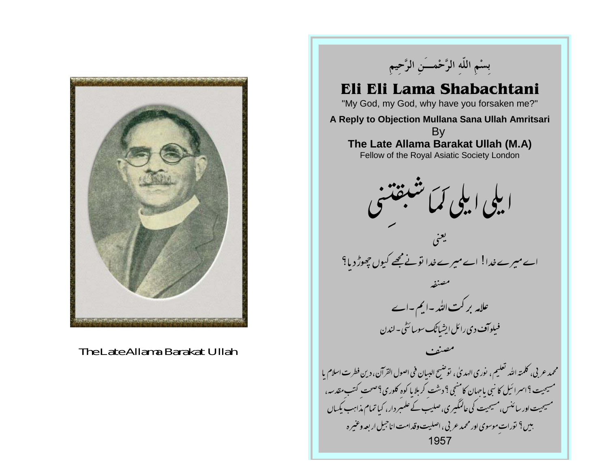

The Late Allama Barakat Ullah

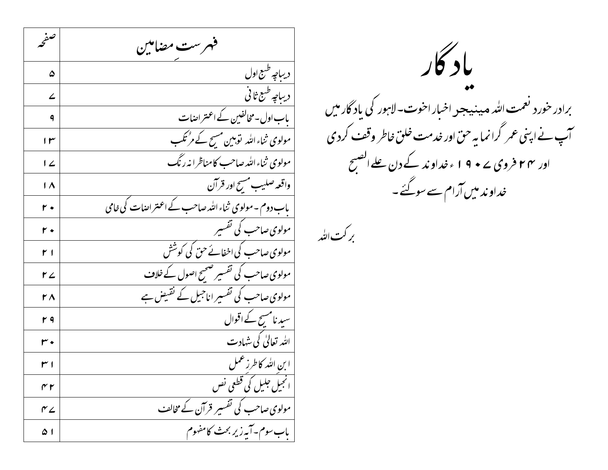صفحه فهرست مضاملين ديباجه طبع اول ۵ | دیباچه طبع ثانی ۷ | پاب اول-مخالفین کے اعتراضات  $\ddot{\mathsf{q}}$ مولوی ثناءاللہ توہین مسح کے مرْتکب  $\mathsf{I} \mathsf{r}$ مولوی ثناءالله صاحب کامناظرا نه رنگ  $12$ | واقعه صليب مسح اور قرآن  $\overline{1\Lambda}$ یاب دوم ۔ مولوی ثناء اللہ صاحب کے اعتراضات کی خامی  $r \cdot$ | مولوی صاحب کی تفسیر  $r \cdot$ مولوی صاحب کی اخفائے حق کی کوشش  $r<sub>1</sub>$ مولوی صاحب کی تفسیر صحیح اصول کے خلاف  $r2$ مولوی صاحب کی تفسیر اناجی<u>ل کے نقیض ہے</u>  $\mathsf{r}\wedge$ سید نامسح کے اقوال r٩ الله تعالیٰ کی شہادت  $r \cdot$ ا بن الله كاطرز عمل  $r<sub>1</sub>$ ا انجیل جلیل کی قطعی نص  $\gamma$ مولوی صاحب کی تفسیر قرآن کے مخالف  $r_{\angle}$ باب سوم-آبه زیر بحث کامفهوم ا ۵

باد کار برادر خورد نعمت الله میدنیجد اخبار اخوت-لاہور کی باد گارمیں آپ نے اپنی عمر گرانما یہ حق اور خدمت خلق خاطر وقف کردی اور ۲۴ فروی ۲۰ و ۱۹ مخداوند کے دن علےالصبح خداو ند میں آرام سے سوگئے ۔

بركت التبد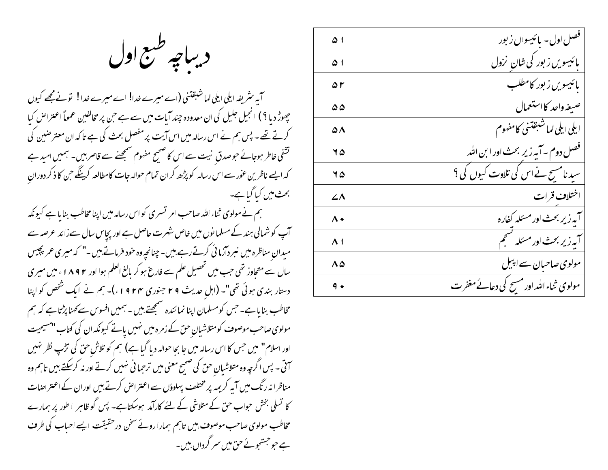دیباچه طبع اول

آبہ سٹریفہ ایلی ایلی لماشبقتنی (اے میرے خدا! اے میرے خدا! تونے مجھے کیوں چھوڑ دیا ؟ ) انجیل جلیل کی ان معدودہ چند آیات میں سے ہے جن پر مخالفین عموماً اعتراض کیا کرتے تھے۔ پس ہم نے اس رسالہ میں اس آیت پر مفصل بحث کی ہے تا کہ ان معترضین کی تشفی خاطر ہوجائے حوصدق نیت سے اس کا صحیح مفہوم صمجھنے سے قاصر ہیں۔ ہمیں امید ہے کہ ایسے ناظرین عور سے اس رسالہ کو پڑھ کران تمام حوالہ جات کامطالعہ کرینگے حن کا ذکر دوران بحث میں کیا گیا ہے۔

ہم نےمولوی ثناء اللہ صاحب امر تسری کواس رسالہ میں اپنا مخاطب بنایا ہے کیونکہ آپ کو شمالی ہند کے مسلما نوں میں خاص شہرت حاصل ہے اور پچاس سال سےزائد عرصہ سے میدان مناظرہ میں نبر دارائی کرتے رہے ہیں۔ چنانچہ وہ خود فرماتے ہیں ۔" کہ میری عمر پچیس سال سے متحاوز تھی جب میں تحصیل علم سے فارغ ہو کر بالغ العلم ہوا اور ۱۸۹۲ء میں میری دستار بندی ہوئی تھی"۔ (اہل حدیث ۲۹ جنوری ۱۹۲۴ء)۔ ہم نے ایک شخص کو اپنا مخاطب بنا ما ہے۔ جس کومسلمان اپنا نمائندہ سنجھتے ہیں ۔ ہمیں افسوس سے کھنا پڑتا ہے کہ ہم مولوی صاحب موصوف کومتلاشیان حق کے زمرہ میں نہیں پاتے کیونکہ ان کی کتاب "مسیحیت اور اسلام" میں حس کا اس رسالہ میں جا بجا حوالہ دیا گیا ہے) ہم کو تلاش حق کی ترکپ نظر نہیں سمق - پس اگرچہ وہ متلاشیان حق کی صحیح معنی میں ترحما فی نہیں کرتے اور نہ کرسکتے ہیں تاہم وہ مناظرا نہ رنگ میں آیہ کریمہ پر مختلف پہلوؤں سے اعتراض کرتے بیں اوران کے اعتراضات کا تسلی بخش حواب حق کے متلاشی کے لئے کارآمد ہوسکتاہے۔ پس گو ظاہر اطور پر ہمارے مخاطب مولوی صاحب موصوف بیں تاہم ہمارا روئے سخن در حقیقت ایسے احباب کی طرف ہے جو جسٹجو ئے حق میں سمر گرداں ہیں۔

| ا ۵         | ں اول۔<br>نيسوال زيور                       |
|-------------|---------------------------------------------|
| ا ۵         | <b>پائیسویں زبور کی شان نزول</b>            |
| ۵۲          | بائیسویں زیور کامطلہ                        |
| ۵۵          | صيغه واحد كااستعمال                         |
| 58          | ايلي ايلي لماشبقتني كامفهوم                 |
| 75          | فصل دوم – آیه زیر بحث اور ابن الله          |
| 75          | سید نامسح نے اس کی تلاوت کیوں کی ؟          |
| ۷۸          | اختلاف قرات                                 |
| ۸۰          | كفاره<br>به زیر بحث اور<br>مئا              |
| $\Lambda$ 1 | بحث ا<br>آبه زیر                            |
| ۸۵          | مولوی صاحبان سے ابسل                        |
| ۹           | مولوی ثناء الله اور مسح کی دعا<br>ئے مغفر ت |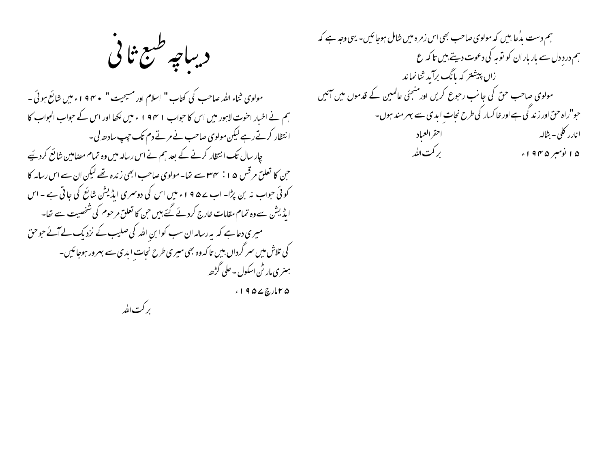دیباچه طبع ثانی

مولوی ثناء الله صاحب کی کتاب " اسلام اور مسیحیت " • ۴ م ا ء میں شائع ہوئی -ہم نے اخبار احنوت لاہور میں اس کا حواب ۱۹۴۱ ء میں لکھا اور اس کے حواب الحواب کا انتظار کرتے رہے لیکن مولوی صاحب نے مرتے دم تک حیپ سادھ لی۔ چار سال تک انتظار کرنے کے بعد ہم نے اس رسالہ میں وہ تمام مصامین شائع کردیئے حن کا تعلق مرقس ۱۵ : س<del>ماما</del>سے تعا- مولوی صاحب ابھی زندہ تھے لیکن ان سے اس رسالہ کا کوئی حواب نہ بن پڑا۔ اب ے 4 9 ا ء میں اس کی دوسمری ایڈیشن شائع کی جاتی ہے ۔ اس ایڈیشن سے وہ تمام مقامات خارج کردئے گئے ہیں حن کا تعلق مرحوم کی شخصیت سے تھا۔ میری دعاہے کہ بیررسالہ ان سب کوا بن اللہ کی صلیب کے نزدیک لےآئے جوحق کی تلاش میں سمر گرداں بیں تا کہ وہ بھی میری طرح نجات ابدی سے بہرور ہوجائیں۔ ہنری مار ٹن اسکول - علی گڑھہ

بركت التٰد

۱۹۵۷ کارچ ۲۹۵۷

ہم دست بدُعا بیں کہ مولوی صاحب بھی اس زمرہ میں شامل ہوجائیں۔ یہی وجہ ہے کہ ہم درد دل سے بار بار ان کو نوبہ کی دعوت دیتے ہیں تا کہ ع زاں پیشتر کہ پاَنگ برآید ثنانماند مولوی صاحب حق کی جانب رحوع کریں اور منجئی عالمین کے قدموں میں آئیں حبو"راہ حق اور زند گی ہے اور خا کسار کی طرح نجات ابدی سے بہر مند ہوں۔ احقر العياد ا نارر کلی – بٹالہ بر کت الله ۱۵ نومبر ۱۹۴۵ء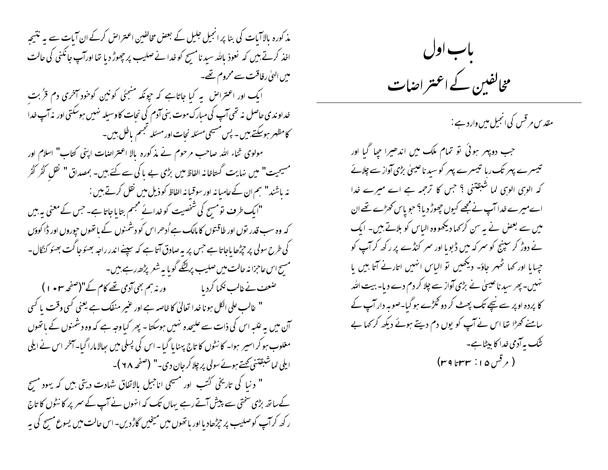مذ کورہ بالاآبات کی بنا پر انجیل جلیل کے بعض مخالفین اعتراض کرکے ان آبات سے یہ نتیجہ اخذ کرتے ہیں کہ ٖ نعوذ پالٹد سید نامسیح کو خدا نے صلیب پر چھوڑ دیا تھا اورآپ جانگنی کی حالت میں الہیٰ رفاقت سے محروم تھے۔ ایک اور اعتراض په کیا جاتاہے که حپونکه منجئی کونین کوخود آخری دم قرُبت خداوندی حاصل نه تھی آپ کی مبارک موت بنی آدم کی نجات کاوسیلہ نہیں ہوسکتی اور نہ آپ خدا کامظہر ہوسکتے ہیں ۔ پس مسیحی مسئلہ نحات اور مسئلہ تجسم پاطل ہیں۔ مولوی ثناء اللہ صاحب مرحوم نے مذکورہ بالا اعتراضات اپنی کتاب" اسلام اور مسیحیت" میں نہایت گستاخانہ الفاظ میں بڑی بے پاکی سے کئے ہیں۔ بمصداق" نقل گُرُ گُر نہ باشند" ہم ان کےعامبانہ اور سوقیانہ الفاظ کو ذیل میں نقل کرتے بیں : "ایک طرف نومسح کی شخصیت کو خدائے مجسم بتایاجاتا ہے۔ جس کے معنی بہ بیں کہ وہ سب قدر نوں اور طاقنوں کا مالک ہے اُدھر اس کو دشمنوں کے باتھوں حیوروں اور ڈا کوؤں کی طرح سولی پر جڑھا باجاتا ہے جس پر بہ صادق آتا ہے کہ سپنے اندر راجہ بھئوجا گت بھئو کنگال-مسیح اس عاجزا نہ حالت میں صلیب پرلٹکے گویا پہ شعر پڑھ رہے ہیں۔ صَعِبَ نے غالب نکما کردیا ہے ۔ ورنہ ہم بھی آدمی تھے کام کے"(صفحہ ۱**۰**۳) " غالب على الكل ہو نا خدا تعالىٰ كا خاصہ ہے اور عنير منفك ہے يعني كسى وقت يا كسى آن میں یہ غلیہ اس کی ذات سے علیحدہ نہیں ہوسکتا - پھر کیاوجہ ہے کہ وہ دشمنوں کے باتھوں مغلوب ہو کر اسپر ہوا۔ کا نٹوں کا تاج پہنا یا گیا ۔اس کی پسلی میں پھالامارا گیا۔آخر اس نے ایلی اپلی لماشبقتنی کھتے ہوئے سولی پر چلا کرجان دی۔" (صفحہ ٢٨)۔ " د نیا کی تاریخی کُٹب اور مسیحی اناجیل بالاتفاق شہادت دیتی ہیں کہ یہود مسح کےساتھ بڑی سختی سے پیش آتے رہے یہاں تک کہ انہوں نے آپ کے سمر پر کا نٹول کا تاج ر کھ کرآپ کوصلیب پر جپڑھادیااور باتھوں میں میخیں گاڑ دیں-اس حالت میں یسوع مسح کی بہ



مقد س مرقس کی انجیل میں وارد ہے :

جب دو پهر ہوئی تو تمام ملک میں اندھیرا جپا گیا اور تیسرے پہر تک رہا تیسرے پہر کو سید ناعیسیٰ بڑی آواز سے چلائے کہ الوہی الوہی کما شبقتنی ؟ جس کا ترجمہ ہے اے میرے خدا اے میرے خدا آپ نے مجھے کیوں چھوڑ دیا؟ حبو پاس *کھڑے تھے* ان میں سے بعض نے ہہ سن کر <sub>ک</sub>ہا دیکھووہ الیاس کو بلاتے ہیں۔ ایک نے دوڑ کر سپنیج کو سمر کہ میں ڈبویا اور سمر کنڈے پر رکھ کرآپ کو حیایا اور کہا ٹھہر جاؤ- دیکھیں تو الباس انہیں اتارنے آتا بیں یا نہیں۔ پھر سید ناعیسیٰ نے بڑی آواز سے چلا کر دم دے دیا۔ بیت اللہ کا پردہ اوپر سے نیچے تک پھٹ کر دو گڑ ہے ہو گیا۔صوبہ دار آپ کے سامنے کھڑا تھا اس نے آپ کو یوں دم دیتے ہوئے دیکھ کر کہا ہے ینک به آدمی خدا کا بیٹا ہے۔ ( مرقس ۱۵ : ۳۳ تا ۳۹)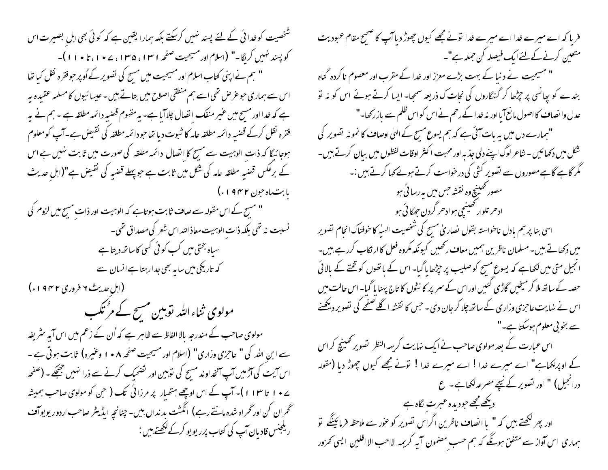شخصیت کوخدائی کے لئے پسند نہیں کرسکتے بلکہ ہمارا یقین ہے کہ کوئی بھی اہل بصیرت اس کو پسند نہیں کریگا۔" (اسلام اور مسیحیت صفحہ ۱۳۱۱، ۱۳۵۵، ۲۰۷۷)۔ ' ہم نے اپنی کتاب اسلام اور مسیحیت میں مسیح کی تصویر کے اُوپر حبو فقرہ نقل کیا تھا اس سے ہماری حوغرض تھی اسے ہم منطقی اصلاح میں بتاتے ہیں -عیسا ئیوں کامسلمہ عقیدہ پہ ہے کہ خدا اور مسیح میں عنیر منفک انصال چلاآبا ہے۔ یہ مقهوم قصبیہ دائمہ مطلقہ ہے ۔ ہم نے یہ فقرہ نقل کرکے قضبہ دائمہ مطلقہ عامہ کا ثبوت دیا تھاحودائمہ مطلقہ کی نقیض ہے۔آپ کومعلوم ہوجا ئیگا کہ ذات الوہیت سے مسح کا اتصال دائمہ مطلقہ کی صورت میں ثابت نہیں ہے اس کے برعکس قضبہ مطلقہ عامہ کی شکل میں ثابت ہے حوپہلے قضبہ کی نقیض ہے"(اہل حدیث بابت،اه حون ۱۹۴۲ء) " مسح کے اس مقولہ سے صاف ثابت ہو تاہے کہ الوہیت اور ذات مسح میں لزوم کی نسبت نه تھی بلکہ ذات الوہیت معاذ اللہ اس شعر کی مصداق تھی۔ سباہ بختی میں کب کوئی کسی کاساتھ دیتا ہے کہ تاریخی میں سا ہیے بھی جدارہتا ہے انسان سے (ابل ِحدیث ۶ فروری ۱۹۴۲ء) مولوی ثناءاللہ توہین مسح کے مرْتکب مولوی صاحب کے مندرجہ بالا الفاظ سے ظاہر ہے کہ اُن کے زعم میں اس آیہ سٹریفہ سے ابن اللہ کی " عاجزی وزاری" (اسلام اور مسیحیت صفحہ ۸ • ۱ وعنیرہ) ثابت ہوتی ہے ۔ اس آیت کی آڑ میں آپ آنخداوند مسح کی نوبین اور تضحیک کرنے سے ذرا نہیں جھجکے۔ (صفحہ ے • ۱ تا ۱۱۳ )۔ آپ کے اس اوچھے ہتھیار پر مرزائی تک ( حن کو مولوی صاحب ہمیشہ ٹحمران کن اورٹھراہ شدہ مانتےرہے) انگشت بد نداں بیں۔چنانچہ ایڈیٹر صاحب اردور یو یوآف ریلجنس قادیان آپ کی کتاب پرریویو کرکے لکھتے ہیں :

فریا کہ اے میرے خدااے میرے خدا نونے مجھے کیوں چھوڑ دیاآپ کا ضحیح مقام عبودیت منتعین کرنے کے لئےایک فیصلہ کن حملہ ہے"۔ " مسیحیت نے دنبا کے بہت بڑے معزز اور خدا کے مقرب اور معصوم نا کردہ گناہ بندے کو بیانسی پر چڑھا کر گنہگاروں کی نحات ک ذریعہ سمجیا- ایسا کرتے ہوئے اس کو نہ نو عدل وا نصاف کا اصول مانع آیا اور نہ خدا کے رحم نے اس کو اس ظلم سے باز رکھا۔" "ہمارے دل میں یہ بات آئی ہے کہ ہم یسوع مسح کے الہیٰ اوصاف کا نمونہ تصویر کی شکل میں دکھائیں ۔ شاعر لوگ اپنے دلی جذبہ اور محبت ا کنٹر اوقات لفظوں میں بیان کرتے ہیں۔ گُر گاہے گاہےمصوروں سے تصویر کشی کی درخواست کرتے ہوئے کہا کرتے ہیں :۔ مصور تھینیچ وہ نقشہ جس میں بیررسا ئی ہو اد حر تلوار خینیچی ہواد حر گردن حصکا ئی ہو اسی بنا پر ہم بادل ناخواستہ بقول نصاریٰ مسح کی شخصیت الهیٰہ کا خوفناک انجام نصویر میں دکھاتے ہیں۔مسلمان ناظرین ہمیں معاف رکھیں کیونکہ مکروہ فعل کا ار نکاب کررہے ہیں۔ انجیل متی میں لکھاہے کہ یسوع مسیح کو صلیب پر حچڑھا پا گیا۔ اس کے باتھوں کوتختے کے بالائی حصہ کے ساتھ ملا کر مینجیں گاڑی گئیں اوراس کے سمر پر کا نٹوں کا تاج پہنا پا گیا۔اس حالت میں اس نے نہایت عاجزی وزاری کے ساتھ چلا کر جان دی ۔ جس کا نقشہ اگلے صفحے کی تصویر دیکھنے سے بخو بی معلوم ہوسکتا ہے۔" اس عبارت کے بعد مولوی صاحب نے ایک نہایت کریہہ النظر تصویر ٹھینچ کراس کے اوپرلکھاہے" اے میرے خدا ! اے میرے خدا ! نونے مجھے کیوں چھوڑ دیا (مقولہ درانجیل) " اور تصویر کے نیچے مصرعہ لکھاہے۔ ع دیکھےمجھے حودیدہ عبرت لگاہ ہے اور پھر لکھتے ہیں کہ " یا انصاف ناظرین اگراس تصویر کو عور سے ملاحظہ فرمائینگے تو ہماری اس آواز سے متفق ہوگگے کہ ہم حسب مصنمون آیہ کریمہ لااحب الا افلین ایسی تھرور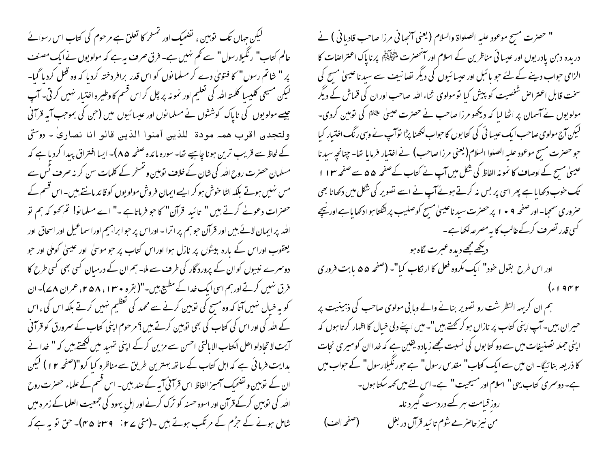گیکن جہاں تک توہین ، گفنحیک اور تمنخر کا تعلق ہے مرحوم کی کتاب اس رسوائے عالم کتاب" رنگیلارسول" سے تھم نہیں ہے۔ فرق صرف بیہ ہے کہ مولویوں نے ایک مصنف پر " شاتم رسول" کا فتویٰ دے کر مسلمانوں کو اس قدر برافر دختہ کردیا کہ وہ قتل کردیا گیا۔ لیکن مسیحی کلیسا کلمته املّٰہ کی تعلیم اور نمو نہ پر چل کراس قسم کا وطیرہ اختیار نہیں کرتی۔ آپ جیسے مولویوں کی ناپاک کوششوں نے مسلمانوں اور عیسائیوں میں (جن کی بموجب آیہ قرآنی ولتجدي اقرب همه مودة للذين آمنوا الذين قالو انا نصارى - روستى کے لحاظ سے قریب ترین ہونا چاہیے تھا۔ سورہ مائدہ صفحہ ۵۸)۔ ایسا افتراق پیدا کردیا ہے کہ مسلمان حصرت روح اللہ کی شان کے خلاف نوہین و تمنحر کے کلمات سن کر نہ صرف ٹس سے مس نہیں ہوتے بلکہ الٹا خوش ہو کر ایسے ایمان فروش مولویوں کوقائد مانتے ہیں۔اس قسم کے حصرات دعوے کرتے ہیں " تائید قرآن" کا حو فرماتاہے -" اے مسلمانو! تم کھو کہ ہم تو الله پر ایمان لائے بیں اور قرآن حوہم پر اترا - اوراس پر حوا براہیم اورا سماعیل اور اسحاق اور یعقوب اوراس کے مارہ بیٹوں پر نازل ہوا اوراس کتاب پر حبو موسیٰ اور عیسیٰ کوملی اور حبو دوسرے نبیوں کو ان کے پرورد گار کی طرف سے ملا۔ ہم ان کے درمیان کسی بھی کسی طرح کا فرق نہیں کرتے اور ہم اسی ایک خدا کے مطبیع ہیں۔"( بقرہ • ۱۳۰، ۵۸ می عمران ۷۷)۔ان کو یہ خیال نہیں آتا کہ وہ مسح کی توہین کرنے سے محمد کی تعظیم نہیں کرتے بلکہ اس کی ، اس کے اللہ کی اور اس کی کتاب کی بھی توہین کرتے ہیں؟ مرحوم اپنی کتاب کے سمرورق کو قرآنی آیت لا تحادلو احل الکتاب الا بالتی احسن سے مزین کرکے اپنی تمہید میں ککھتے ہیں کہ " خدا نے بدایت فرمائی ہے کہ اہل کتاب کے ساتھ بہترین طریق سے مناظرہ کیا کرو"(صفحہ ۱۲) لیکن ان کے نوبین و تضحیک آمیز الفاظ اس قرآنی آبہ کے صد بیں۔ اس قسم کے علماء حصرت روح اللہ کی توہین کرکےقرآن اور اسوہ حسنہ کو ترک کرنے اور اہل یہود کی جمعیت العلما کے زمرہ میں شامل ہونے کے حِرُم کے مرتکب ہوتے ہیں ۔(متی ۲۷٪ ۔ ۳۹تا ۴۵)۔ حق تو ہہ ہے کہ

" حصرت مسح موعود عليه الصلواة والسلام ( يعني آنجها في مرزا صاحب قاديا في ) نے دریدہ دہن یادر یوں اور عیسائی مناظرین کے اسلام اور آنٹھنرت کے اچھیلنے پرناپاک اعتراضات کا الزامی حواب دینے کے لئے حو پائبل اور عیسائیوں کی دیگر تصانیف سے سید ناعیسیٰ مسح کی سخت قابل اعتراض شخصیت کو پیش کیا تومولوی ثناء اللہ صاحب اوران کی قماش کے دیگر مولو یوں نے آسمان پر اٹھا لیا کہ دیکھو مرزا صاحب نے حصرت عیسیٰ عیلِحَلا کی نومین کردی۔ لیکن آج مولوی صاحب ایک عیسا ئی کی کتابوں کا حواب لکھنا پڑا توآپ نے وہی رنگ اختیار کیا حو حصرت مسح موعود عليه الصلوا السلام( يعني مرزا صاحب) نے اختیار فرمایا تھا۔ چنانچہ سید نا عیسیٰ مسح کے اوصاف کا نمونہ الفاظ کی شکل میں آپ نے کتاب کےصفحہ ۵۵ سے صفحہ ۱۱۲ تک حنوب دکھا یا ہے پھر اسی پر بس نہ کرتے ہوئے آپ نے اسے تصویر کی شکل میں دکھانا بھی صروری سمجا- اور صفحه ۹ • ۱ پر حصرت سید ناعیسیٰ مسح کوصلیب پر لٹکتا ہوا دکھا یا ہے اور <u>نی</u>جے کسی قدر تصرف کرکے غالب کا بہ مصرعہ لکھاہے۔ دیکھےمجھے دیدہ عبرت لگاہ ہو اور اس طرح بقول خود" ایک مکروه فعل کا ار نکاب کیا"۔ (صفحه ۵۵ بابت فروری

 $\overline{\phantom{a}}$  . I gr  $\overline{\phantom{a}}$ 

ہم ان کریہہ النظر شت رو تصویر بنانے والے وبا بی مولوی صاحب کی ذہبینیت پر حسیران بیں۔آپ اپنی کتاب پر نازاں ہو کر کھتے بیں "۔میں اپنے دلی خیال کا اظہار کرتا ہوں کہ اپنی حملہ تصنیفات میں سے دو کتابوں کی نسبت مجھے زیادہ یقین ہے کہ خداان کومبیری نجات کا ذریعہ بنا ئیگا- ان میں سے ایک کتاب" مقدس رسول" ہے جو رنگیلارسول" کے حواب میں ہے۔دوسری کتاب یہی" اسلام اور مسیحیت" ہے۔اس لئے میں کہہ سکتا ہوں۔ روز قیامت ہر کسے دردست گیر دیناہ من نیز حاصر ہے شوم تا ئید قرآل در بغل (صفحه الف)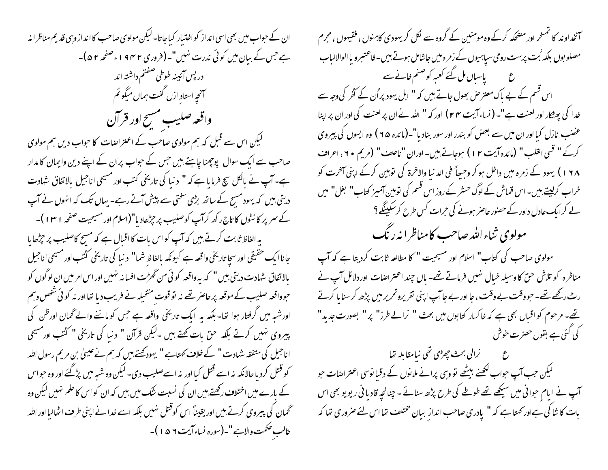ان کے حبواب میں بھی اسی انداز کو اختیار کیاجاتا۔ لیکن مولوی صاحب کا انداز وہی قدیم مناظرا نہ ہے جس کے بیان میں کوئی ندرت نہیں"۔ (فروری ۲ ۶۴ و ، صفحہ ۲ ۵)۔ دربس آئيينه طوطي صفتم داشته اند آنحیه استاد ازل گفت ہماں میگو ئم واقعه صليب مسح اور قرآن لیکن اس سے قبل کہ ہم مولوی صاحب کے اعتراضات کا حواب دیں ہم مولوی صاحب سے ایک سوال پوچھنا چاہتے ہیں جس کے حواب پران کے اپنے دین وایمان کا مدار ہے۔ آپ نے بالکل سچ فرمایا ہے کہ " دنیا کی تاریخی کتب اور مسیحی اناجیل بالاتفاق شہادت دیتی بیں کہ یہود مسیح کے ساتھ بڑی سختی سے پیش آتے رہے۔ یہاں تک کہ انہوں نے آپ کے سمر پر کا نٹوں کا تاج رکھ کرآپ کوصلیب پر چڑھادیا"(اسلام اور مسیحیت صفحہ ۱۳۱)۔ بہ الفاظ ثابت کرتے ہیں کہ آپ کو اس بات کا اقبال ہے کہ مسح کاصلیب پر حِرْحایا

جانا ایک حقیقی اور سچا تاریخی واقعہ ہے کیونکہ بالفاظ شما" دنیا کی تاریخی کٹتب اور مسیحی اناجیل بالاتفاق شہادت دیتی بیں " کہ یہ واقعہ کوئی من گھڑت افسا نہ نہیں اور اس امر میں ان لوگوں کو حوواقعہ صلیب کےموقعہ پر حاصر تھے نہ تو قوت متخیلہ نے فریب دیا تھا اور نہ کوئی شخص وہم اورشیہ میں گرفتار ہوا تھا- بلکہ یہ ایک تاریخی واقعہ ہے جس کو ماننے والے گھان اورظن کی پیروی نہیں کرتے بلکہ حق بات کھتے ہیں ۔لیکن قرآن " دنیا کی تاریخی " کُتُب اور مسیحی اناحبیل کی متفقہ شہادت " کے خلاف کھتاہے " یہود کھتے ہیں کہ ہم نے عیسیٰ بن مریم رسول اللہ کو قتل کرد یا حالانکہ نہ اسے قتل کیا اور نہ اسےصلیب دی۔ لیکن وہ شبہ میں پڑگئے اور وہ حواس کے بارے میں اختلاف رکھتے بیں ان کی نسبت شک میں بیں کہ ان کو اس کا علم نہیں لیکن وہ ٹحمان کی پیروی کرتے ہیں اور یقیناً اس کوقتل نہیں بلکہ اسے خدا نے اپنی طرف اٹھالیا اور اللہ غالب صحمت والاہے "۔(سورہ نساءآیت ۷ ۵ ۱ )۔

آنخداوند کا تمسخر اور مضحکہ کرکے وہ مومنین کے گروہ سے لکل کریہودی کاہنوں ، فقیہوں ، مجرم مصلوبوں بلکہ بُت برست رومی سیاہیوں کے زمرہ میں جاشامل ہوتے ہیں۔فاعتبرو یا الوالالباب ع کے پاسباں مل گئے کعبہ کو صنم خانے سے اس قسم کے بے باک معتر ص بھول جاتے ہیں کہ " اہل یہود پر اُن کے گٹر کی وجہ سے خدا کی پھٹکار اور لعنت ہے"۔ ( نساء آیت ۲۴ ) اور کہ " اللہ نے ان پر لعنت کی اور ان پر اپنا عضب نازل کیا اور ان میں سے بعض کو بندر اور سور بنادیا"۔(مائدہ ۲۵ ) وہ ایسوں کی پیروی كركَ " قسى القلب " (مائده آيت ٢ ا ) ہوجاتے ہيں- اوران "ناحلف" (مريم ٢٠، اعراف ۱ ۶۸ ) یهود کے زمرہ میں داخل ہو کر وجسےاً فی الد نیا والاخرۃ کی تو بین کرکے اپنی آخرت کو خراب کرلیتے ہیں۔ اس قماش کے لوگ حسٹر کے روز اس قسم کی نومین آمیز کتاب" بغل" میں لے کرایک عادل داور کے حصنور حاصر ہونے کی حرات کس طرح کرسکینگے ؟ مولوی ثناء الله صاحب کامناظرا نه رنگ

مولوی صاحب کی کتاب" اسلام اور مسیحیت " کا مطالعہ ثابت کردیتا ہے کہ آپ مناظرہ کو تلاش حنّ کا وسیلہ خیال نہیں فرماتے تھے۔ ہاں چند اعتراضات اوردلائل آپ نے رٹ رکھے تھے۔ حبووقت بے وقت ، جا اور بے جاآپ اپنی نقر پروتحریر میں پڑھ کر سنا یا کرتے تھے۔ مرحوم کو اقبال بھی ہے کہ خاکسار کتابوں میں بحث " نرالے طرز" پر " بصورت جدید" کی کئی ہے بقول حصرت حوش

ع ہے منزالی بحث چھڑی تھی نیامقابلہ تھا لیکن حب آپ حواب لکھنے بیٹھے تو وہی پرانے ملانوں کے دقیانوسی اعتراضات حو آپ نے ایام حوا**نی می**ں سیکھے تھے طوطے کی طرح پڑھ سنائے - چنانچہ قادیا فی ریویو بھی اس بات کا شا کی ہےاور کھتا ہے کہ " یادری صاحب انداز بیان مختلف تھا اس لئے صروری تھا کہ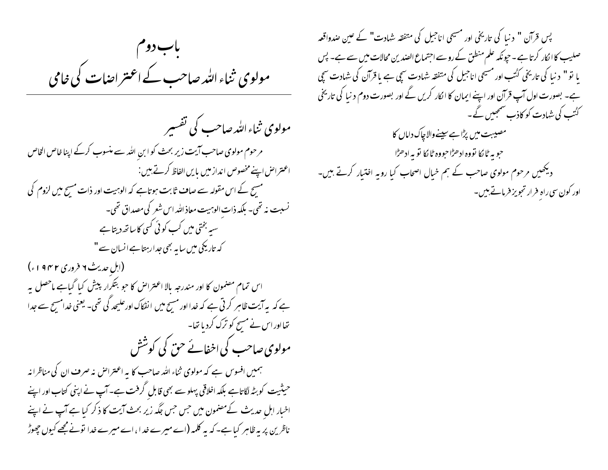باب دوم مولوی ثناء اللہ صاحب کے اعتراضات کی خامی

مولوی ثناءالله صاحب کی تفسیر مرحوم مولوی صاحب آیت زیر بحث کو ابن الله سے منسوب کرکے اپنا خاص الخاص اعتراض اپنے مخصوص انداز میں بایں الفاظ کرتے ہیں: مسیح کے اس مقولہ سے صاف ثابت ہوتاہے کہ الوہیت اور ذات مسح میں لزوم کی نسبت نه تھی۔ بلکہ ذات الوہیت معاذ اللہ اس شعر کی مصداق تھی۔ سیہ بختی میں کب کوئی کسی کاساتھ دیتا ہے کہ تاریکی میں سا ہہ بھی جدارہتا ہے انسان سے " (ابل حدیث ۲ فروری ۱۹۴۲ء) اس تمام مصنمون کا اور مندرجہ بالا اعتراض کا حو بتکرار پیش کیا گیاہے ماحصل پہ ہے کہ بہ آیت ظاہر کرتی ہے کہ خدا اور مسح میں انفکاک اورعلیحد گی تھی۔ یعنی خدامسح سے جدا تھااور اس نے مسح کو ترک کردیا تھا۔ مولوی صاحب کی اخفائے حن کی کوشش ہمیں افسوس ہے کہ مولوی ثناء اللہ صاحب کا یہ اعتراض نہ صرف ان کی مناظرانہ

حیثیت کو بٹہ لگاتاہے بلکہ اخلاقی پہلو سے بھی قابل گرفت ہے۔آپ نے اپنی کتاب اور اپنے اخبار اہل حدیث کےمضمون میں جس جس جگہ زیر بحث آیت کا ذکر کیا ہے آپ نے اپنے ناظرین پر یہ ظاہر کیا ہے۔ کہ یہ کلمہ (اے میرے خد ا، اے میرے خدا نونے مجھے کیوں چھوڑ

پس قرآن " د نبا کی تاریخی اور مسیحی اناجیل کی متفقہ شہادت" کے عین صدواقعہ صلیب کاا کار کرتا ہے۔ حپونکہ علم منطق کے روسے اجتماع الصدین محالات میں سے ہے۔ پس یا تو " د نبا کی تاریخی کُٹتب اور مسیحی اناجیل کی متفقہ شہادت سچی ہے یا قرآن کی شہادت سچی ہے۔ بصورت اول آپ قرآن اور اپنے ایمان کا الکار کریں گے اور بصورت دوم د نیا کی تاریخی کٹٹب کی شہادت کو کاذب سمجھیں گے۔ مصیبت میں پڑاہے سپنےوالاچاک داماں کا حبوبه ڻا ڳا تووه ادھڑاحبووه ڻا ڳا تو ٻه ادھڑا دیکھیں مرحوم مولوی صاحب کے ہم خیال اصحاب کیا رویہ اختیار کرتے ہیں-اور کون سی راہِ فرار تجویز فرماتے ہیں۔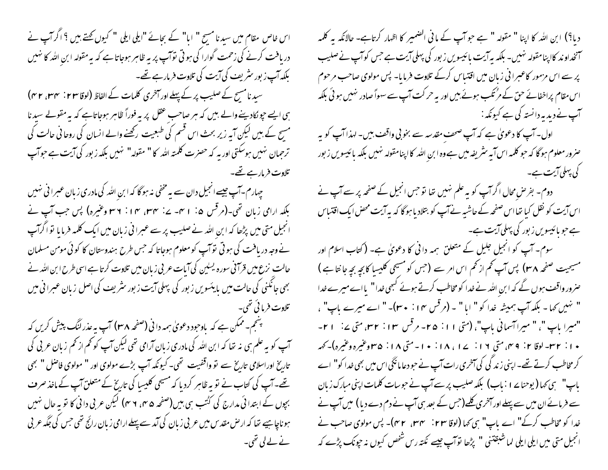اس خاص مقام میں سید نا مسیح " اما" کے بحائے "ایلی ایلی " کیوں کہتے ہیں ؟ اگر آپ نے دریافت کرنے کی زحمت گوارا کی ہو تی نوَآپ پر یہ ظاہر ہوجاتا ہے کہ یہ مقولہ ابن اللہ کا نہیں بلکہ آپ ز بور سٹریف کی آیت کی تلاوت فرمار ہے تھے۔ سید نامسح کے صلیب پر کے پہلے اور آخری کلمات کے الفاظ (لوقا ۲۳ : ۳۴، ۴۳) ہی ایسے جو نکادینے والے بیں کہ ہر صاحب عقل پر بہ فوراً ظاہر ہوجاتاہے کہ بہ مقولے سید نا مسح کے ہیں لیکن آپہ زیر بحث اس قسم کی طبعیت رکھنے والے انسان کی روحا فی حالت کی ترحمان نہیں ہوسکتی اور یہ کہ حصرت کلمتہ اللہ کا " مقولہ" نہیں بلکہ زبور کی آیت ہے حواسپ تلاوت فرمار ہے تھے۔

چہارم۔آپ جیسے انجیل دان سے یہ مخفی نہ ہو گا کہ ابن اللہ کی مادری زبان عبرا نی نہیں بلکہ ارامی زبان تھی۔(مرقس ۵: ۱ س-۲۷: ۳۴، ۱۴، ۲ نام وعنیرہ) پس جب آپ نے انجیل متی میں پڑھا کہ ابن اللہ نے صلیب پر سے عبرانی زبان میں ایک کلمہ فرمایا توا گرآپ نے وجہ دریافت کی ہوتی تو آپ کو معلوم ہوجاتا کہ جس طرح ہندوستان کا کوئی مومن مسلمان حالت نزع میں قرآفی سورہ یسلین کی آبات عربی زبان میں تلاوت کرتا ہے اسی طرح ابن اللہ نے بھی جانکنی کی حالت میں پایئسویں زبور کی پہلی آیت زبور سثریف کی اصل زبان عبرا فی میں تلاوت فرمائی تھی۔

پسجم- ممکن ہے کہ یاوجود دعویٰ ہمہ دانی (صفحہ ۳۸) آپ پہ عذر لنگ پیش کریں کہ آپ کو به علم ہی نہ تھا کہ ابن اللہ کی مادری زبان آرامی تھی لیکن آپ کو تھم از تھم زبان عربی کی تاریخ اوراسلامی تاریخ سے تو واقفیت تھی۔کیونکہ آپ بڑے مولوی اور " مولوی فاصل " بھی تھے۔ آپ کی کتاب نے نوپہ ظاہر کردیا کہ مسیحی کلیسا کی تاریخ کے متعلق آپ کے ماخذ صرف بچوں کے ابتدا ئی مدارج کی کٹتب ہی بیں (صفحہ ۴۵، ۲ م) لیکن عربی دا ٹی کا تو بہ حال سٰیں ہوناچاہیے تھا کہ ارص مقد س میں عربی زبان کی آمد سے پہلے ارامی زبان رائج تھی جس کی جگہ عربی نے لے لی تھی۔

دیا؟) ابن اللہ کا اپنا " مقولہ " ہے حو آپ کے مانی الضمیر کا اظہار کرتاہے- حالانکہ یہ کلمہ آنخداوند کااپنامقولہ نہیں۔ بلکہ بیرآیت پائیسویں زبور کی پہلی آیت ہے جس کوآپ نےصلیب پر سے اس مزمور کاعبرانی زبان میں اقتیاس کرکے تلاوت فرمایا۔ پس مولوی صاحب مرحوم اس مقام پراخفائے حق کے مرُ تکب ہوئے بیں اور یہ حر کت آپ سے سہواً صادر نہیں ہو ئی بلکہ 

اول۔ آپ کا دعویٰ ہے کہ آپ صحف مقدسہ سے بخو بی واقف بیں۔ لہذا آپ کو یہ صرور معلوم ہو گا کہ حو کلمہ اس آیہ سٹریفہ میں ہے وہ ابن اللہ کا اپنامقولہ نہیں بلکہ بائیسویں زبور کی پہلی آیت ہے۔

۔ دوم۔ بفر منں محال اگر آپ کو یہ علم نہیں تھا تو حس انجیل کے صفحہ پر سے آپ نے اس ایت کو نقل کیا تھااس صفحہ کے حاشیہ نے آپ کو بتلاد ماہوگا کہ یہ آیت محض ایک اقتباس ہے جو پائیسویں زبور کی پہلی آیت ہے۔

سوم۔ آپ کو انجیل جلیل کے متعلق ہمہ دانی کا دعویٰ ہے۔ (کتاب اسلام اور مسیحیت صفحہ ۳۸) پس آپ تھم از تھم اس امر سے (جس کو مسیحی کلیسا کابچہ بچہ جانتا ہے ) صرور واقف ہوں گے کہ ابن اللہ نے خدا کو مخاطب کرتے ہوئے کبھی خدا" یااے میرے خدا " نہیں کہا۔ بلکہ آپ ہمیشہ خدا کو " اما " ۔ (مرقس ۱۴ : ۳۰)۔ " اے میرے پاپ" ، "میرا باپ"، " میراآسمانی باپ"، (متی ۱۱: ۲۵- مرقس ۱۳: ۲۳، متی ۲: ۱۲-۱۰: ۲۳- لوقا ۲: ۴ می متی ۱۶: ۱۷، ۱۸، ۱۰: سایه متی ۱۸: ۵۳وغیره وغیره)-کهه کر مخاطب کرتے تھے۔اپنی زند گی کی آخری رات آپ نے حبو دعا مانگی اس میں بھی غدا کو" اے یاپ" ہی کہا (یوحنا پر ا : باب) بلکہ صلیب پر سے آپ نے حبوبیات کلمات اپنی مبارک زبان سے فرمائے ان میں سے پہلے اور آخری کلیے(جس کے بعد سی آپ نے دم دے دیا ) میں آپ نے خدا کو مخاطب کرکے" اے باپ" ہی کہا (لوقا ۲۳: ۳۴، ۳۲)۔ پس مولوی صاحب نے انجیل متی میں ایلی ایلی لماشبقتنی " پڑھا توآپ جیسے نکتہ رس شخص کیوں نہ حیونک پڑے کہ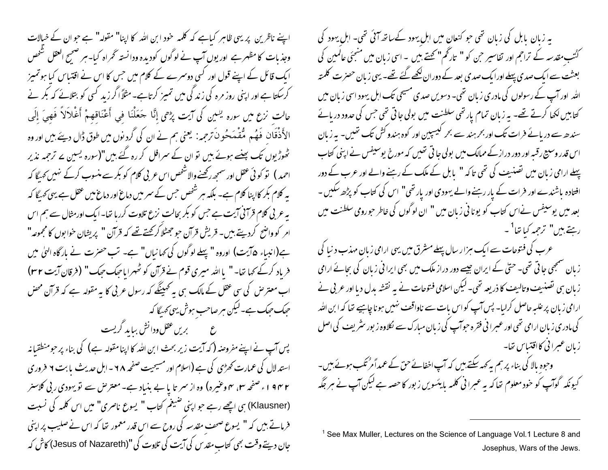اپنے ناظرین پر یہی ظاہر کیاہے کہ کلمہ خود ابن اللہ کا اپنا" مقولہ" ہے جو ان کے خیالات وجذبات کا مظہر ہے اور یوں آپ نے لوگوں کودیدہ ودانستہ گھراہ کیا۔ہر صحیح العقل شخص ایک قائل کے اپنے قول اور کسی دوسرے کے کلام میں جس کا اس نے اقتباس کیا ہوتمیز کرسکتا ہے اور اپنی روز مرہ کی زند کی میں تمیز کرتاہے۔مثلاً اگر زید کسی کو بتلائے کہ بکر نے حالت نزع ميں سورہ يسمين كى آيت پڑھى إِنَّا حَعَلْنَا فِي أَعْنَاقِهِمْ أَغْلاَلاً فَهِيَ إِلَى الأَذْقَانِ فَهُم مُقْمَحُونَ ترجمہ: یعنی ہم نے ان کی گرد نوں میں طوق ڈال دیئے بیں اور وہ کھوڑیوں تک پہنے ہوئے ہیں تو ان کے سرافل کر رہ گئے ہیں"(سورہ یسین بے ترجمہ نذیر احمد ) تو کوئی عقل اور سمجھ رکھنے والاشخص اس عربی کلام کو بکر سے منسوب کرکے نہیں کھیگا کہ یہ کلام بکر کااپنا کلام ہے۔ بلکہ ہر شخص جس کے سمر میں دماغ اور دماغ میں عقل ہے یہی کھیگا کہ بہ عربی کلام قرآنی آیت ہے جس کو بکر بحالت نزع تلاوت کررہا تھا۔ایک اورمثال سے ہم اس امر کو واضح کردیتے ہیں۔ قریش قرآن حو جھٹلا کر کھتے تھے کہ قرآن " پریشان خوابوں کا مجموعہ" ہے(انبیاء ۵آیت) اوروہ "پہلے لوگوں کی کہانیاں" ہے۔ تب حصرت نے مار گاہ الہٰی میں فرباد کرکے کہا تھا۔ " یا اللہ میری قوم نے قرآن کو ٹھہرایاحیک حیک" (فرقان آیت ۳۲) اب معتر ص کی سی عقل کے مالک ہی ہہ کھپنگے کہ رسول عربی کا بہ مقولہ ہے کہ قرآن محض حیک حیک ہے۔لیکن ہر صاحب ہوش یہی کہ یگا کہ ع ہے جس عقل ودانش بباید گریست

پس آپ نے اپنے مفروضہ ( کہ آیت زیر بحث ابن اللہ کا اپنا مقولہ ہے) کی بناء پر حومنطقیانہ استد لال کی عمارت کھڑی کی ہے (اسلام اور مسیحیت صفحہ ۲۸ - ابل حدیث بابت ۲ فروری ۱۹۴۲ء صفحہ میں ہم وعثیرہ) وہ از سمر تا یا بے بنیاد ہے۔معتر ص سے تو یہودی ربی کلاسنر (Klausner) ہی اچھے رہے جو اپنی صبیغم کتاب " یسوع ناصری" میں اس کلمہ کی نسبت فرماتے ہیں کہ " یسوع صحف مقدسہ کی روح سے اس قدر معمور تھا کہ اس نے صلیب پر اپنی جان دیتے وقت بھی کتاب مقد س کی آیت کی تلاوت کی "(Jesus of Nazareth) کاش کہ یہ زبان پابل کی زبان تھی جو کنعان میں اہل یہود کےساتھ آئی تھی۔ اہل یہود کی کٹتب مقدسہ کے تراحم اور تفاسیر حن کو " تارخم" کھتے ہیں ۔ اسی زبان میں منتجئی عالمین کی بعثت سے ایک صدی پہلے اورایک صدی بعد کے دوران لکھے گئے تھے۔ یہی زبان حصرت کلمتہ اللہ ِ اور آپ کے رسولوں کی مادری زبان تھی۔ دسویں صدی مسیحی تک اہل یہود اسی زبان میں کتابیں لکھا کرتے تھے۔ یہ زبان تمام یار تھی سلطنت میں بولی جاتی تھی جس کی حدود دریائے سندھ سے دریائے فرات تک اور بحر ہند سے بحر لیسپین اور کوہ ہندو کش تک تھیں۔ یہ زبان اس قدر وسبیح رقبہ اور دور درارکے ممالک میں بولی جا تی تھیں کہ مورخ یوسیفس نے اپنی کتاب پہلے ارامی زبان میں تصنیف کی تھی تاکہ " بابل کے ملک کے رہنے والے اور عرب کے دور افتادہ باشندے اور فرات کے <sub>بلا</sub>ر رہنے والے یہودی اور یار تھی" اس کی کتاب کو پڑھ *سک*یں -بعد میں یوسیفس نےاس کتاب کو یونا ٹی زبان میں " ان لوگوں کی خاطر حورومی سلطنت میں رہتے ہیں" ترحمہ کیا تھا<sup>1</sup>۔

عرب کی فتوحات سے ایک ہزار سال پہلے مشرق میں یہی ارامی زبانِ مہذب دنیا کی زبان سمجھی جا تی تھی۔ حتی کے ایران جیسے دور دراز ملک میں بھی ایرا فی زبان کی بجائے ارامی زبان ہی تصنیف وتالیف کا ذریعہ تھی۔ لیکن اسلامی فتوحات نے یہ نقشہ بدل دیا اور عربی نے ارامی زبان پر علیہ حاصل کرلیا۔ پس آپ کواس بات سے ناواقف نہیں ہونا چاہیے تھا کہ ابن اللہ کی مادری زبان ارامی تھی اور عسرا فی فقرہ حبوآپ کی زبان مبارک سے لکلاوہ زبور سٹریف کی اصل زبان عسرا نی کااقتباس تھا۔

وحوہ بالا کی بناء پرہم بہ کہہ سکتے ہیں کہ آپ اخفائے حق کے عمداً مرْتکب ہوئے ہیں۔ کیونکہ گوآپ کو خود معلوم تھا کہ یہ عبرانی کلمہ بایئسویں زبور کا حصہ ہے لیکن آپ نے ہر جگہ

<sup>&</sup>lt;sup>1</sup> See Max Muller, Lectures on the Science of Language Vol.1 Lecture 8 and Josephus, Wars of the Jews.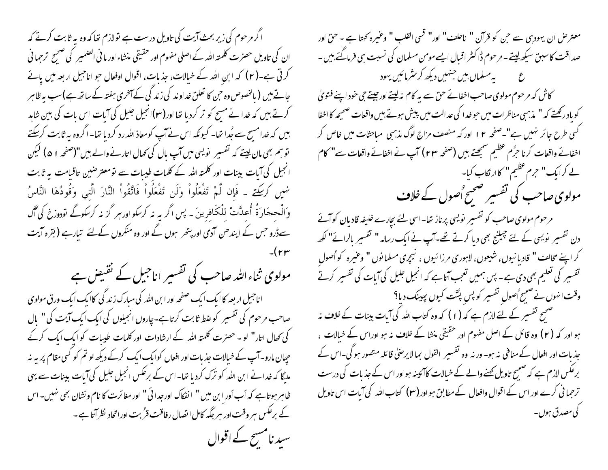اگر مرحوم کی زیر بحث آیت کی تاویل درست ہے تولازم تعاکہ وہ بہ ثابت کرتے کہ ان کی تاویل حصرت کلمتہ اللہ کے اصلی مفهوم اور حقیقی منشاء اور ما نی الضمیر کی صحیح ترجما فی کرتی ہے۔(٢) کہ ابن اللہ کے خیالات، جذبات، اقوال اوفعال جو اناجیل اربعہ میں یائے جاتے ہیں ( بالخصوص وہ حن کا تعلق خداوند کی زند گی کے آخری ہفتہ کے ساتھ ہے)سب پہ ظاہر کرتے ہیں کہ خدا نے مسیح کو تر کردیا تھا اور (۳)انجیل جلیل کی آبات اس بات کی بین شاہد بیں کہ خدا مسج سے جُدا تھا۔ کیونکہ اس نے آپ کومعاذ اللہ رد کردیا تھا۔ اگروہ ہہ ثابت کرسکتے نو ہم بھی مان لیتے کہ تفسیر نویسی میں آپ بال کی تھال اتارنے والے بیں "(صفحہ ١ ۵) لیکن انجیل کی آیات بینات اور کلمتہ اللہ کے کلمات طیبات سے تو معتر صنین تاقیامت یہ ثابت نهمِيں كركِت \_ فَإِن لَّمْ تَفْعَلُواْ وَلَن تَفْعَلُواْ فَاتَّقُواْ النَّارَ الَّتِي وَقُودُهَا النَّاسُ وَالْحِجَادَةُ أُعِدَّتْ لِلْكَافِرِينَ - پس اگر به نه كرسكو اورسر گز نه كرسكوگے تودوزخ كي آگ سےڈرو جس کے اپندھن آدمی اور پتھر ہوں گے اور وہ منکروں کےلئے تیارہے ( بقرہ آیت

مولوی ثناءاللہ صاحب کی تفسیر اناجیل کے نقیض ہے اناجیل ار بعہ کاایک ایک صفحہ اور ابن املّٰہ کی مبارک زند گی کاایک ایک ورق مولوی صاحب مرحوم کی تفسیر کو علط ثابت کرتاہے۔چاروں انجیلوں کی ایک ایک آیت کی " بال کی تھال اتار" لو۔حصرت کلمتہ اللہ کے ارشادات اور کلمات طیبات کو ایک ایک کرکے حیان مارو۔ آپ کے خیالات جذبات اور افعال کوایک ایک کرکے دیکھ لو تم کو کسی مقام پر ہہ نہ ملیگا کہ خدانے ابن اللہ کو ترک کردیا تھا۔اس کے برعکس انجیل جلیل کی آیات بینات سے یہی ظاہر ہوتاہے کہ اَب اَور ابن میں " انفکاک اورجدائی " اور مغائرت کا نام ونشان بھی نہیں۔اس کے برعکس ہر وقت اور ہر جگہ کامل اتصال رفاقت قرُ بت اوراتحاد نظرآتا ہے ۔ سید نامسج کے اقوال

معتر حن ان يهود بن سے حن كو قرآن " ناحلف" اور" قسى القلب " وغيره كھتا ہے - حق اور صداقت کاسبق سیکھ لیتے۔ مرحوم ڈاکٹر اقبال ایسے مومن مسلمان کی نسبت ہی فرمائےً بین ۔ ع ہے سلماں بیں جنہیں دیکھ کر سٹرمائیں یہود کاش کہ مرحوم مولوی صاحب اخفائے حق سے یہ کام نہ لیتے اور جیتے حی خود اپنے فتویٰ کو ماد رکھتے کہ " مذہبی مناظرات میں حو خدا کی عدالت میں پیش ہوتے ہیں واقعات صحیحہ کا اخفا گسی طرح جائر نہیں ہے"۔صفحہ ۱۲ اور کہ منصف مزاج لوگ مذہبی مباحثات میں خاص کر اخفائے واقعات کرنا حرُم عظیم سنمجھتے بیں (صفحہ ٢٣) آپ نے اخفائے واقعات سے" کام لے کرایک" حرم عظیم" کاار نکاب کیا۔ مولوی صاحب کی تفسیر صحیح اُصول کے خلاف مرحوم مولوی صاحب کو تفسیر پویسی پرناز تھا۔ اسی لئے بچارے خلیفہ قادیان کوآئے دن تفسیر پویسی کے لئے جیلنج بھی دیا کرتے تھے۔آپ نے ایک رسالہ " تفسیر بالرائے" لکھ کر اپنے مخالف " قادیا نیوں، شیعوں، لاہوری مرزائیوں ، نیچری مسلمانوں " وعنیرہ کو اُصول " تفسیر کی تعلیم بھی دی ہے۔ پس ہمیں تعجب آتا ہے کہ انجیل جلیل کی آبات کی تفسیر کرتے وقت انہوں نے ضمیح ُصولِ تفسیر کو پس پٹنت کیوں پہینک دیا؟ سمجسح تفسیر کے لئے لازم ہے کہ (۱) کہ وہ کتاب اللہ کی آیات بینات کے خلاف نہ ہو اور کہ ( ۲ ) وہ قائل کے اصل مفہوم اور حقیقی منشا کے خلاف نہ ہو اوراس کے خیالات ، جذبات اور افعال کے منافی نہ ہو۔ ور نہ وہ تفسیر القول بما لایرصلی قائلہ متصور ہو گی۔اس کے برعکس لازم ہے کہ صحیح تاویل کھنے والے کے خیالات کاآئینہ ہواور اس کے جذبات کی درست ترحما فی کرے اور اس کے اقوال وافعال کے مطابق ہو اور (۲۰) کتاب اللہ کی آیات اس تاویل كى مصدق ہوں۔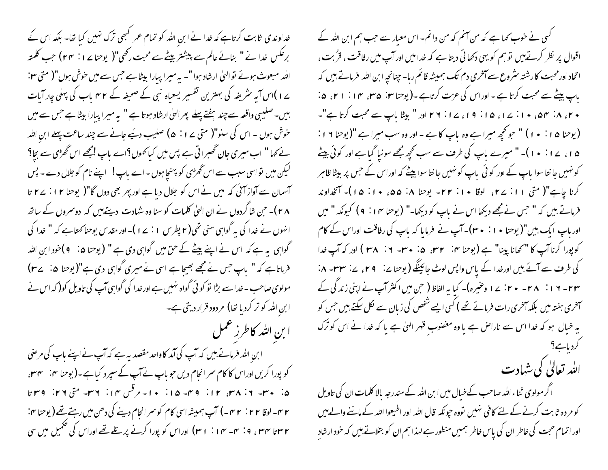خداوندی ثابت کرتاہے کہ خدا نے ابن اللہ کو تمام عمر کبھی ترک نہیں کیا تھا۔ بلکہ اس کے برعكس خدا نے " بنائے عالم سے پیشتر بیٹے سے محبت رکھی"( یوحنا پے 1 : ٢٣) حب كلمته اللہ مبعوث ہوئے تو الہیٰ ارشاد ہوا "۔ یہ میرا پیارا بیٹا ہے جس سے میں خوش ہوں"( متی ۲۰: ے ا )اس آیہ سٹریفیہ کی بہترین تفسیر یسعیاہ نبی کے صحیفہ کے r مہم ماب کی پہلی چار آبات بیں۔صلیبی واقعہ سے چند ہفتے پہلے پھرالہیٰ ارشاد ہوتا ہے " بہ میرا پیارا بیٹا ہے جس سے میں حوش ہوں ۔ اس کی سنو"( متی پے ا $\rho: \rho \in \mathbb{R}$  صلیب دئیے جانے سے چند ساعت پہلے ابن اللہ نے کہا " اب میری جان تھسرا تی ہے پس میں کیا تھوں؟اے باپ امجھے اس ٹھڑی سے بجا؟ لیکن میں نو اسی سبب سے اس گھڑی کو پہنچاہوں - اے باپ! اپنے نام کو جلال دے - پس آسمان سے آواز آئی کہ میں نے اس کو جلال دیا ہے اور پھر بھی دوں گا"( یوحنا ۱۲ : ۲۷ تا ۲۸)۔ حن شاگردوں نے ان ال<sub>ک</sub>یٰ کلمات کو سنا وہ شہادت دیتے پیں کہ دوسمروں کے ساتھ انہوں نے خدا کی یہ گواہی سنی تھی( ۲ پطرس ۱ : ۲ )۔اور مقدس یوحناکھتاہے کہ " خدا کی گواہی یہ ہے کہ اس نے اپنے بیٹے کے حق میں گواہی دی ہے " (یوحنا ۵: ۹)خود ابن اللہ فرماتاہے کہ " باپ جس نے مجھے بھیجا ہے اسی نے میری گواہی دی ہے"(یوحنا ۵: ۲۷) مولوی صاحب - خدا سے بڑا تو کو ٹی گواہ نہیں ہے اور خدا کی گواہی آپ کی تاویل کو( کہ اس نے ابنِ الله کو تر کردیا تھا) مردود قرار دیتی ہے۔ ا بن الله كاطرز عمل

ا بنِ الله فرماتے ہیں کہ آپ کی آمد کاواحد مقصد یہ ہے کہ آپ نے اپنے باپ کی مرضی کو پورا کریں اوراس کا کام سمر انحام دیں حو باپ نے آپ کے سپرد کیاہے۔(یوحنا ہی: سی ۳۲، ۵: ۳۰- ۲: ۳۸، ۱۲: ۳۹- ۱۵: ۱۰- مرقس ۱۲: ۲۶- متی ۲۶: ۳۹ r ۲- لوقا ۲ ۲ : ۲ ۳ –) آپ ہمیشہ اسی کام کو سمر انحام دینے کی دھن میں رہتے تھے ( یوحنا <sup>م</sup>r : ۲ساتا <sup>س</sup>اسی او : سہ سے ۱۰ ( ۳۰) اوراس کو پورا کرنے پر <u>تلے تھے</u> اوراس کی تکمیل میں سی

گسی نے خوب کہا ہے کہ من آنم کہ من دانم۔ اس معبار سے حب ہم ابن اللہ کے اقوال پر نظر کرتے ہیں تو ہم کو یہی دکھائی دیتا ہے کہ خدامیں اور آپ میں رفاقت ، قرُبت ، اتحاد اور محبت کارشتہ سٹروع سے آمخری دم تک ہمیشہ قائم رہا۔ چنانچہ ابن اللہ پڑ ماتے ہیں کہ باپ بیٹے سے محبت کرتا ہے - اوراس کی عزت کرتاہے -(یوحنا سین ۱۵، ۱۴، ۱۴، ۵: + ۲، ۸، ۴ نه ۵، + ۱: ۱۷، ۱۵: ۱۹، ۱۷: ۲۲ اور " بیٹا باپ سے محبت کرتا ہے"۔ (پوحنا ۱۵ : ۱۰ ) " حو کچھ میرا ہے وہ پاپ کا ہے - اور وہ سب میرا ہے "(پوحنا ۱۹ : ۱۵، ۱۷: ۱۰)۔ " میرے پاپ کی طرف سے سب کجھ مجھے سونیا گیا ہے اور کوئی بیٹے کو نہیں جا نتا سوا پاپ کے اور کو ٹی پاپ کو نہیں جا نتا سوا بیٹے کہ اوراس کے جس پر بیٹا ظاہر کرنا چاہے"( متی ۱۱: ۲۷، لوقا ۱۰: ۲۲- یوحنا ۱۸: ۵۵، ۱۰: ۱۵)- آنخداوند فرماتے ہیں کہ " حس نے مجھے دیکھا اس نے پاپ کو دیکھا۔" (یوحنا ۱۴ : ۹ ) کیونکہ " میں اور باپ ایک بیں"( یوحنا • ۱ : • ۳۰)۔ آپ نے فرمایا کہ باپ کی رفاقت اوراس کے کام کی طرف سے آئے ہیں اورخدا کے پاس واپس لوٹ جائینگے (یوحنا پے: ۲۹، پے: ۲۳۳- ۸: +۲+ ۱۱: ۲۸- ۲۰ : ۷ وعنیرہ)۔ کیا یہ الفاظ( حن میں اکثر آپ نے اپنی زند گی کے سمخری ہفتہ میں بلکہ آخری رات فرمائے تھے ) کسی ایسے شخص کی زبان سے لکل سکتے ہیں جس کو یہ خیال ہو کہ خدا اس سے ناراحل ہے یا وہ مغضوب قہر الہیٰ ہے یا کہ خدا نے اس کو ترک اللہ تعالیٰ کی شہادت

اگر مولوی ثناء اللہ صاحب کےخیال میں ابن اللہ کے مندرجہ بالا کلمات ان کی تاویل کو مر دہ ثابت کرنے کے لئے کافی نہیں تووہ حیونکہ قال ا<sub>للّٰہ</sub> اور اطیعوا ال<sub>لّٰہ</sub> کے ماننے والے *ہیں* اور اتمام حجت کی خاطر ان کی پاس خاطر ہمیں منطور ہے لہذا ہم ان کو بتلاتے ہیں کہ خود ارشاد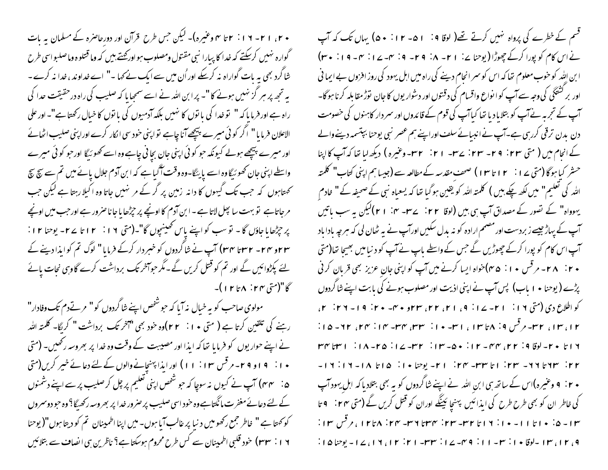+ ٢، ١ ٢ - ١ ١ : ٢ تا ٣ وعنيره)- ليكن حس طرح قرآن اور دورحاصره كے مسلمان به بات گواره نهبیں کرسکتے کہ خدا کا پیارا نبی مقتول ومصلوب ہو اور محتے بیں کہ وما قتلوه وماصلبو اسی طرح شاگرد بھی بہ بات گواراہ نہ کرسکے اور اُن میں سے ایک نے کہا ۔" اے خداوند ، خدا نہ کرے۔ یہ تجھ پر ہر گز نہیں ہونے کا "۔ پرا بن اللہ نے اسے سمجھا ما کہ صلیب کی راہ درحقیقت حدا کی راہ ہے اور فرمایا کہ " نو خدا کی یا نوں کا نہیں بلکہ آدمیوں کی با نوں کا خبال رکھتا ہے"۔ اور علی الاعلان فرمایا" اگر کوئی میرے پیچھےآنا چاہے نواپنی خود سی الکار کرے اوراپنی صلیب اٹھائے اور میرے پیچھے ہولے کیونکہ حو کوئی اپنی جان بچانی چاہے وہ اسے کھو ئیگا اورحو کوئی میرے واسطے اپنی جان کھو سُیگا وہ اسے پایئگا-وہ وقت آگیا ہے کہ ابن آدم جلال پائے میں تم سے سچ سچ تحمتاہوں کہ جب تک گیہوں کا دانہ زمین پر گر کے مر تہیں جاتا وہ اکیلارہتا ہے لیکن جب مرجاتاہے تو بہت سا پھل لاتا ہے ۔ ابن آدم کا اونچے پر حپڑھا یا جا ناصرور ہے اور حب میں اونچے بر جرِّرُها یا جاؤں گا - نو سب کو اپنے پاس تھینیچوں گا"۔(متی ۱۶: ۱۲ تا ۲۷- یوحنا ۱۲: ۴۳ و ۲۴۔ ۲۳ تا ۳۴) آپ نے شاگردوں کو خبر دار کرکے فرمایا " لوگ تم کوایذا دینے کے لئے پکڑوائیں گے اور تم کو قتل کریں گے۔مگر حواسخر تک برداشت کرے گاوہی نجات پائے سڪا"(ستي ٢٣ ÷ ٨ تا ٢ ا )-

مولوی صاحب کو بہ خیال بذ آیا کہ حبو شخص اپنے شاگردوں کو " مرتےدم تک وفادار" رہنے کی تلقین کرتا ہے ( متی • ۱ : ۲ ۲)وہ خود بھی "آخر تک برداشت " کریگا- کلمتہ اللہ نے اپنے حوار یوں کو فرمایا تھا کہ ابذا اور مصیبت کے وقت وہ خدا پر بھروسہ رکھیں۔ (متی + ا : 9 او 4 ۲- مرقس ۱۱ : ۱۱ ) اور ایذا پهن<u>ج</u>انے والوں کے لئے دعائے خبیر کریں(متی ۵: ۳۴) آپ نے کیوں نہ سوچا کہ حو شخص اپنی تعلیم پر چل کر صلیب پر سے اپنے دشمنوں کے لئے دعائے مغفرت مانگتاہےوہ خود اسی صلیب پر صرور خدا پر بھروسہ رکھیگا؟ وہ حبو دوسمروں کو کہتا ہے " خاطر جمع رکھومیں د نیا پر غالب آیا ہوں۔میں اپنا اطمینان تم کو دیتا ہوں"( یوحنا ۱۶: ۳۳) خود قلبی اطمینان سے کس طرح محروم ہوسکتا ہے؟ ناظرین ہی انصاف سے بتلائیں

قسم کے خطرے کی پرواہ نہیں کرتے تھے( لوقا 4: 1 ۵- ۱۲: • ۵) یہاں تک کہ آپ نے اس کام کو پورا کرکے چھوڑا (یوحنا پے: ۲۱ - ۸: ۲۹ - ۶ : ۳- ۱۷: ۳ - ۶ ا : ۳۰ ا بن اِللّٰہ کو حوب معلوم تھا کہ اس کو سمر انحام دینے کی راہ میں اہل یہود کی روز افروں بے ایما نی اور بر کشیگی کی وجہ سے آپ کو ا نواع واقسام کی دقتوں اور دشوار یوں کا جان توڑ مقابلہ کرنا ہوگا-آپ کے تجربہ نے آپ کو بتلایا دیا تھا کیاآپ کی قوم کے قائدوں اور سمر دار کاہنوں کی خصومت دن بدن ترقی کررہی ہے۔آپ نے انبیائے سلف اوراپنے ہم عصر نبی یوحنا بپتسمہ دینے والے کے انجام میں ( متی ۲۳: ۲۹- ۲۳- ۲۲: ۲۳- ۲۱: ۲۳-وغیرہ) دیکھ لیا تعا کہ آپ کا اپنا حشر کیا ہوگا (متی ۲۱: ۱۲ تا ۱۳) صحف مقدسہ کے مطالعہ سے (جیسا ہم اپنی کتاب" کلمتہ اللہ کی تعلیم" میں لکھ چکے بیں ) کلمتہ اللہ کو یقین ہوگیا تھا کہ یسعیاہ نبی کے صحیفہ کے " خادم یہوواہ" کے تصور کے مصداق آپ ہی بیں (لوقا ۲۲ : ۲۳۔ ۴۰: ۲۱) لیکن یہ سب باتیں آپ کے پہاڑ جیسے زبردست اور مصمم ارادہ کو نہ بدل سکیں اورآپ نے بہ ٹھان لی کہ ہرجہ باداباد آپ اس کام کو پورا کرکے چھوڑیں گے جس کے واسطے ماپ نے آپ کو دنیا میں بھیجا تھا(متی ۲۰ : ۲۸- مرقس ۱۰: ۴۵)خواه ایسا کرنے میں آپ کو اپنی جانِ عزیز بھی قربان کرنی پڑے (یوحنا • ۱ باب) پس آپ نے اپنی اذیت اور مصلوب ہونے کی بابت اپنے شاگردوں کو اطلاع دی (متی ۱۹ : ۱ - ۲ - ۱۷ : ۹ ، ۱ ۲، ۲۲، ۲۳، ۲۳و ۴۰ - ۴۰ : ۱ 9 - ۲۲: ۲، ۱۳، ۱۳، ۲۳- مرقس ۱۹. ۸ تا ۱۳، ۱ س-۱۰. ۳۳، ۳۳- ۱۴، ۲۳، ۲۲-۱۵: ۳۱ تا ۲۰ سالوقا ۲۹ تا ۳۲ تا ۲۰ سال ۲۰۰۴ – ۱۲ تا ۲۰۰۴ – ۱۷ تا ۲۰۰۴ تا ۳۳ سال ۲۰۰۴ ۲۲: ۳۳ تا ۲۱- ۲۳: اتا ۳۳- ۲۳: ۲۱- یوضا ۱۰: ۱۵: ۱۸- ۱۲: ۱۲-• ٢: ٩ وعنیرہ)اس کے ساتھ ہی ابن اللہ نے اپنے شاگردوں کو یہ بھی بتلاد ماکہ اہل یہود آپ کی خاطر ان کو بھی طرح طرح کی ایذائیں پہنچا ئینگے اوران کو قتل کریں گے **(م**تی **۲۴**: ۹ تا ۱۳- ۵۰ - ۱ تا ۱۱- ۱۰ تا ۱۲ تا ۲۳- ۲۳- ۲۳: ۴۳۳- ۲۳ تا ۱۲ تا ۱۲ تا برقس ۱۳: ۹، ۱۲، ۱۳، اسلوقا ۱۰: ۳۳- ۱۱: ۹۴-۱۷: ۳۳- ۲۱: ۲۱، ۲۱، ۱۷، ۲۰ پوچا ۱۵: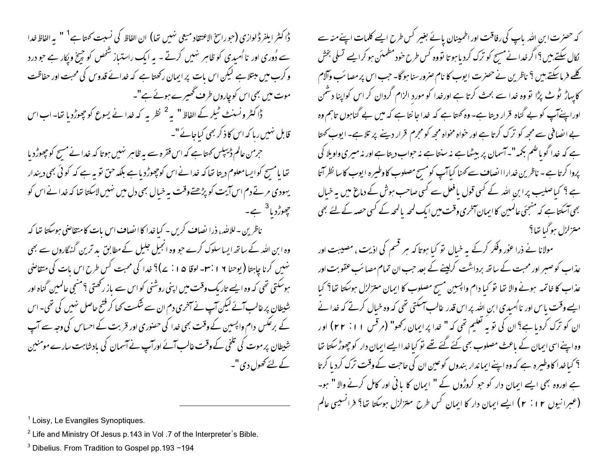دُّا كثر ايلفردُّ لوازي (جوراسخ الاعتقاد ميعي نهيس تها) ان الفاظ كي نسبت كهمّا ہے <sup>1</sup> " به الفاظ *فد*ا سے دُوری اور نا اُمبدی کو ظاہر نہیں کرتے ۔ یہ ایک راستیاز شخص کو چیخ ویکار ہے جو درد و کرب میں مبتلاہے لیکن اس بات پر ایمان رکھتا ہے کہ خدائے قدوس کی محبت اور حفاظت موت میں بھی اس کوچاروں طرف ٹھیرے ہوئے ہے"۔ ڈاکٹر ونسنٹ ٹیلر کے الفاظ " یہ <sup>2</sup> نظر یہ کہ خدا نے یسوع کو چھوڑدیا تھا۔ اب اس قابل نہیں رہا کہ اس کا ذکر بھی کیاجائے "۔

حرمن عالم ڈیپلس کھتاہے کہ اس فقرہ سے یہ ظاہر نہیں ہوتا کہ خدانے مسح کو چھوڑد یا تھا یامسح کوایسامعلوم دیتا تھا کہ خدانےاس کوچھوڑد یاہے بلکہ حق تو بہ ہے کہ کوئی بھی دیندار یهودی مرتے دم اس آیت کو پڑھتےوقت پہ خیال بھی دل میں نہیں لاسکتا تھا کہ خدا نے اس کو مچھوڑد ہا<sup>3</sup> ہے۔

ناظرین -للایلُّد، ذرا نصاف کریں - کیاخدا کا انصاف اس بات کامنتقاضی ہوسکتا تھا کہ وہ ابن اللہ کے ساتھ ایسا سلوک کرے جو وہ انجیل جلیل کے مطابق پد ترین گنہگاروں سے بھی نهبیں کرنا چاہتا (پوحنا ٦ ¦ ۳۰- لوقا ۵ ا ∶ ۷)؟ خدا کی محبت کس طرح اس بات کی متقاضی ہوسکتی تھی کہ وہ ایسے تاریک وقت میں اپنی روشنی کو اس سے باز رکھتی ؟منھی عالمین گناہ اور شیطان پر غالب آئے کیکن آپ نے آمٹری دم ان سے شکست کھا کر فتیح حاصل نہیں کی تھی۔اس کے برعکس دام واپسین کے وقت بھی خدا کی حصوری اور قربت کے احساس کی وجہ سے آپ شیطان پر موت کی تلخی کے وقت غالب آئے اورآپ نے آسمان کی بادشاہت سارے مومنین کے لئے کھول دی "۔

کہ حصرت ابن اللہ باپ کی رفاقت اور اطمینان پائے بغیر کس طرح ایسے کلمات اپنے منہ سے کال سکتے ہیں؟اگر خدا نے مسیح کو ترک کردیا ہو تا تووہ کس طرح خود مطمئن ہو کرایے تسلی بخش کلمے فرمائیکتے ہیں ؟ ناظرین نے حصرت ایوب کا نام صرورسنا ہوگا۔ جب اس پر مصائب وآلام کا پہاڑ ٹو ٹے پڑا تو وہ خدا سے بحث کرتا ہے اورخدا کو مورد الزام گردان کر اس کواپنا دشمن اوراپنےآپ کو بے گناہ قرار دیتا ہے۔ وہ کہتا ہے کہ خدا جا نتا ہے کہ میں بے گناہوں تاہم وہ بے انصافی سے مجھ کو ترک کرتا ہے اور خواہ مخواہ مجھ کو مجرم قرار دینے پر تلا ہے۔ ایوب کھتا ہے کہ خدا گویاضم بکمہ"۔آسمان پر بیٹھاہے نہ سنتاہے نہ حواب دیتاہے اور نہ میری واویلا کی پروا کرتا ہے - ناظرین خداراالصاف سے کہنا کیاآپ کومسح مصلوب کاوطیرہ ایوب کاسا نظر آتا ہے ؟ کباصلیب پرا بن اللہ کے کسی قول یافعل سے کسی صاحب ہوش کے دماغ میں یہ خیال بھی آسکتا ہے کہ منجئی عالمین کا ایمان آمخری وقت میں ایک لمحہ یالمحہ کے کسی حصہ کے لئے بھی متزلزل ہوگیا تھا؟

مولانا نے ذرا عوٰر وفکر کرکے یہ خبال تو کبا ہوتا کہ ہر قسم کی اذیت ، مصیبت اور عذاب کو صبر اور محبت کے ساتھ برداشت کرلینے کے بعد حب ان تمام مصائب عقوبت اور عذاب کا خاتمہ ہونے والا تھا تو کیا دام واپسین مسح مصلوب کا ایمان متزلزل ہوسکتا تھا؟ کیا ایسے وقت یا س اور نااُسیدی ابن الله پر اس قدر غالب اسکتی تھی کہ وہ خیال کرتے کہ خدا نے ان کو ترک کرد با ہے؟ ان کی تو یہ تعلیم تھی کہ " خدا پر ایمان رکھو" (مرقس ۱۱: ۲۲) اور وہ اپنے اسی ایمان کے باعث مصلوب بھی کئے گئے تھے تو کیا غداایے ایمان دار کو چھوڑ سکتا تھا ؟ کیا غدا کا وطیرہ ہے کہ وہ اپنے ایما ندار بندوں کوعین ان کی حاجت کے وقت ترک کردیا کرتا ہے اوروہ بھی ایسے ایمان دار کو جو کروڑوں کے " ایمان کا یا ٹی اور کامل کرنے والا " ہو۔ (عبرانیوں ۲ : ۲ ) ایسے ایمان دار کا ایمان کس طرح متزلزل ہوسکتا تھا؟ فرانسیسی عالم

<sup>&</sup>lt;sup>1</sup> Loisy, Le Evangiles Synoptiques.

<sup>&</sup>lt;sup>2</sup> Life and Ministry Of Jesus p.143 in Vol .7 of the Interpreter's Bible.

<sup>&</sup>lt;sup>3</sup> Dibelius. From Tradition to Gospel pp. 193 -194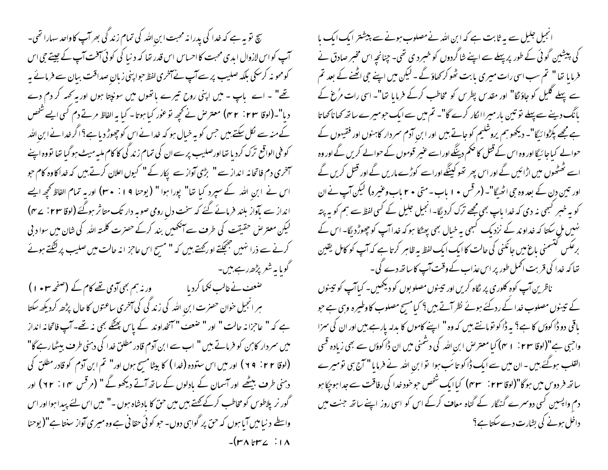سچ نو بہ ہے کہ خدا کی پدرا نہ محبت ابن اللہ کی تمام زند کی بھر آپ کاواحد سہارا تھی۔ آپ کواس لازوال ابدی محبت کااحساس اس قدر تھا کہ دنیا کی کوئی آفت آپ کے جیتے جی اس کومحو نہ کرسکی بلکہ صلیب پر سےآپ نے آخری لفظ حوا پنی زبان صداقت بیان سے فرمائے یہ تھے" ۔ اے پاپ - میں اپنی روح تیرے پاتھوں میں سونپتا ہوں اور یہ کہہ کر دم دے دیا"۔(لوقا ۴۳ : ۴۳) معترض نے تحپیہ نوعور کیا ہوتا۔ کیا یہ الفاظ مرتے دم کسی ایسے شخص کے منہ سے لکل سکتے ہیں جس کو یہ خیال ہو کہ خدا نے اس کو چھوڑ دیا ہے؟ اگر خدا نے ابن اللہ کو فنی الواقع ترک کرد با تھااورصلیب پر سے ان کی تمام زند کی کا کام ملبہ میٹ ہو گیا تھا تووہ اپنے سمخری دم فاتحانہ انداز سے " بڑی آواز سے پکار کے " کیوں اعلان کرتے ہیں کہ خداکاوہ کام حو اس نے ابن اللہ کے سپرد کیا تھا" پورا ہوا " (یوحنا 1 : • ۳) اور یہ تمام الفاظ کچھ ایسے انداز سے بآواز بلند فرمائے گئے کہ سخت دل رومی صوبہ دار تک متاثر ہوگئے (لوقا ۲۳ : ے۴) لیکن معتر ص حقیقت کی طر**ف** سے آمنگھیں بند کرکے حصرت کلمتہ ا<sub>للہ</sub> کی شان میں سوا د بی کرنے سے ذرا نہیں جنچکتے اور کچتے ہیں کہ " مسیح اس عاحز انہ حالت میں صلیب پر لَشِّتے ہوئے گویا یہ شعر پڑھ رہے،میں۔ صٰعف نے غالب نکما کردیا ہے ۔ ورنہ ہم بھی آدمی تھے کام کے (صفحہ **۲۰ ہ** ا ) ہر انجیل خوان حصرت ابنِ اللہ کی زند گی کی آخری ساعتوں کا حال پڑھ کردیکھ سکتا ہے کہ " عاجزانہ حالت " اور " ضعف " آنخداوند کے پاس پھٹکے بھی نہ تھے۔ آپ فاتحانہ انداز میں سمردار کابن کو فرماتے ہیں " اب سے ابن آدم قادر مطلق خدا کی دہنی طرف بیٹھارہے گا" (لوقا ۲۲: ۹۹) اور میں اس ستودہ (خدا ) کا بیٹا مسح ہوں اور" تم ابن آدم کو قادر مطلق کی دہنی طرف بیٹھے اور آسمان کے بادلوں کے ساتھ آتے دیکھوٹے " (مرقس ۱۴٪ ) اور

گور نر پلاطوس کو مخاطب کرکے کھتے ہیں میں حق کا بادشاہ ہوں ۔" میں اس لئے پیدا ہوا اور اس واسطے د نیا میں آیا ہوں کہ حق پر گواہی دوں۔ حو کو ئی حقا فی ہے وہ میری آواز سنتا ہے"( یوحنا  $-(r\wedge r\vee r\vee r)$ 

انجیل جلیل سے یہ ثابت ہے کہ ابن اللہ نے مصلوب ہونے سے پیشتر ایک ایک ما کی پیشین گوئی کے طور پر پہلے سے اپنے شاگردوں کو خسرد ی تھی۔ چنانچہ اس مخبر صادق نے فرمایا تھا" تم سب اسی رات میری بابت ٹھوکر کھاؤ گے ۔ لیکن میں اپنے حی ا<u>ٹھنے</u> کے بعد تم سے پہلے گلیل کو جاؤنگا" اور مقدس پطرس کو مخاطب کرکے فرمایا تھا"۔ اسی رات مرُغ کے پانگ دینے سے پہلے نو تین بار میراا کار کرے گا"۔ تم میں سے ایک حومیرے ساتھ کھا ناکھاتا ہے مجھے پکڑوائیگا"۔ دیکھو ہم پروشلیم کو جاتے ہیں اور ابن آدم سمر دار کاہنوں اور فقیہوں کے حوالے کیاجا ئیگا اور وہ اس کے قتل کا حکم دینگے اوراسے عنیر قوموں کے حوالے کریں گے اور وہ اسے ٹھٹھوں میں اڑائیں گے اور اس پھر تھو کینگے اوراسے کوڑے ماریں گے اور قتل کریں گے اور تین دن کے بعد وہ جی اٹھیگا"۔ (مرقس • 1 باب - متی • ٢ باب وعنیرہ) لیکن آپ نے ان کو بہ خبر کسمی نہ دی کہ خدا ماپ بھی مجھے ترک کردیگا- انجیل جلیل کے کسی لفظ سے ہم کو بہ پتہ نہیں مل سکتا کہ خداوند کے نزدیک کبھی بہ خیال بھی پھٹکا ہو کہ خداآپ کو چھوڑد لگا۔ اس کے برعکس لتسمنی باغ میں جانکنی کی حالت کا ایک ایک لفظ بہ ظاہر کرتا ہے کہ آپ کو کامل یقین تھا کہ خدا کی قربت اٹھمل طور پر اس عذاب کے وقت آپ کا ساتھ دے گی۔ ناظرین آپ کوه کلوری پر نگاه کریں اور تپینوں مصلو بوں کو دیکھیں۔ کیاآپ کو تپینوں کے تینوں مصلوب خدا کے ردگئے ہوئے نظر آتے ہیں؟ کیا مسج مصلوب کاوطیرہ وہی ہے حو باقی دو ڈاکوؤں کا ہے؟ یہ ڈاکو نومانتے بیں کہ وہ " اپنے کاموں کا بدلہ پارہے بیں اور ان کی سزا واجبی ہے"(لوقا ٢٣ : ١ ٣) کیا معترض ابن اللہ کی دشمنی میں ان ڈاکوؤں سے بھی زیادہ قسی القلب ہوگئے ہیں - ان میں سے ایک ڈاکو تا سَب ہوا ۔توا بن اللہ نے فرمایا " آج ہی تومیرے ساتھ فر دوس میں ہوگا"(لوقا ۲۳ : ۳۳) کیاایک شخص حو خود خدا کی رفاقت سے جدا ہوجکا ہو دم واپسین کسی دوسرے گنہگار کے گناہ معاف کرکے اس کو اسی روز اپنے ساتھ جنت میں

داخل ہونے کی بشارت دے سکتا ہے؟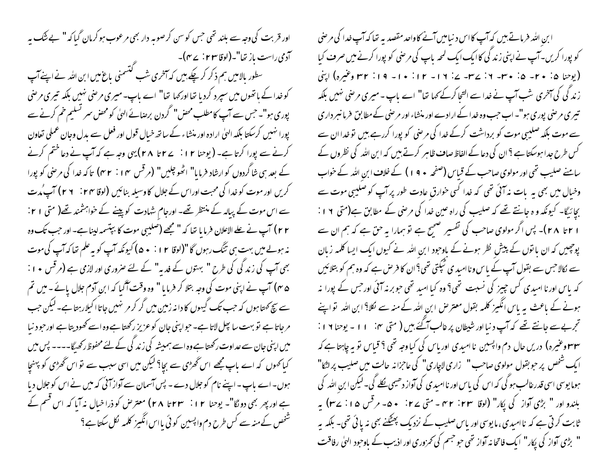اور قربت کی وجہ سے بلند تھی جس کو سن کرصوبہ دار بھی مرعوب ہو کرمان گیا کہ " بے شُک یہ آدمی راست باز تھا"۔(لوقا ۲۳ : ے۴)۔<br>سطور بالامیں ہم ذکر کر چکے ہیں کہ آخری شب گنسمنی باغ میں ابن اللہ نے اپنےآپ کو خدا کے باتھوں میں سپرد کرد ما تھا اور کھا تھا" اے باپ۔میری مرحنی نہیں بلکہ تیری مرحنی پوری ہو"۔ حس سے آپ کامطلب محض" گردن برصائے الہیٰ کومحض سمر تسلیم خم کرنے سے پورا نہیں کرسکتا بلکہ الہیٰ ارادہ اور منشاء کے ساتھ خیال قول اور فعل سے بدل وجان عملی تعاون کرنے سے پورا کرتا ہے۔ ( یوحنا ۱۲ : یے ۲ تا ۲۸ ) یہی وجہ ہے کہ آپ نے دعا ختم کرنے کے بعد ہی شاگردوں کوارشاد فرمایا" اٹھو چلیں" (مرقس ۲۰۱۴) ایک خدا کی مرضی کو پورا کریں اور موت کو خدا کی محبت اوراس کے جلال کا وسیلہ بنائیں **(لوفا ۲۴ : ۲۶ ) آپ <sub>مُ</sub>ر**ت سے اس موت کے پیالہ کے منتظر تھے۔ اورجام شہادت کو پینے کے خواہشمند تھے( متی ۲۱ : ۲۲) آپ نے علے الاعلان فرمایا تھا کہ " مجھے (صلیبی موت کا بپتسمہ لینا ہے۔ اور حب تک وہ نہ ہولے میں بہت ہی تنگ رہوں گا "(لوقا ۱۲ : • ۵) کیونکہ آپ کو یہ علم تعاکہ آپ کی موت بھی آپ کی زند کی کی طرح " بہتوں کے فدیہ" کے لئے صروری اور لازمی ہے (مرقس ٭ ا : ۵ ۴) آپ نے اپنی موت کی وجہ بتلا کر فرمایا " وہ وقت آگیا کہ ابن آدم جلال یائے ۔میں تم سے سچ کھتا ہوں کہ حب تک گیہوں کا دانہ زمین میں گر کر مر نہیں جاتا اکیلارہتا ہے۔لیکن حب مرجاتا ہے تو بہت سا پھل لاتا ہے۔ حواپنی جان کوعزیز رکھتا ہے وہ اسے کھودیتا ہے اورحود نبا میں اپنی جان سے عداوت رکھتا ہے وہ اسے ہمیشہ کی زند کی کے لئے محفوظ رکھیگا۔۔۔۔ پس میں کیا کھوں کہ اے باپ مجھے اس گھڑی سے بچا؟ لیکن میں اسی سبب سے تو اس گھڑی کو پہنچا ہوں۔اے پاپ - اپنے نام کو جلال دے - پس آسمان سے آواز آئی کہ میں نے اس کو جلال دیا ہے اور پھر بھی دو لگا"۔ یوحنا ۱۲: ۳۳ تا ۲۸) معتر حل کو ذرا خیال نہ آیا کہ اس قسم کے شخص کے منہ سے کس طرح دم واپسین کوئی یااس انگہز کلمہ لکل سکتا ہے؟

ابن الله فرماتے بیں کہ آپ کااس د نیامیں آنے کاواحد مقصد یہ تعا کہ آپ خدا کی مرضی کو پورا کریں۔آپ نےاپنی زند کی کاایک ایک لمحہ باپ کی مر<sup>حن</sup>ی کو پورا کرنے میں صرف کیا (يوحنا ۵: ۲۰- ۵: ۳۰- ۲: ۳۷- ۷: ۷- ۱۲: ۱۰- ۱۲: ۱۰- ۱۹: ۳۲ وغیره) اپنی زند گی کی آخری شب آپ نے خدا سے التحا کرکے کہا تھا" اے باپ - میری مرضی نہیں بلکہ تبیری مرضی پوری ہو"۔ اب حب وہ خدا کے ارادے اور منشاء اور مرضی کے مطابق فرمانسر داری سے موت بلکہ صلیبی موت کو برداشت کرکے خدا کی مرضی کو پورا کررہے ہیں تو خدا ان سے کس طرح جدا ہوسکتا ہے ؟ ان کی دعا کے الفاظ صاف ظاہر کرتے ہیں کہ ابن اللہ کی نظروں کے سامنے صلیب تھی اور مولوی صاحب کے قباس (صفحہ ٭ 9 ۱ ) کے خلاف ابن اللہ کے خواب وخیال میں بھی یہ بات نہ آئی تھی کہ خدا کسی خوارق عادت طور پر آپ کو صلیبی موت سے بچائیگا- کیونکہ و ہ جانتے تھے کہ صلیب کی راہ عین خدا کی مرحنی کے مطابق ہے(متی ١٩ : ا ۲ تا ۲۸ )۔ پس اگر مولوی صاحب کی تفسیر صحیح ہے تو ہمارا بہ حق ہے کہ ہم ان سے پوچیس کہ ان یا نوں کے پیش نظر ہونے کے باوجود ابن اللہ نے کیوں ایک ایسا کلمہ زبان سے کالاحس سے بقول آپ کے پاس و ناامید ی ٹیکتی تھی؟ ان کا فرص ہے کہ وہ ہم کو بتلائیں کہ باس اور نا امیدی کس چییز کی نسبت تھی؟ وہ کیا امید تھی حبوبر نہ آئی اور جس کے پورا نہ ہونے کے باعث یہ پاس انگیز کلمہ بقول معترض ابن اللہ کے منہ سے لکل<sup>9</sup> ابن اللہ تو اپنے تحربےسے جانتے تھے کہ آپ د نبااور شیطان پر غالب آگئے ہیں ( متی ۲۰ تا ۱۰ - یوحنا ۱۹ ا **۳۳ وعنیرہ) دریں حال دم و**اپسین نا امیدی اور ماس کی کیاوجہ تھی <sup>9</sup> قباس تو یہ چاہتا ہے کہ ایک شخص پر حوبقول مولوی صاحب " زاری لاچاری" کی عاجزانه حالت میں صلیب پر لٹکا" ہوما یوسی اسی قدرعالب ہو گی کہ اس کی پاس اور ناامیدی کی آواز دھی<u>سی لک</u>ھ گی۔ لیکن ابن اللہ کی بلندو اور " بڑی آواز کی پکار" (لوقا ۲۳: ۳۲ - متی ۲۷: ۵۰ - مرقس ۵۵: ۲۷) په ثابت کر ٹی ہے کہ ناامیدی ،مایوسی اور پاس صلیب کے نزدیک پھٹکنے بھی نہ یا ئی تھی۔ بلکہ پہ " بڑی آواز کی پکار" ایک فاتحا نہ آواز تھی حو حبتم کی تھروری اور اذیب کے باوحود الهیٰ رفاقت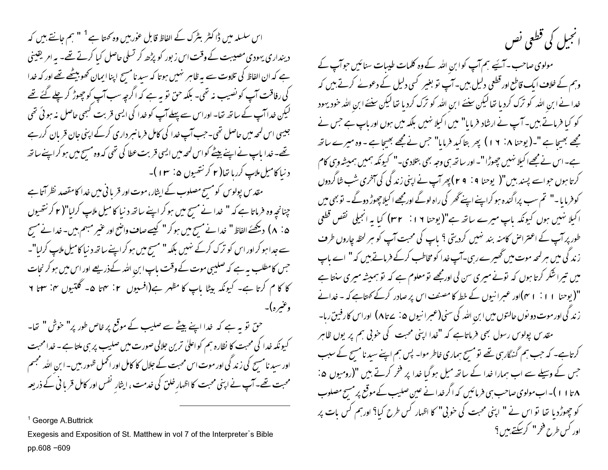اس سلسلہ میں ڈاکٹر بٹرک کے الفاظ قابل عوٰر بیں وہ کھتا ہے <sup>1</sup> " ہم جانتے ہیں کہ دینداری یہودی مصیبت کے وقت اس زبور کو پڑھ کر تسلی حاصل کیا کرتے تھے۔ یہ امر یقینی ہے کہ ان الفاظ کی تلاوت سے بہ ظاہر نہیں ہوتا کہ سید نامس<sup>ے</sup> اپنا ایمان کھوبیٹھے تھے اور کہ خدا کی رفاقت آپ کو نصیب نہ تھی۔ بلکہ حن تو بہ ہے کہ اگرچہ سب آپ کو چھوڑ کر چلے گئے تھے لیکن خداآپ کے ساتھ تھا۔ اوراس سے پہلے آپ کو خدا کی ایسی قربت کسجی حاصل نہ ہوئی تھی جیسی اس لمحہ میں حاصل تھی۔جب آپ غدا کی کامل فرما نسر داری کرکے اپنی جان قربان کررہے تھے۔خدا باپ نےاپنے بیٹے کواس لمحہ میں ایسی قربت عطا کی تھی کہ وہ مسح میں ہو کراپنے ساتھ د نیا کامیل ملاپ کررہا تھا( ۲ کر نتھیوں ۵: ۳ ا )۔

مقدس پولوس کومسیح مصلوب کے ایثار، موت اور قربا فی میں خدا کامقصد نظر آتا ہے چنانچہ وہ فرماتا ہے کہ " خدا نے مسح میں ہو کر اپنے ساتھ د نیا کا میل ملاپ کرلیا"( ۲ کرنتھیوں ۵ : ۸ ) دیکھئے الفاظ " خدا نے مسح میں ہو کر " کیسے صاف واضح اور عنیر مبہم بیں۔خدا نے مسح سے جدا ہو کراور اس کو ترک کرکے نہیں بلکہ " مسح میں ہو کراپنے ساتھ د نبا کامیل ملاپ کرلیا"۔ جس کامطلب ہہ ہے کہ صلیبی موت کے وقت باپ ابن اللہ کےذریعے اور اس میں ہو کر نجات کا کا م کرتا ہے۔ کیونکہ بیٹا باپ کا مظہر ہے(افسیوں ۲: ۴ تا ۵۔ گلتیوں ۴: ۳ ۲ وغيره)-

حق نو ہہ ہے کہ خدا اپنے بیٹے سے صلیب کے موقع پر خاص طور پر" خوش " تعا-کیونکہ خدا کی محبت کا نظارہ ہم کو اعلیٰ ترین جلالی صورت میں صلیب پر ہی ملتا ہے ۔ خدا محبت اور سبید نامسیح کی زند گی اور موت اس محبت کے جلال کا کامل اور اٹھمل ظہور بیس۔ ابن اللہ مجسم محبت تھے۔ آپ نے اپنی محبت کا اظہارِ خلق کی خدمت ، ایثارِ نفس اور کامل قربا فی کے ذریعہ

<sup>1</sup> George A. Buttrick

Exegesis and Exposition of St. Matthew in vol 7 of the Interpreter's Bible pp.608-609

## انجیل کی قطعی نص

مولوی صاحب ۔ آیئے ہم آپ کو ابن اللہ کے وہ کلمات طیبات سنائیں حوآپ کے وہم کے خلاف ایک قاطع اور قطعی دلیل بیں۔آپ تو بغیر کسی دلیل کے دعولے کرتے بیں کہ خدا نے ابن اللہ کو ترک کردیا تھالیکن سنئے ابن اللہ کو ترک کردیا تھالیکن سنئے ابن اللہ خود یہود کو کیا فرماتے ہیں۔آپ نے ارشاد فرمایا" میں اکیلا نہیں بلکہ میں ہوں اور باپ ہے جس نے مجھے بھیجا ہے "۔(یوحنا ۱۸: ۱۹) پھر بتاکید فرمایا" جس نے مجھے بھیجا ہے - وہ میرے ساتھ ہے۔اس نے مجھےا کیلا نہیں چھوڑا "۔اور ساتھ ہی وجہ بھی بتلادی۔" کیونکہ ہمیں ہمیشہ وہی کام کرتا ہوں حواسے پسند بیں"( یوحنا 1 : 4 r) پھر آپ نے اپنی زند کی کی آخری شب شاگردوں ( کوفرما یا -" تم سب پراگندہ ہو کراپنے اپنے گھر کی راہ لوگے اورمجھے اکیلا چھوڑ دوگے - تو بھی میں اکیلا نہیں ہوں کیونکہ باپ میرے ساتھ ہے"(یوحنا ١٦ : ٣٢) کیا یہ انجیلی نقص قطعی طور پر آپ کے اعتراض کامنہ بند نہیں کردیتی ؟ باپ کی محبت آپ کو ہر لحظہ چاروں طرف ز ند گی میں ہر لمحہ موت میں گھیرے رہی۔آپ خدا کو مخاطب کرکے فرماتے بیں کہ" اے باپ میں تیرا شکر کرتا ہوں کہ تونے میری سن لی اورمجھے تو معلوم ہے کہ تو ہمیشہ میری سنتا ہے "(یوحنا ۱ ۱ : ۱ می)اور عبرانیوں کے خط کا مصنف اس پر صادر کرکے <sub>ک</sub>حتاہے کہ ۔ خدانے ز ند گی اور موت دو نوں حالتوں میں ابن اللہ کی سنی(عبرا نیوں ۵: سے تا ۸) اوراس کارفین رہا۔ مقدس پولوس رسول بھی فرماتاہے کہ "خدا اپنی محبت کی خوبی ہم پر یوں ظاہر کرتاہے۔ کہ جب ہم گنہگارہی تھے تومسح ہماری خاطر موا۔ پس ہم اپنے سید نامسح کے سبب جس کے وسیلے سے اب ہمارا خدا کے ساتھ میل ہوگیا خدا پر فخر کرتے ہیں "(رومیوں ۵: ۸ تا ۱۱)۔اب مولوی صاحب سی فرمائیں کہ اگر خدانے عین صلیب کے موقع پر مسح مصلوب کو حجھوڑد یا تھا تو اس نے " اپنی محبت کی خوبی" کا اظہار کس طرح کیا؟ اور ہم کس بات پر اور کس طرح فخر " کرسکتے ہیں ؟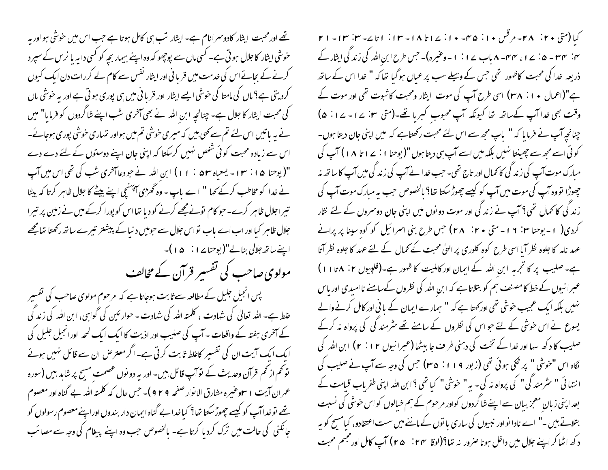تھے اور محبت ایثار کادوسرانام ہے۔ ایثار تب ہی کامل ہوتا ہے جب اس میں خوشی ہو اور یہ خوشی ایثار کا جلال ہو تی ہے۔ کسی ماں سے پوچھو کہ وہ اپنے بیمار بجہ کو کسی دابہ یا نرس کے سپر د کرنے کے بجائے اس کی خدمت میں قریا فی اور ایثار نفس سے کام لے کر رات دن ایک کیوں کردیتی ہے؟ ماں کی مامتا کی خوشی ایسے ایثار اور قریا فی میں ہی پوری ہو تی ہے اور بہ خوشی ماں کی محبت ایثار کا جلال ہے۔چنانچہ ابنِ اللہ نے بھی آخری شب اپنے شاگردوں کو فرمایا" میں نے پہ باتیں اس لئے تم سے کھی بیں کہ میری خوشی تم میں ہواور تہاری خوشی پوری ہوجائے۔ اس سے زیادہ محبت کوئی شخص نہیں کرسکتا کہ اپنی جان اپنے دوستوں کے لئے دے دے "( یوحنا ۱۵ : ۱۳ - یسعیاه ۵۳ : ۱۱) ابن الله نے جو دعا آخری شب کی تھی اس میں آپ نے خدا کو مخاطب کرکے کہا " اے باپ - وہ ٹھڑی آئبسنجی اپنے بیٹے کا جلال ظاہر کرتا کہ بیٹا تیراجلال ظاہر کرے۔حو کام نونےمجھے کرنے کو دیا تھااس کو پورا کرکے میں نے زمین پر تیرا جلال ظاہر کیا اور اب اے باب نواس جلال سے حومیں دنیا کے پیشتر تیرے ساتھ رکھتا تھامجھے 

مولوی صاحب کی تفسیر قرآن کے مخالف

پس انجیل جلیل کے مطالعہ سے ثابت ہوجاتا ہے کہ مرحوم مولوی صاحب کی تفسیر علط ہے۔ اللہ تعالیٰ کی شہادت ، کلمتہ اللہ کی شہادت - حوار ئین کی گواہی، ابن اللہ کی زند گی کے آخری ہفتہ کے واقعات ۔ آپ کی صلیب اور اذیت کا ایک ایک لمحہ اورانجیل جلیل کی ایک ایک آیت ان کی تفسیر کاعلط ثابت کرتی ہے۔ اگر معتر من ان سے قائل نہیں ہوئے تو تھم از تھم قرآن وحدیث کے توآپ قائل بیں۔ اور یہ دو نوں عصمت مسح پر شاید بیں (سورہ عمر ان آیت ۱ سعوعنیره مشارق الا نوار صفحه ۹ ۲ ۹ ) – حس حال که کلمته الله بے گناه اور معصوم تھے نوخداآپ کو کیسے چھوڑ سکتا تھا؟ کیاخدا بے گناہ ایمان دار بندوں اوراپنے معصوم رسولوں کو جانکنی کی حالت میں ترک کردیا کرتا ہے۔ بالخصوص حب وہ اپنے پیغام کی وجہ سے مصائب

كيا (متى ٢٠ : ٢٨- مرقس ١٠: ٣٥- ١٠: ١٤٢٤ ١٦ - ١٣: ١٢ ك- ٣: ٣١- ٢١ ۴: ۳۳-۵: ۷ - ۱، ۳۴-۸ باب ۱۷: ۱-وعنیرہ)۔ جس طرح ابن اللہ کی زند گی ایثار کے ذریعہ خدا کی محبت کاظہور تھی جس کے وسیلے سب پر عباں ہو گیا تعا کہ " خدا اس کے ساتھ ہے"(اعمال ۱۰: ۳۸) اسی طرح آپ کی موت ایثار ومحبت کا ثبوت تھی اور موت کے وقت بھی خدا آپ کےساتھ تھا کیونکہ آپ محبوب کہریا تھے۔(متی ۲۰ × ۱ - ۲۰ ٪ ۵) چنانچہ آپ نے فرما ہا کہ " پاپ مجھ سے اس لئے محبت رکھتاہے کہ میں اپنی جان دیتا ہوں۔ کوئی اسے مجھ سے چھینتا نہیں بلکہ میں اسے آپ ہی دیتا ہوں "(یوحنا ۱ : ۲ ۱ تا ۱۸ ) آپ کی مبارک موت آپ کی زند گی کانمال اور تاج تھی۔ حب خدا نے آپ کی زند گی میں آپ کا ساتھ نہ چھوڑا نووہ آپ کی موت میں آپ کو کیسے چھوڑ سکتا تھا؟ مالخصوص حب بہ مبارک موت آپ کی زند گی کا کمال تھی؟ آپ نے زند گی اور موت دو نوں میں اپنی جان دوسروں کے لئے نثار کردی( ۱ - یوحنا ۳۰: ۱۲ - متی ۲۰: ۲۸) جس طرح بنی اسرائیل کو کوه سپنا پر پرانے عہد نامہ کا جلوہ نظر آیا اسی طرح کوہ کلوری پر الہیٰ محبت کے کمال کے لئے عہد کا جلوہ نظر آتا ہے۔صلیب پر کا تجربہ ابن اللہ کے ایمان اور کاملیت کا ظہور ہے۔(فلپیوں ۲: ۱۶ ا ا ) عبرا نیوں کے خط کا مصنف ہم کو بتلاتا ہے کہ ابن اللہ کی نظروں کےسامنے نا امیدی اور پاس نہیں بلکہ ایک عجیب حوشی تھی اور <sub>ک</sub>متا ہے کہ " ہمارے ایمان کے مانی اور کامل کرنے والے یسوع نے اس خوشی کے لئے حبواس کی نظروں کے سامنے تھے مثر مند کی کی پرواہ نہ کرکے صلیب کا د کھ سہا اور خدا کے تخت کی دہنی طر **ف** جا بیٹھا (عمبرانیوں ۲۰۱۲ ) ابن ا<sub>للّٰہ</sub> کی نگاہ اس "خوشی " پر گئی ہوئی تھی (زبور ۱۱۹: ۳۵) <sup>ج</sup>س کی و*جہ سے* آپ نے صلیب کی انتہائی " سٹرمند کی" کی پرواہ نہ کی۔ یہ" خوشی" کیا تھی ؟ابن اللہ اپنی طفریاب قیامت کے بعد اپنی زبان معجز بیان سے اپنے نٹا گردوں کواور مرحوم کے ہم خیالوں کو اس خوشی کی نسبت بتلاتے ہیں۔" اے نادا نواور نبیوں کی ساری یا توں کے ماننے میں سست اعتقادو، کیامسج کو یہ د کھ اٹھا کر اپنے جلال میں داخل ہونا صرور نہ تھا؟(لوقا ۲۴ : ۴۵ ) آپ کامل اور مجتم محبت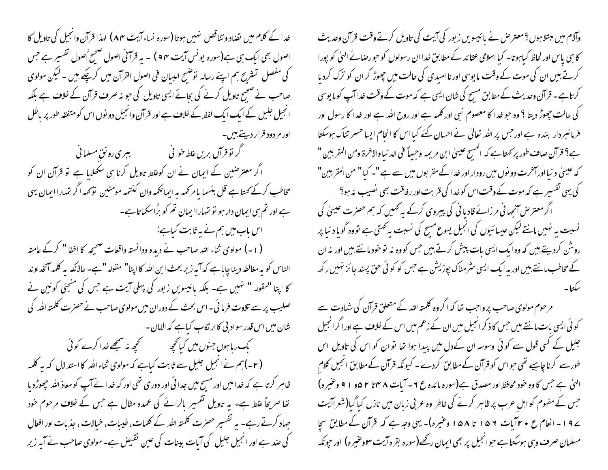خدا کے کلام میں تضاد و تناقص نہیں ہوتا (سورہ نساء آیت ۸۴) لہذا قرآن وانجیل کی تاویل کا اصول بھی ایک ہی ہے(سورہ یونس آیت ۴ e ) ۔ یہ قرآنی اصول صبح ُاصول تفسیر ہے جس کی مفصل تشریح ہم اپنے رسالہ توضیح البسان فی اصول القرآن میں کرچکے ہیں ۔ لیکن مولوی صاحب نے صحیح تاویل کرنے کی بحائے ایسی تاویل کی حبو نہ صرف قرآن کے خلاف ہے بلکہ انجیل جلیل کے ایک ایک لفظ کے خلاف ہے اور قرآن وانجیل دو نوں اس کومتفقہ طور پر پاطل اور مر دود قرار دیتے، پیں۔ گر نوقرآن بریں غلط خوانی مسلمانی کے بہتری رونق مسلمانی کے ا اگر معترضین کے ایمان نے ان کوعلط تاویل کرنا ہی سکھلایا ہے تو قرآن ان کو مخاطب کرکے <sub>ک</sub>ھتا ہے قل بئسما یامر *کم*ہ ہہ ایمانکمہ وان کنتیمہ مومنین نوَ <sub>ک</sub>مہ اگر تہاراایمان یہی ہے اور تم ہی ایمان دار ہو نو تہاراایمان تم کو برُاسکھاتاہے۔ اس باب میں ہم نے یہ ثابت کیاہے: (۱۔) مولوی ثناء اللہ صاحب نے دیدہ ودانستہ واقعات صحیحہ کا اخفا " کرکے عامتہ الناس کو بہ مغالطہ دینا چاپاہے کہ آپہ زیر بحث ابن اللہ کا اپنا" مقولہ "ہے۔ حالانکہ پہ کلمہ آنخداوند کا اپنا "مقولہ " نہیں ہے۔ بلکہ پائیسویں زبور کی پہلی آیت ہے جس کی منجئی کونین نے صلیب پر سے تلاوت فرما ئی ۔اس بحث کے دوران میں مولوی صاحب نے حصر ت کلمتہ اللہ کی شان میں اس قدر سواد بی کاار نکاب کیاہے کہ الامان -یک ریا ہوں جنوں میں کیا تحجیہ کے مجیھ نہ سمجھے خدا کرے کوئی (۲۔)ہم نے انجیل جلیل سے ثابت کیاہے کہ مولوی ثناء اللہ کا استدلال کہ یہ کلمہ ظاہر کرتا ہے کہ خدامیں اور مسح میں جدا ئی اور دوری تھی اور کہ خدا نے آپ کو معاذ اللہ حچھوڑد یا تھا صریحاً علط ہے۔ بہ تاویل تفسیر بالرائے کی عمدہ مثال ہے جس کے خلاف مرحوم خود جہاد کرتے رہے۔ یہ تفسیر حصرت کلمتہ اللہ کے کلمات، طیبات، خیالات ، جذبات اور افعال کی صد ہے اور انجیل جلیل کی آبات بینات کی عین نقیض ہے۔ مولوی صاحب نے آیہ زیر

وآلام میں مبتلا ہوں ؟معتر حس نے پائیسویں زبور کی آیت کی تاویل کرتے وقت قرآن وحدیث کا ہی پاس اور لحاظ کیاہوتا۔ کیا اسلامی عقائد کے مطابق خدا ان رسولوں کو حبو رصائے الہیٰ کو پورا کرتے ہیں ان کی موت کے وقت مایوسی اور نا اسدی کی حالت میں چھوڑ کر ان کو ترک کردیا کر تاہے ۔ قرآن وحدیث کےمطابق مسح کی شان ایسی ہے کہ موت کے وقت خداآپ کوما یوسی کی حالت چھوڑ دیتا ؟ وہ حبو خدا کا معصوم نبی اور کلمہ ہے اور روح اللہ ہے اور خدا کا رسول اور فرمانسردار بندہ ہے اور حس پر اللہ تعالیٰ نے احسان کئے کیا اس کا انحام ایسا حسر تناک ہوسکتا ہے؟ قرآن صاف طور پر کمتا ہے کہ المسح عیسیٰ ابن مریمہ وحبھاً فی الد نیا والاخرۃ ومن المقربین " کہ عیسیٰ د نیا اور آنخرت دو نوں میں رودار اور خدا کے مقر بوں میں سے ہے "۔ کیا" من المقر بین" کی یہی تفسیر ہے کہ موت کےوقت اس کوخدا کی قربت اور رفاقت بھی نصیب نہ ہو؟ اگر معتر ص آنچہا فی مرزائے قادیا فی کی پیروی کرکے یہ ٹھمیں کہ ہم حصرت عیسیٰ کی نسبت بہ نہیں مانتے لیکن عیسائیوں کی انجیل یسوع مسح کی نسبت بہ تھتی ہے تووہ گویا د نیا پر روش کردیتے ہیں کہ وہ ایک ایسی بات پیش کرتے ہیں جس کووہ نہ تو خود مانتے ہیں اور نہ ان کے مخاطب مانتے ہیں اور یہ ایک ایسی سثر مناک پوزیشن ہے جس کو کو ئی حق پسند جائز نہیں رکھ

مرحوم مولوی صاحب پرواجب تھا کہ اگروہ کلمتہ اللہ کے متعلق قرآن کی شہادت سے کو ئی ایسی بات مانتے ہیں جس کا ذکر انجیل میں ان کے زعم میں اس کے خلاف ہے اورا گرانجیل جلیل کے کسی قول سے کوئی وسوسہ ان کےدل میں پیدا ہوا تھا تو ان کو اس کی تاویل اس طورسے کرنا چاہیے تھی حواس کو قرآن کےمطابق کردے ۔ کیونکہ قرآن کےمطابق انجیل کلام الهيٰ ہے جس کا وہ خود محافظ اور مصدق ہے(سورہ مائدہ ع ۲ - آیات ۸ مہنا ۲ ۵و ۱ ۹ وعنیرہ) جس کے مفہوم کو اہل عرب پر ظاہر کرنے کی خاطر وہ عربی زبان میں نازل کیا گیا(شعراآیت ے 9 ا – انعام ع • ۲ آیات ۱۵۶ تا ۱۵۸ وعنیرہ)۔ یہی وجہ ہے کہ قرآن کے مطابق سجا مسلمان صرف وہی ہوسکتا ہے حوانجیل پر بھی ایمان رکھے(سورہ بقرہ آیت **۳وغیرہ)** اور حیونکہ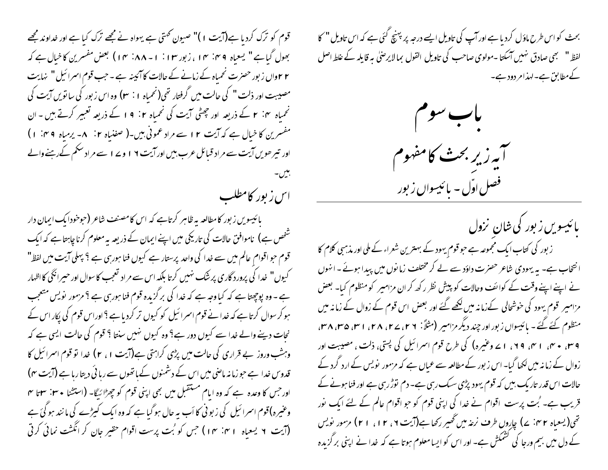قوم کو ترک کردیا ہے(آیت ۱)" صیون ٹھتی ہے یہواہ نے مجھے ترک کیا ہے اور خداوند مجھے بھول گیاہے " یسعیاہ ۴۹: ۱۴، زبور ۱۳: ۱- ۸۸: ۱۴) بعض مفسرین کاخیال ہے کہ ۲ ۲واں زبور حصرت نحمیاہ کے زمانے کے حالات کا آئیینہ ہے ۔ جب قوم اسمرائیل " نہایت مصیبت اور ذلت " کی حالت میں گرفتار تھی(نحمیاہ ۱ : ۳) وہ اس زبور کی ساتویں آیت کی مفسرین کا خیال ہے کہ آیت ۱۲ سے مراد عمونی بیں۔( صفنیاہ ۲: ۸۔ یرمیاہ ۴ °، ۱) اور تیر حویں آیت سے مراد قبائل عرب بیں اور آیت ۱۹ و ۱۷ سے مراد سکم کے رہنے والے اس زیور کامطلب

بائیسویں زبور کامطالعہ بہ ظاہر کرتاہے کہ اس کامصنف شاعر (حوحودابک ایمان دار شخص ہے) ناموافق حالات کی تاریکی میں اپنے ایمان کے ذریعہ بیہ معلوم کرنا چاہتاہے کہ ایک قوم حبو اقوام عالم میں سے خدا کی واحد پرستار ہے کیوں فنا ہورہی ہے ؟ پہلی آیت میں لفظ" کیوں" خدا کی پرورد گاری پر شک نہیں کرتا بلکہ اس سے مراد تعجب کا سوال اور حیرانگی کااظہار ہے ۔ وہ پوچھتا ہے کہ کیا وجہ ہے کہ خدا کی برگزیدہ قوم فنا ہور پی ہے ؟ مزمور نویس متعجب ہو کر سوال کرتا ہے کہ خدا نے قوم اسمرائیل کو کیوں تر کردیا ہے ؟ اوراس قوم کی پکار اس کے نجات دینے والے خدا سے کیوں دور ہے؟ وہ کیوں نہیں سنتا ؟ قوم کی حالت ایسی ہے کہ وہشب وروز بے قراری کی حالت میں پڑی کراہتی ہے(آیت ۱، ۲) خدا تو قوم اسرائیل کا قدوس خدا ہے حوزمانہ ماضی میں اس کے دشمنوں کے ہاتھوں سے رہائی دیتا رہا ہے (آیت ۴) اور جس کا وعدہ ہے کہ وہ ایام مستقبل میں بھی اپنی قوم کو چھڑائیگا- (استشا • ۳۰: ۳۰ میں وعنیرہ)قوم اسرائیل کی زبو ٹی کا اَب یہ حال ہوگیا ہے کہ وہ ایک کیڑے کی ما نند ہو گئ ہے (آیت ۲ یسعیاه ۱۴: ۱۴) جس کو بُت پرست اقوام حقیر جان کر انگشت نمائی کرتی

بحث کو اس طرح ماؤل کردیا ہے اور آپ کی تاویل ایسے درجہ پر بہنچ گئی ہے کہ اس تاویل " کا لفظ " نسجى صادق نهبيں آسكتا -مولوى صاحب كى تاويل القول بما لايرصل به قايله كے غلط اصل کےمطابق ہے۔لہذامر دود ہے۔



بائیس*ویں ز*بور کی شان نزول ز بور کی کتاب ایک مجموعہ ہے حبو قوم یہود کے بہترین شعراء کے ملی اور مذہبی کلام کا انتخاب ہے۔ یہ یہودی شاعر حصرت داؤد سے لے کر مختلف زمانوں میں پیدا ہوئے۔انہوں نے اپنے اپنے وقت کے کوائف وحالات کو پیش نظر رکھ کران مزامیر کو منظوم کیا۔ بعض مزامیر قوم یہود کی خوشحالی کےزمانہ میں لکھے گئے اور بعض اس قوم کے زوال کے زمانہ میں منظوم کئے گئے۔ پائیسواں زبور اور چند دیگر مزامیر (مثلاً: ۲۶، ۲۷، ۲۸، ۳۱، ۳۸، ۳۸، ۳ ۹ میں ٭ سی ۱ سی ۹۹، ۱ سے وعنیرہ) کی طرح قوم اسرائیل کی پستی، ذلت ، مصیبت اور زوال کے زمانہ میں لکھا گیا۔ اس زبور کے مطالعہ سے عمال ہے کہ مزمور پویس کے ارد گرد کے حالات اس قدر تاریک بیں کہ قوم یہود پڑی سیک رہی ہے۔ دم توڑ رہی ہے اور فنا ہونے کے قریب ہے۔ بُت پرست اقوام نے خدا کی اپنی قوم کو جو اقوام عالم کے لئے ایک نور تھی( یسعیاہ ۲ من پے) چاروں طرف نرعہ میں تھیر رکھا ہے(آیت ۲ ، ۲ ا ، ۲ ا ) مزمور نویس کے دل میں بیم ورجا کی کشمکش ہے۔ اور اس کو ایسامعلوم ہوتا ہے کہ خدا نے اپنی برگزیدہ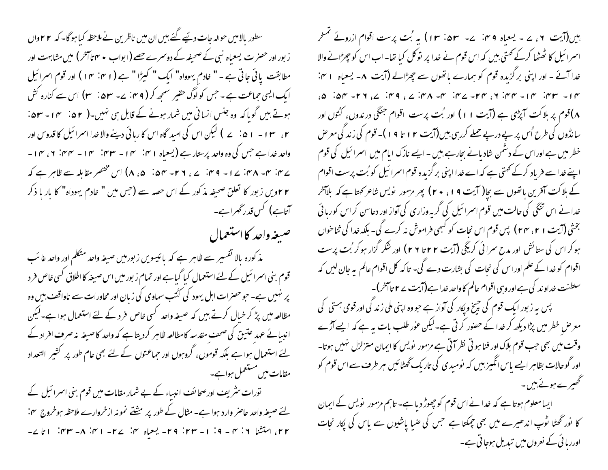سطور بالامیں حوالہ جات دیئیے گئے بیں ان میں ناظرین نے ملاحظہ کیا ہو گا۔ کہ ۲۲واں ز بور اور حصر ت یسعیاہ نبی کے صحیفہ کے دوسرے حصے (ابواب ٭ ۴ تاآخر ) میں مشابہت اور مطابقت یائی جاتی ہے - " خادم یہوداہ" ایک " کیڑا " ہے (۱۴ : ۴۰) اور قوم اسرائیل ایک ایسی حماعت ہے ۔ جس کولوگ حقیر سمجھ کر ( ۴ م: ۷ ۔ ۵۳ : ۳) اس سے کنارہ کش ہوتے ہیں گوبا کہ وہ جنس انسانی میں شمار ہونے کے قابل ہی نہیں۔( ۵۲ ٪ میں – ۵۳ ۔ ۲، ۱۰۳ – ۵۱ ، ۲ ) لیکن اس کی امید گاہ اس کا رہائی دینے والا غدا اسمرائیل کا قدوس اور واحد خدا ہے جس کی وہ واحد پرستار ہے (یسعیاہ ۱۴؍ سی ۱۲۔ سین سی ۱۲۔ سین ۲، سی ۱۔ ے بن سوے تاہر ہے کہ اسد قائم: سے ، ۲۶۔ سہ ۵: ۵، ۸) اس مختصر مقابلہ سے ظاہر ہے کہ ۲۲ویں زبور کا تعلق صحیفہ مذکور کے اس حصہ سے (جس میں " خادم یہوداہ" کا بار با ذکر آتاہے) کس قدر گھراہے۔

صيغه واحد كااستعمال

مذ کورہ بالا تفسیر سے ظاہر ہے کہ پائیسویں زبور میں صیغہ واحد متکلم اور واحد عائب قوم بنی اسمرائیل کے لئے استعمال کیا گیاہے اور تمام زبور میں اس صیغہ کا اطلاق کسی خاص فر د پر نہیں ہے۔ حو حصرات اہل یہود کی گئب سماوی کی زبان اور محاورات سے ناواقف بیں وہ مظالعہ میں پڑ کر خیال کرتے ہیں کہ صیغہ واحد کسی خاص فرد کے لئے استعمال ہوا ہے۔لیکن انبیائے عہد عتیق کی صحف مقدسہ کامطالعہ ظاہر کردیتا ہے کہ واحد کاصیغہ یہ صرف افراد کے لئے استعمال ہوا ہے بلکہ قوموں، گروہوں اور حماعتوں کے لئے بھی عام طور پر کشیر التعداد مقامات میں مستعمل ہواہے۔

تورات سٹریف اورصحائف انبیاء کے بے شمار مقامات میں قوم بنی اسرائیل کے لئے صیغہ واحد حاصر وارد ہوا ہے۔ مثال کے طور پر مشتے نمونہ از خروارے ملاحظہ ہوخروج ہن: ۲۲، استشنا ۲: ۳ – ۱۹: ۱ – ۲۳: ۲۹ – یعجاه ۲: ۱ – ۲ – ۲ س: ۸ – ۲۳: ۱ تا ۲ – ہیں(آیت ۲، ۷ - یعباہ ۴۴: ۷- ۵۳: ۱۳) بہ بُت پرست اقوام ازروئے ممنحر اسمرا ئیل کا ٹھٹھا کرکے کھتی ہیں کہ اس قوم نے خدا پر نوکل کیا تھا۔ اب اس کو چھڑانے والا خدا آئے - اور اپنی برگزیدہ قوم کو ہمارے باتھوں سے چھڑالے (آیت ۸- یسعیاہ ا ہن:  $\forall n \in \mathbb{N}$  and  $\forall n \in \mathbb{N}$  and  $\forall n \in \mathbb{N}$  and  $\forall n \in \mathbb{N}$  and  $\forall n \in \mathbb{N}$  and  $\forall n \in \mathbb{N}$  and  $\forall n \in \mathbb{N}$ ۸)قوم پر ہلاکت آپڑی ہے (آپت ۱۱) اور بُت پرست اقوام جنگی در ندول، کنُوں اور سانڈوں کی طرح اُس پر پے درپے حملے کررہی بین(آیت ۲ ا تا ۹ ا )۔ قوم کی زند کی معرض خطر میں ہے اوراس کے دشمن شادیانے بحارہے بیں - ایسے نازک ایام میں اسمرائیل کی قوم اپنے خداسے فریاد کرکے کھتی ہے کہ اے خدا اپنی بر گزیدہ قوم اسمرائیل کو بُت پرست اقوام کے ہلاکت آفرین باتھوں سے بچا( آیت 9 ا ، • ٢) پھر مزمور نویس شاعر کھتا ہے کہ بلاآخر خدا نے اس تنگی کی حالت میں قوم اسمرا ئیل کی گر بہ وزاری کی آواز اور دعاسن کر اس کوربا ئی بختٰی (آیت ۱ ۲، ۲۴) پس قوم اس نجات کو کسجی فراموش نہ کرے گی۔ بلکہ خدا کی ثناخواں ہو کر اس کی ستائش اور مدح سرائی کریگی (آیت ۲۲ تا ۲۹) اور شکر گزار ہو کر بُت پرست اقوام کو خدا کے علم اورا س کی نجات کی بشارت دے گی۔ تاکہ کل اقوام عالم یہ جان لیں کہ سلطنت خداوند کی ہے اور وہی اقوام عالم کا واحد خدا ہے(آیت پے ۲ تاآخر)۔ یس پہ زبور ایک قوم کی چیخ ویکار کی آواز ہے حبو وہ اپنی ملی زند کی اور قومی ہستی کی معر ص خطر میں پڑا دیکھ کر خدا کے حصور کرتی ہے۔لیکن عور طلب بات یہ ہے کہ ایسے آڑے وقت میں بھی جب قوم ہلاک اور فنا ہو تی نظر آتی ہے مزمور پویس کا ایمان متزلزل تہیں ہوتا۔ اور گوحالات بظاہر ایسے باس انگیز بیں کہ نومیدی کی تاریک گھٹائیں ہر طرف سے اس قوم کو گھھیرے ہوئے ہیں۔ ایسامعلوم ہوتا ہے کہ خدا نے اس قوم کوچھوڑ دیا ہے۔ تاہم مزمور نویس کے ایمان

کا نور گھٹا توپ اندھیرے میں بھی جبکتا ہے جس کی صیا پاشیوں سے یاس کی پکار نجات اوررہائی کے نعروں میں تبدیل ہوجاتی ہے۔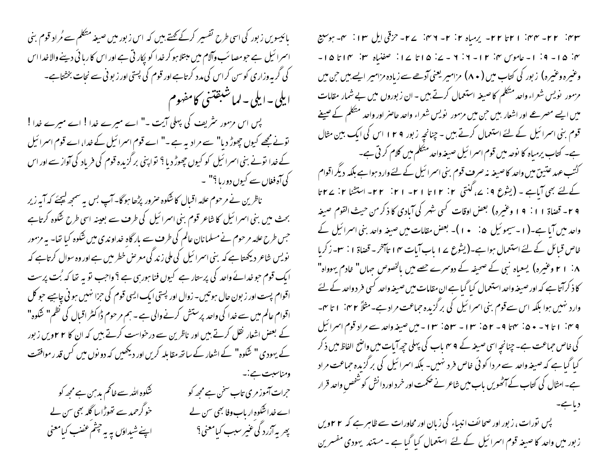بائیسویں زبور کی اسی طرح تفسیر کرکے <del>گ</del>ھتے ہیں کہ اس زبور میں صیغہ متکلم سے مُراد قوم بنی اسمرا ئیل ہے حومصا ئب وآلام میں مبتلا ہو کر خدا کو پکار تی ہے اور اس کا رہا ئی دینے والا خدا اس کی گر یہ وزاری کوسن کراس کی مدد کرتاہے اور قوم کی پستی اور زیو ٹی سے نجات بخشتاہے۔ ایلی – ایلی – لماشبقتنی کامفهوم

پس اس مزمور سثریف کی پہلی آیت -" اے میرے خدا ! اے میرے خدا ! تونے مجھے کیوں چھوڑ دیا" سے مرادیہ ہے ۔" اے قوم اسمرائیل کے خدا، اے قوم اسمرائیل کے خدا لونے بنی اسمرائیل کو کیوں چھوڑ دیا ؟ نواپنی برگزیدہ قوم کی فریاد کی آواز سے اور اس کی آہ فغاں سے کیوں دور ہا <sup>؟</sup>" ۔

ناظرین نے مرحوم علامہ اقبال کا شکوہ صرور پڑھا ہوگا۔ آپ بس پہ سمجھ کیجئے کہ آپہ زیر بحث میں بنی اسرائیل کا شاعر قوم بنی اسرائیل کی طرف سے بعینہ اسی طرح شکوہ کرتاہے جس طرح علامہ مرحوم نے مسلمانان عالم کی طرف سے بار گاہ خداوندی میں شکوہ کیا تھا۔ یہ مزمور نویس شاعر دیکھتا ہے کہ بنی اسمرا ئیل کی ملی زند گی معرض خطر میں ہے اور وہ سوال کرتاہے کہ ا یک قوم حو خدائے واحد کی پرستار ہے کیوں فنا ہورہی ہے ؟ واحب تو یہ تھا کہ بُت پرست اقوام پست اور زیون حال ہو تیں۔ زوال اور پستی ایک ایسی قوم کی حزا نہیں ہو ٹی چاہیے حو کل اقوام عالم میں سے خدا کی واحد پرستش کرنے والی ہے ۔ ہم مرحوم ڈاکٹر اقبال کی نظم" شکوہ" کے بعض اشعار نقل کرتے ہیں اور ناظرین سے درخواست کرتے ہیں کہ ان کا ۲۲ویں زبور کے یہودی " شکوہ" کے اشعار کے ساتھ مقابلہ کریں اور دیکھیں کہ دو نوں میں کس قد ر موافقت ومناسبت ہے:۔

شکوہ اللہ سے خاتم بد ہن ہے مجھ کو حرات آموز مری تاب سخن ہے مجھ کو خو گرحمد سے تھوڑا سا گلہ بھی سن لے اے خداشکوہ ار باب وفا بھی سن لے ب<sub>ھر</sub> بہ آزرد کی عیر سبب کیامعنی؟ اپنے شیداؤں یہ یہ چٹم عضب کبامعنی

r r = m = -r r = -r r = -r + - - يرمياه r : r -r + m : -r - حزقي ايل Ir : -r - بوسيع ۴: ۱۵- ۹: ۱- عاموس ۴: ۲۱- ۲: ۲ - ۷: ۱۵ تا ۱۷: صفنیاه ۳: ۱۲ تا ۱۵-وعنیرہ وعنیرہ) زبور کی کتاب میں ( ۸۰) مزامیر یعنی آدھےسے زیادہ مزامیر ایسے بیں حن میں مزمور نویس شعراء واحد متکلم کاصیغہ استعمال کرتے ہیں - ان زبوروں میں بے شمار مقامات میں ایسے مصر عے اور اشعار بیں حن میں مزمور نویس شعراء واحد حاصر اور واحد متکلم کے صیغے قوم بنی اسرائیل کے لئے استعمال کرتے ہیں - چنانچہ زبور ۱۲۹ اس کی ایک بین مثال ہے۔ کتاب یرمباہ کا نوحہ میں قوم اسمرائیل صیغہ واحد متکلم میں کلام کرتی ہے۔ گئ*تب عہد عتین میں واحد کا*صیغہ نہ صرف قوم بنی اسمرا ئیل کے لئے وارد ہوا ہے بلکہ دیگر اقوام کےلئے بھی آیاہے ۔ (یشوع ۹: ۷، کنتی ۲: ۱۲تا ۲۱- ۲۱: ۲۲- استشنا ۲: ۲۲تا ۶ ۲ - قضاة ۱۱: ۹ و عنيره) بعض اوقات كسي شهر كي آبادي كا ذكر من حيث القوم صيغه واحد میں آیا ہے۔(۱۔سیموئیل  ھ:   • ۱)۔ بعض مقامات میں صیغہ واحد بنی اسرائیل کے خاص قبائل کے لئے استعمال ہوا ہے۔(یشوع پے 1 باب آیات ۱۴ تاآخر۔ قضاۃ ۱ : ۲۔زکریا ۰۸ اسم وعنیرہ) یسعیاہ نبی کے صحیفہ کے دوسرے حصے میں بالخصوص جہاں" خادم یہوواہ" کا ذکرآتا ہے کہ اور صیغہ واحد استعمال کیا گیا ہے ان مقامات میں صیغہ واحد کسی فر د واحد کے لئے وارد نہیں ہوا بلکہ اس سے قوم بنی اسرائیل کی برگزیدہ حماعت مراد ہے۔مثلاً ۲۴. ا تا ۳۔ ۴ م: ۱ تا ۲ - • ۵: سمتا ۹ - ۵۲: ۱۳ - ۵۳: ۱۳: ا - میں صیغہ واحد سے مراد قوم اسرائیل کی خاص حماعت ہے۔ چنانچہ اسی صیغہ کے 9 میں باب کی پہلی حیجہ آیات میں واضح الفاظ میں ذکر کیا گیاہے کہ صیغہ واحد سے مر دا کوئی خاص فر د نہیں۔ بلکہ اسمرا ئیل کی برگزیدہ جماعت مراد ہے۔امثال کی کتاب کے آٹھویں باب میں شاعر نے حکمت اور خرد اور دانش کو شخص واحد قرار پس نورات، زبور اور صحائف انبیاء کی زبان اور محاورات سے ظاہر ہے کہ ٢٢ویں زبور میں واحد کا صیغہ قوم اسمرائیل کے لئے استعمال کیا گیا ہے ۔مستند یہودی مفسرین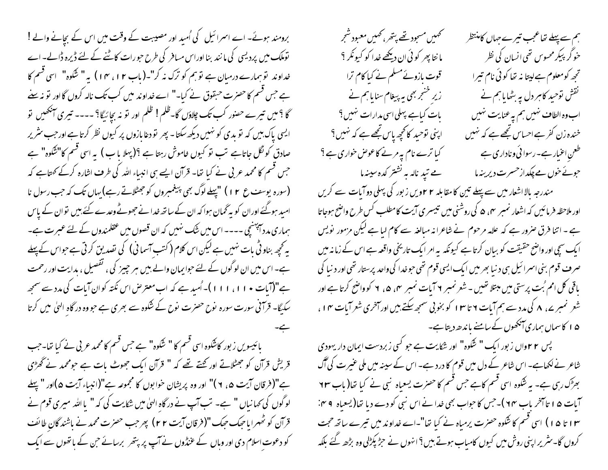برومند ہوئے۔ اے اسمرائیل کی اُمید اور مصیبت کے وقت میں اس کے بچانے والے ! توملک میں پردیسی کی مانند بنا اوراس مسافر کی طرح حبورات کاٹنے کے لئے ڈیرہ ڈالے۔اے خداوند توسٖمارے درمیان ہے توسٖم کو ترک نہ کر"۔( باب ۱۲ ، ۱۴ ) یہ " شکوہ" اسی قسم کا ہے جس قسم کا حصرت حبقوق نے کیا۔" اے خداوند میں کب تک نالہ کروں گااور تو نہ سے گا ؟ میں تیرے حصور کب تک چلاؤں گا۔ظلم! ظلم اور تو نہ بچائیگا؟ ---- تیری آنکھیں تو ایسی پاک بیں کہ تو بدی کو نہیں دیکھ سکتا۔ پھر تو دغا مازوں پر کیوں نظر کرتا ہے اور جب سٹریر صادق کو نگل جاتاہے تب تو کیوں خاموش رہتا ہے ؟(پہلا ماب ) بہ اسی قسم کا''شکوہ'' ہے جس قسم کا محمد عربی نے کیا تھا۔ قرآن ایسے ہی انبیاء اللہ کی طرف اشارہ کرکے کھتاہے کہ (سورہ یوسف ع ۱۲) "پہلے لوگ بھی پیغمبروں کو جھٹلاتے رہے) بہاں تک کہ جب رسول نا امید ہوگئے اوران کو بہ گھان ہوا کہ ان کے ساتھ خدا نے جھوٹے وعدے کئے ہیں نوان کے پاس ہماری مدد آپہنچی ۔۔۔۔ اس میں شک مہیں کہ ان قصوں میں عقلمندوں کے لئے عبرت ہے۔ یہ تھچھ بناو ٹی بات نہیں ہے لیکن اس کلام ( کتب آسما نی) کی تصدیق کرتی ہے حواس کے پہلے ہے۔ اس میں ان لو گوں کے لئے حوایمان والے بیں ہر حییز کی ، تفصیل ، بدایت اور رحمت ہے"(آیات • ۱۱، ۱۱۱)۔اُمید ہے کہ اب معترض اس نکتہ کوان آیات کی مدد سے سمجھ سکیگا۔ قرآنی سورت سورہ نوح حصرت نوح کے شکوہ سے بھری ہے حبو وہ در گاہ الهیٰ میں کرتا بائیسویں زبور کاشکوہ اسی قسم کا " شکوہ" ہے جس قسم کامحمد عربی نے کیا تھا۔جب قریش قرآن کو جھٹلاتے اور کھتے تھے کہ " قرآن ایک جھوٹ بات ہے جو محمد نے ٹھڑ می ہے"(فرقان آیت ۵، ۲)" اور وہ پریشان خوا بوں کا مجموعہ ہے"(انبیاء آیت ۵)اور "پہلے لوگوں کی تھا نیاں " ہے۔ تب آپ نے در گاہ الہیٰ میں شکایت کی کہ " یا اللہ میری قوم نے قرآن کو ٹھہرایاحیک حیک "(فرقان آیت ۲۲) پھرجب حصرت محمد نے باشند گان طائف کو دعوت اسلام دی اور وباں کے عنڈوں نے آپ پر پتھر برسائے حبن کے باتھوں سے ایک

تحهين مسجود تھے پتھر، کھمیں معبود شجر ہم سے پہلے تعاعجب تیرے جہاں کامنتظر خو گر پیکر محسوس تھی انسان کی نظر ما نتا پھر کوئی ان دیکھے خدا کو کیونکر ؟ ت<sub>جھ</sub> کومعلوم ہے لیتا نہ تھا کوئی نام تیرا قوت مازوئے مسلم نے کیا کام ترا زیر خنجر بھی ہہ پیغام سنایاہم نے نقش نوحید کامبر دل یہ بٹھایاہم نے بات کیاہے پہلی اسی مدارات <sup>مہ</sup>یں؟ اب وہ الطاف نہیں ہم یہ عنایت نہیں ا ہنی تو*حید* کانحچھ پاس ت<u>جھ</u>ے کہ نہیں؟ خندہ زن کفر ہےاحساس تجھے ہے کہ نہیں کیا ترے نام یہ مرنے کاعو<sup>ص</sup> خواری ہے ؟ طعنِ اعْبار ہے۔ رسوائی وناداری ہے مے تید نالہ ہہ نشتر کدہ سپنہا حوئےخوں مے چکداز حسرت دیرینہ ما مندرجہ بالااشعار میں سے پہلے تین کا مقابلہ ۲ ۲ویں زبور کی پہلی دوآیات سے کریں اور ملاحظہ فرمائیں کہ اشعار نمبر مہ، ۵ کی روشنی میں تیسیری آیت کامطلب کس طرح واضح ہوجاتا ہے ۔ اتنا فرق صرور ہے کہ علامہ مرحوم نے شاعرانہ مبالغہ سے کام لیا ہے لیکن مزمور پولیس ایک سچی اور واضح حقیقت کو بیان کرتا ہے کیونکہ یہ امر ایک تاریخی واقعہ ہے اس کے زمانہ میں صرف قوم بني اسمرائيل ہي د نيا بھر ميں ايک ايسى قوم تھى حوضدا كى واحد پرستار تھى اور د نيا كى یاقی کل امم بُت پرستی میں مبتلا تھیں ۔ شعر نمبر ۲ آیات نمبر ہم، ۵، ۲ کوواضح کرتا ہے اور شعر نمبرے، ۸ کی مدد سے ہم آیات ۲ تا ۱۳ کو بخو بی سمجھ سکتے ہیں اور آخری شعر آیات ۱۴،

۵۱ کاسماں ہماری آنکھوں کے سامنے باندھ دیتا ہے۔ پس ۲۲واں زبور ایک " شکوہ" اور شکایت ہے جو کسی زبردست ایمان دار یہودی شاعر نے لکھاہے۔ اس شاعر کے دل میں قوم کا درد ہے۔ اس کے سینہ میں ملی عنیرت کی آگ بھڑک رہی ہے۔ یہ شکوہ اسی قسم کاہے جس قسم کا حصرت یسعیاہ نہی نے کیا تعا( باب ۹۳ آبات ۵ ا تاآخر باب ۲۴)-جس کا حواب بھی خدا نے اس نبی کو دے دیا تھا(یسعیاہ ۴ ۴: ۱۳ تا ۱۵) اسی قسم کاشکوہ حصرت پرمیاہ نے کیا تھا"۔اے خداوند میں تیرے ساتھ حجت کروں گا۔ *مثریر* اپنی روش میں کیوں کامباب ہوتے بیں؟ انہوں نے ح<sub>ث</sub>ر بک<sup>ی</sup>لی وہ بڑھ گئے بلکہ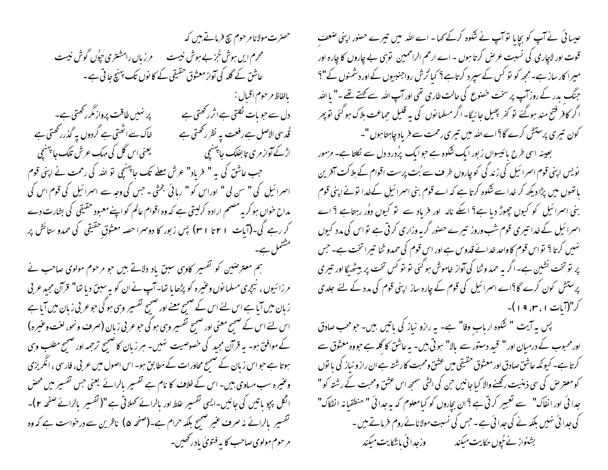حصرت مولانا مرحوم سچ فرماتے بیں کہ محرم ایں ہوش جُز بے ہوش نیست میں دراں رامشتری حپُوں گوش نیست عاشق کے گلہ کی آواز معشوق حقیقی کے کا نوں تک پہنچ جا تی ہے۔ بالفاظ مرحوم اقبال : پر نہیں طاقت پرواز مگر رکھتی ہے۔ دل سے ح<sub>ب</sub>و بات نکلتی ہے اثرر *گھت*ی ہے خاک سے اٹھتی ہے گردوں پہ گذرر کھتی ہے ُ قُد سی الاصل ہے رفعت یہ نظر رکھتی ہے اڑکے آواز مری تا بفلک جا<sup>پہن</sup>یچی ہے۔ اس کی کسی میک عرش تلک جا پ<sup>ہن</sup>یچی کے منصب کر کر کے ایک بنانیچی ا حب عاشق کی بہ " فریاد" عرش مطلے تک جاپہنیچی نو <sub>اللّٰہ</sub> کی رحمت نے اپنی قوم اسمرائیل کی " سن لی " اوراس کو " ربائی بخشی ۔ حس کی وجہ سے اسمرائیل کی قوم اس کی مداح حوال ہو کر یہ مصمم ارادہ کرلیتی ہے کہ وہ اقوام عالم کو اپنے معبود حقیقی کی بشارت دے کر رہے گی۔(آیات 1 ۲ تا ا ۳ ) پس زبور کا دوسرا حصہ معثوق حقیقی کی حمدو ستائش پر مشمل ہے۔

ہم معتر صنین کو تفسیر کاوہی سبق یاد دلاتے ہیں جو مرحوم مولوی صاحب نے مرزائیوں ، نیچری مسلمانوں وعنیرہ کو پڑھا یا تھا۔آپ نے ان کو بہ سبق دیا تھا" قرآن مجید عربی زبان میں آیا ہے اس لئے اس کے ضمیح معنے اور ضمیح تفسیر وہی ہو گی حوعر بی زبان میں آیا ہے اس لئے اس کے صحیح معنی اور صحیح تفسیر وہی ہو گی حو عربی زبان (صرف ونحو، لغت وعنیرہ) کے موافق ہو۔ یہ قرآن مجید کی خصوصیت نہیں۔ ہر زبان کا صحیح ترحمہ اور صحیح مطلب وہی ہوتا ہے حبو اس زبان کے صحیح محاورات کے مطابق ہو۔ اس اصول میں عربی، فارسی ، انگریزی وعنیرہ سب میاوی بین۔ اس کے خلاف کا نام ہے تفسیر بالرائے یعنی جس تفسیر میں محض اٹکل پجو باتیں کی جائیں۔ایسی تفسیر علط اور بالرائے تھلاتی ہے "(تفسیر بالرائے صفحہ ٢)۔ تفسیر بالرائے نہ صرف عنیر صحیح بلکہ حرام ہے۔(صفحہ ۵) ناظرین سے درخواست ہے کہ وہ ً مرحوم مولوی صاحب کا یہ فتویٰ بادر *کھیں۔* 

عیسا ئی نے آپ کو بچایا توآپ نے شکوہ کرکے کہا - اے اللہ میں تیرے حصور اپنی صنعف قوت اور لاچاری کی نسبت عرص کرتا ہوں - اے ارحم الراحمین نوّہی بے چاروں کا چارہ اور میرا کار ساز ہے۔مجھ کو نو کس کے سپرد کرتاہے؟ کیا ُرْش رواجنبیوں کے اور دشمنوں کے"؟ جنگ پدر کے روز آپ پر سخت خصوع کی حالت طاری تھی اور آپ اللہ سے کہتے تھے ۔" یا اللہ اگر کافر فتح مند ہوگئے تو کفر پھیل جائیگا- اگر مسلمانوں کی یہ قلیل حماعت بلاک ہوگئی توپھر کون تیری پرستش کرے گا؟اےاللہ میں تیری رحمت سے فریاد چاہتا ہوں "۔ بعینہ اسی طرح پائیسواں زبور ایک شکوہ ہے جو ایک پرُدرد دل سے لکلتا ہے۔ مزمور نویس اپنی قوم اسمرائیل کی زند گی کوچاروں طر ف سے بُت پرست اقوام کے ہلاکت آفرین یا تھوں میں پڑا دیکھ کر خدا سے شکوہ کرتا ہے کہ اے قوم بنی اسمرا ئیل کےخدا لونے اپنی قوم بنی اسرائیل کو کیوں چھوڑ دیا ہے؟ ایکے نالہ اور فرباد سے تو کیوں دوُر رہتاہے ؟ اے اسمرائیل کے خدا تیری قوم شب وروز تیرے حصور گربہ وزاری کرتی ہے نواس کی مدد کیوں نہیں کرتا ؟ تواس قوم کاواحد خدائے قدوس ہے اور اس قوم کی حمدو ثنا تیرا تخت ہے۔ حس پر تو تخت نشین ہے۔ اگر بہ حمد و ثنا کی آواز خاموش ہو گئی تو تو کس تخت پر بیٹھیگا اور تبیری پرستش کون کرے گا؟اے اسمرائیل کی قوم کے چارہ ساز اپنی قوم کی مدد کے لئے جلدی کر"(آبات ۱، س, ۱۹)-

پس په آيت " شکوه ارباب وفا" ہے۔ په رازو نباز کی باتیں بین- حومحب صادق اورمحبوب کے درمیان اور " قبید دستور سے بالا" ہوتی بیں۔ یہ عاشق کا گلہ ہے حبووہ معثوق سے گرتاہے۔ کیونکہ عاشق صادق اور معشوق حقیقی میں عشق ومحبت کارشتہ ہے ان راز و نیاز کی یا توں کومعترض کی سی ذہنیت رکھنے والا کیا جانیں حن کی الٹی سمجھ اس عشق ومحبت کے رشتہ کو " جدا ئی اور انفاک" سے تعبیر کرتی ہے ؟ ان بجاروں کو کیامعلوم کہ بہ جدا ئی " منطقیانہ انفکاک" کی جدا ئی نہیں بلکہ نے کی جدا ئی ہے ۔حس کی نسبت مولانائے روم فرماتے ہیں ۔ بشنواز نے جُوں حکایت میکند ہے ۔ وزجدا ئی باشکایت میکند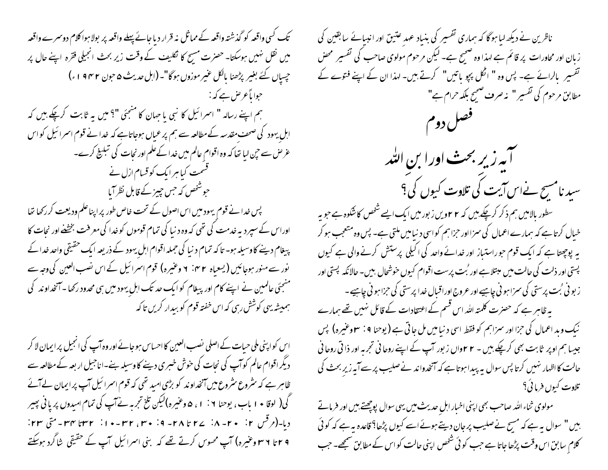تک کسی واقعہ کو گذشتہ واقعہ کے مماثل نہ قرار دیا جائے پہلے واقعہ پر بولاہوا کلام دوسرے واقعہ میں نقل نہیں ہوسکتا۔ حصرت مسیح کا نکلیف کے وقت زیر بحث انجیلی فقرہ اپنے حال پر جسیاں کئے بغیر پڑھنا بالکل عنیر موزوں ہوگا"۔(اہل حدیث ۵ حون ۱۹۴۲ء) حوا ماً عرض ہے کہ : ہم اپنے رسالہ " اسمرائیل کا نبی یا جہان کا منتجئی "؟ میں یہ ثابت کرچکے ہیں کہ ابل یہود کی صحف مقدسہ کے مطالعہ سے ہم پر عباں ہوجاتاہے کہ خدا نے قوم اسمرا ئیل کو اس عرض سے حبی لیا تھا کہ وہ اقوام عالم میں خدا کےعلم اور نجات کی تبلیخ کرے۔ قسمت کیا ہر ایک کو قسام ازل نے حوشخص کہ حس چیز کے قابل نظر آیا پس خدا نے قوم یہود میں اس اصول کے تحت خاص طور پر اپناعلم ودیعت کر رکھا تھا اوراس کے سپردیہ خدمت کی تھی کہ وہ دنیا کی تمام قوموں کو خدا کی معرفت بخشنے اور نجات کا پیغام دینے کاوسیلہ ہو- تا کہ تمام دنیا کی *جم*لہ اقوام اہلِ یہود کے ذریعہ ایک حقیقی واحد خدا کے نور سے منور ہوجائیں (یسعیاہ ۲۰۲ اوغنیرہ) قوم اسرائیل کے اس نصب العین کی وجہ سے منجئی عالمین نے اپنے کام اور پیغام کو ایک حد تک اہلِ یہود میں ہی محدود رکھا۔آنخداوند کی ہمیشہ یہی کوشش رہی کہ اس خفتہ قوم کو بیدار کریں تاکہ

اس کواپنی ملی حیات کے اصلی نصب العین کا احساس ہوجائے اور وہ آپ کی انجیل پر ایمان لا کر دیگر اقوام عالم کوآپ کی نجات کی حوش خبری دینے کاوسیلہ بنے۔اناجیل اربعہ کے مطالعہ سے ظاہر ہے کہ سٹروع سٹروع میں آنخداوند کو بڑی امید تھی کہ قوم اسمرائیل آپ پرایمان لےآئے کی( لوقا • ۱ باب، یوحنا ۱ : ۱ ، ۵ وعنیره)لیکن تلخ تجربہ نے آپ کی تمام امیدوں پر یانی پھیر دیا۔(مرقس ۲۰ - ۲۰ - ۸٪ ۲۷ تا ۲۸ - ۹٪ ۳۰ - ۳۳، ۳۲ - ۲۰ از ۳۲ تا ۳۳ - متی ۲۳: ۲۹ تا ۳*۹ وعنیر*ہ) آپ محسوس کرتے تھے کہ بنی اسمرائیل آپ کے حقیقی شاگرد ہوس<del>ک</del>تے

ناظرین نے دیکھ لیا ہوگا کہ ہماری تفسیر کی بنیاد عہد عتیق اور انبیائے سابقین کی زبان اور محاورات پر قائم ہے لہذا وہ صحیح ہے۔ لیکن مرحوم مولوی صاحب کی تفسیر محض تفسیر \_ بالرائے ہے۔ پس وہ " اٹکل پچو یاتیں" کرتے ہیں۔ لہذا ان کے اپنے فتوے کے مطابق مرحوم کی تفسیر " یہ صرف صحیح بلکہ حرام ہے" فصل دوم آبه زیر بحث اورا بن الله سید نامسیح نےاس آیت کی تلاوت کیوں کی ؟ سطور بالامیں ہم ذکر کرچکے ہیں کہ ۲ ۲ویں زبور میں ایک ایسے شخص کاشکوہ ہے جو بہ خیال کرتا ہے کہ ہمارے اعمال کی سزااور حزاہم کواسی د نیامیں ملتی ہے۔ پس وہ متعجب ہو کر بہ پوچھتا ہے کہ ایک قوم حوراستیاز اور خدائے واحد کی اکیلی پرستش کرنے والی ہے کیوں پستی اور ذلت کی حالت میں مہتلاہے اور <sup>ٹ</sup>بت پرست اقوام کیوں خوشحال بی<sub>ں</sub>۔ حالانکہ پستی اور ز بو في بُت پرستي کي سمر اٻو في چاہيے اور عروج اور اقبال خدا پرستي کي حزا ہو في چاہيے ۔ یہ ظاہر ہے کہ حصرت کلمتہ اللہ اس قسم کے اعتقادات کے قائل نہیں تھے ہمارے نيك وبد اعمال كي حزا اور سمزاہم كو فقط اسي د نياميں مل جاتي ہے ( يوحنا ٩ : ٣ وعنيره) پس جیسا ہم اوپر ثابت بھی کرچکے ہیں - ۲ ۲واں زبور آپ کے اپنے روحانی تجربہ اور ذا تی روحانی حالت کااظہار نہیں کرتا پس سوال یہ پیدا ہوتا ہے کہ آنخدواند نےصلیب پر سے آپہ زیر بحث کی تلاوت کیوں فرمائی؟

مولوی ثناء الله صاحب بھی اپنی اخبار ابل حدیث میں یہی سوال پوچھتے ہیں اور فرماتے ہیں " سوال یہ ہے کہ مسیح نے صلیب پر جان دیتے ہوئے اسے کیوں پڑھا؟ قاعدہ یہ ہے کہ کوئی کلام سابق اس وقت پڑھا جاتا ہے جب کوئی شخص اپنی حالت کو اس کے مطابق صمجھے۔ جب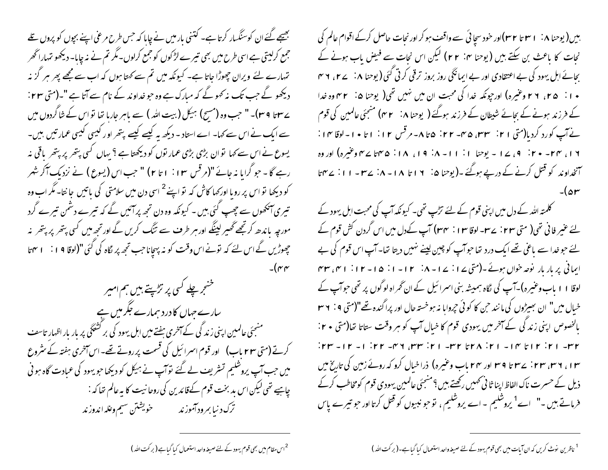بیں( یوحنا ۱۰: ۲ ۳ تا ۳۲)اور خود سجا ئی سے واقف ہو کر اور نحات حاصل کرکے اقوام عالم کی نجات کا باعث بن سکتے ہیں (یوحنا ۲۰: ۲۲) لیکن اس نجات سے فیض باب ہونے کے بحائے اہل یہود کی بے اعتقادی اور بے ایمانگی روز بروز ترقی کرتی گئی (یوحنا ۸: ۲۷، ۲ س • ۱ : ۲۵، ۲۲ وعنیره) اور جونکه خدا کی محبت ان میں نہیں تھی( یوحنا ۵: ۳۲ وه خدا کے فرزند ہونے کے بجائے شبطان کے فرزند ہوگئے ( یوحنا ۸: ۳۲) منجئی عالمین کی قوم نے آپ کورد کردیا(متی ۲۱: سین ۴۵- ۲۲: ۵تا ۸-مرقس ۱۲: ۱تا ۱۰-لوقا ۱۴: ۱۶، ۲۴- ۲۰: ۹، ۱۷- یوحنا ۱: ۱۱- ۸: ۱۹، ۱۸: ۵۴، ۳۵ سے م وغیرہ) اور وہ سمنخداوند کو قتل کرنے کے درپے ہوگئے ۔( یوحنا ۵، ۱۶۱ تا ۱۸-۸، سے ۲ – ۱۱، سے ۲ تا

کلمتہ اللہ کے دل میں اپنی قوم کے لئے تڑپ تھی۔ کیونکہ آپ کی محبت اہل یہود کے یئے عنیر فانی تھی( متی ٢٣ : ٣٣ ـ لوقا ٢٠٣ : ٣٣٧) آپ کےدل میں اس گردن کش قوم کے یئے حبو خدا سے باغی تھے ایک درد تھا حبوآپ کو چین لینے نہیں دیتا تھا۔ آپ اس قوم کی بے ایمانی پر بار بار نوصہ خواں ہوئے۔(متی ۱۷ : ۱۷ - ۸ : ۱۲ - ۱ : ۱۵ - ۱۲ : ۱ میں ۳۳ لوقا ۱۱ ماب وعنیرہ)۔آپ کی لگاہ ہمیشہ بنی اسرائیل کے ان گمراہ لوگوں پر تھی حوآپ کے خیال میں" ان سِمیڑوں کی مانند حن کا کوئی حپروایا نہ ہوخستہ حال اور پراگندہ تھے"(متی ۹ : ۳۶ بالخصوص اپنی زند کی کے آخر میں یہودی قوم کا خبال آپ کو ہر وقت ستاتا تھا(ستی + ۲:  $100 - 110 - 100$  and  $100 - 110$  and  $100 - 110$  and  $100 - 110$ ۱۳، ۳۲، ۲۳، ۲۳ نے ۲۳ تا ۲۹ اور ۲۴ ماپ وعنیرہ) ذراخیال کرو کہ روئے زمین کی تاریخ میں ذیل کے حسرت ناک الفاظ اپنا ثا نی ٹھمیں رکھتے بیں ؟ منسجئی عالمین یہودی قوم کومخاطب کرکے فرماتے ہیں -" اے<sup>1</sup> یروشلیم - اے یروشلیم ، تو حبو نبیوں کو قتل کرتا اور حبو تیرے پاس

<sup>1</sup> ناظرین نوٹ کریں کہ ان آیات میں بھی قوم یہود کے لئے صیغہ واحد استعمال کیا گیاہے۔(برکت اللہ)

بھیجے گئے ان کوسنگسار کرتا ہے۔ کتنی بار میں نے چاہا کہ جس طرح مرغی اپنے بچوں کو پروں تلے جمع کرلیتی ہے اسی طرح میں بھی تیرے لڑکوں کو جمع کرلوں۔مگر تم نے نہ چابا- دیکھو تہاراٹھر تہمارے لئے ویران چھوڑا جاتا ہے۔ کیونکہ میں تم سے کہتا ہوں کہ اب سے مجھے پھر ہر گز نہ دیکھو گے جب تک نہ کھوگے کہ مبارک ہے وہ حو خداوند کے نام سے آتا ہے "۔(متی ۲۳: ےسینا 4 سیا۔ " حب وہ (مسح) ہیکل (بیت اللہ ) سے پاہر جارہا تھا تو اس کے شاگردوں میں سے ایک نے اس سے کہا۔ اے استاد - دیکھ یہ کیسے کیسے پتھر اور کیسی کیسی عمارتیں بیں-یسوع نے اس سے کہا تو ان بڑی بڑی عمار توں کو دیکھتا ہے ؟ یہاں کسی بتھر پر بتھر یاقی نہ رہے گا - حبو گرایا نہ جائے "(مرقس ۱۰ : ۱ تا ۲) " جب اس (یسوع ) نے نزدیک آکر شہر کو دیکھا تو اس پر رو ما اور<sub>ک</sub>ھا کاش کہ تو اپنے <sup>2</sup> اسی دن میں سلامتی کی باتیں جا نتا۔ مگر اب وہ تیری آنکھوں سے چھپ کئی بیں ۔ کیونکہ وہ دن تجھ پر آئیں گے کہ تیرے دشمن تیرے گرد مورجہ پاندھ کرتجھے گھیر لینگے اور ہر طرف سے تنگ کریں گے اور تجھ میں کسی پتھر پر پتھر نہ حچھوڑیں گے اس لئے کہ نونے اس وقت کو نہ بہجاناحب تجھ پر لگاہ کی گئی **"(لوفا ۱۹ : ۲۰ م**اتا  $-(\gamma)$ 

خنعجر چلے کسی پر تڑپتے ہیں ہم امیر سارے جہاں کا درد ہمارے جگر میں ہے منسجئی عالمین اپنی زندگی کے آخری ہفتے میں اہل یہود کی بر کشتگی پر بار بار اظہار تاسف کرتے (متی ۲۳ ماب) اور قوم اسرائیل کی قسمت پر روتے تھے۔اس آخری ہفتہ کے سٹروع میں جب آپ پروشلیم تسٹریف لے گئے توآپ نے ہیکل کو دیکھا جو یہود کی عمادت گاہ ہوئی چاہیے تھی لیکن اس بد بخت قوم کےقائدین کی روحا نیت کا یہ عالم تعا کہ : ترک د نیا بمرود آموزند مصمحفه خویشتن سیم وعله اندوزند

<sup>2</sup>اس مقام میں بھی قوم یہود کے لئے صیغہ واحد استعمال کیا گیا ہے ( بر کت اللہ )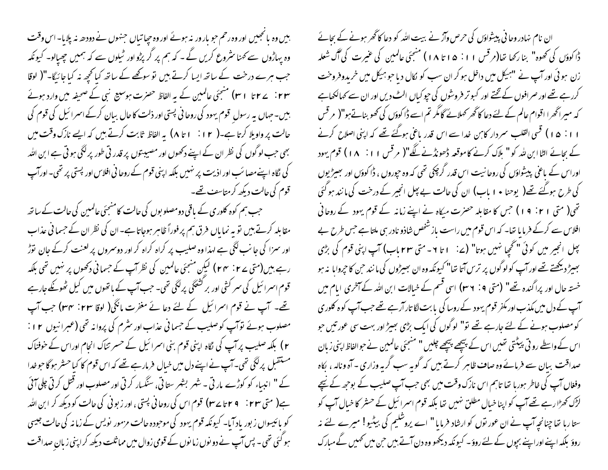بیں وہ یا تجسیں اور وہ رحم حو بار ورینہ ہوئے اور وہ حیاتیاں جنہوں نے دودھ نہ پلایا۔اس وقت وہ پہاڑوں سے کھنا سٹروع کریں گے ۔ کہ ہم پر گر پڑو اور ٹمیلوں سے کہ ہمیں چھپالو۔ کیونکہ جب ہرے درخت کے ساتھ ایسا کرتے ہیں تو سو کھے کے ساتھ کیا تھچھ نہ کیا جائیگا-"( لوقا بیں۔جہاں پہ رسول قوم یہود کی روحانی پستی اور ذلت کا حال ببان کرکے اسمرائیل کی قوم کی حالت پر واویلا کرتا ہے۔( ۱۲ : ۱ تا ۸) پہ الفاظ ثابت کرتے ہیں کہ ایسے نازک وقت میں بھی جب لوگوں کی نظر ان کے اپنے دکھوں اور مصیبتوں پر قدر تی طور پر لگی ہو تی ہے ابن اللہ گی نگاہ اپنےمصائب اور اذیت پر نہیں بلکہ اپنی قوم کےروحا فی افلاس اور پستی پر تھی۔اور آپ قوم کی حالت دیکھ کرمتاسف تھے۔

۔ جب ہم کوہ کلوری کے باقی دومصلو بول کی حالت کامنسجئی عالمین کی حالت کے ساتھ مقابلہ کرتے ہیں تو بہ نما ماں فرق ہم پر فوراً ظاہر ہوجاتا ہے۔ان کی نظر ان کے حسما فی عذاب اور سمزا کی جانب لگی ہے اہذا وہ صلیب پر کراہ کراہ کر اور دوسروں پر لعنت کرکے جان توڑ رہے ہیں(متی ے ۲ : ۲۴ ) کیکِن منجئی عالمین کی نظر آپ کے حسمانی دکھوں پر نہیں تھی بلکہ قوم اسمرا ئیل کی سمر کشی اور بر کشتگی پرانگی تھی۔ جب آپ کے باتھوں میں کیل ٹھوٹکے جارہے تھے۔ آپ نے قوم اسمرائیل کے لئے دعا نے مفرت مانگی( لوقا ۲۳ : ۳۴) جب آپ مصلوب ہوئے توآپ کو صلیب کے حسمانی عذاب اور سٹرم کی پروانہ تھی (عبرانیوں ۲۱: ۲ ) بلکہ صلیب پر آپ کی لگاہ اپنی قوم بنی اسرائیل کے حسر تناک انحام اوراس کے خوفناک مستقبل پرلگی تھی۔آپ نے اپنے دل میں خیال فرمارہے تھے کہ اس قوم کا کیاحشر ہو گا حوضدا کے " انبیاء کو کوڑے مار ٹی ۔ شہر بشہر ستاتی، سنگسار کرتی اور مصلوب اور قتل کرتی چلی آئی ہے( متی ٢٣ : 7 ٢ تا ٢٣) قوم اس کی روحانی پستی ، اور زبونی کی حالت کو دیکھ کر ابن اللہ کو پائیسواں زبور پاد آیا۔ کیونکہ قوم یہود کی موجودہ حالت مزمور پویس کے زمانہ کی حالت جیسی ہو گئی تھی۔ پس آپ نے دو نوں زمانوں کے قومی زوال میں مماثلت دیکھ کر اپنی زبان صداقت

ان نام نہادر وحا فی پیشواؤں کی حرص وآز نے بیت اللہ کو دعا کا گھر ہونے کے بحائے دُّا كوؤں كى كھوه" بنا ركھا تھا(مر قس ١١: ١٥تا ١٨) منجئى عالمين كى عنيرت كى آگ شعله زن ہو ئی اور آپ نے "ہیکل میں داخل ہو کر ان سب کو کال دیا حو ہیکل میں خریدوفروخت کررہے تھے اور صرافوں کے تختے اور کسو تر فروشوں کی حیو کیاں الٹ دیں اور ان سے کہالکھاہے کہ میراگھرا اقوام عالم کے لئے دعا کاگھر کھلائے گامگر تم اسے ڈاکوؤں کی کھو بناتےہو"( مرقس ۱۱: ۱۵) قسی القلب سمردار کابن خدا سے اس قدر یاعی ہوگئے تھے کہ اپنی اصلاح کرنے کے بجائے الٹا ابن لٹد کو " ہلاک کرنے کاموقعہ ڈھونڈنے لگے"( مرقس ۱۱: ۱۸) قوم یہود اوراس کے باعی پیشواؤں کی روحا نیت اس قدر گرچکی تھی کہ وہ حپوروں ، ڈا کوؤں اور بھیڑیوں کی طرح ہوگئے تھے( یوحنا • 1 باب) ان کی حالت بے پھل انجیر کے درخت کی مانند ہوگئی تھی( متی ۱۲: ۱۹) جس کا مقابلہ حصرت میکاہ نے اپنے زمانہ کے قوم یہود کے روحانی افلاس سے کرکے فرما ما تھا۔ کہ اس قوم میں راست باز شخص شاذو نادر ہی ملتا ہے جس طرح بے بچل انجیر میں کوئی "تحجیا نہیں ہوتا" (2: ا تا ۲- متی ۲۳ ماب) آپ اپنی قوم کی بڑی بہیٹر دیکھتے تھے اور آپ کولوگوں پر ترس آتا تھا" کیونکہ وہ ان بھیڑوں کی ما نند حن کا حجروایا بنہ ہو خستہ حال اور پراگندہ تھے" (متی 1 : ٣٧) اسی قسم کے خیالات ابن اللہ کے آخری ایام میں آپ کے دل میں مکذب اور مکفر قوم یہود کے روسا کی یا بت لگا تار آرہے تھے جب آپ کو ہ کلوری کو مصلوب ہونے کے لئے جارہے تھے تو" لوگوں کی ایک بڑی بھیڑ اور بہت سی عور تیں حبو اس کے واسطے رو تی پیٹتی تھیں اس کے پیچھے پیچھے چلیں " منسجئی عالمین نے حوالفاظ اپنی زیان صداقت بیان سے فرمائے وہ صاف ظاہر کرتے بیں کہ گوپہ سب گربہ وزاری - آہ ونالہ ، بکاہ وفغاں آپ کی خاطر ہوریا تھا تاہم اس نارک وقت میں بھی حب آپ صلیب کے بوجھ کے نیچے لڑک کھڑا رہے تھے آپ کو اپنا خیال مطلق نہیں تھا بلکہ قوم اسمرا ئیل کے حسٹر کا خیال آپ کو ستاربا تھا چنانچہ آپ نے ان عور نوں کو ارشاد فرمایا " اے پروشلیم کی بیٹیو! میرے لئے نہ روؤ بلکہ اپنے اوراپنے بجوں کے لئے روؤ۔ کیونکہ دیکھو وہ دن آتے ہیں حن میں کھمیں کے مبارک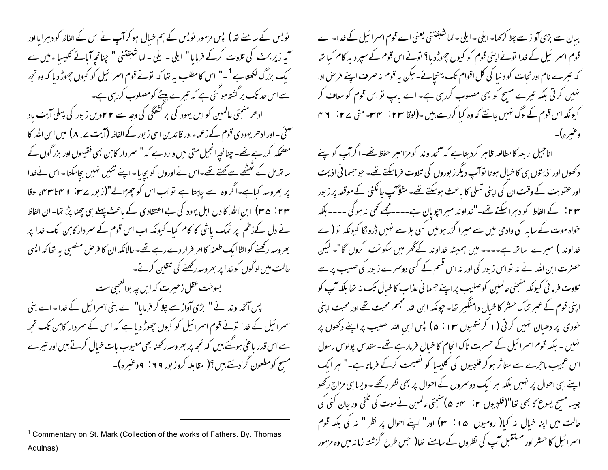نویس کے سامنے تھا) پس مزمور پویس کے ہم خیال ہو کراپ نے اس کے الفاظ کو دہرایا اور آیہ زیربحث کی تلاوت کرکے فرمایا " ایلی - ایلی - لما شبقتنی " چنانچہ آبائے کلیسا ء میں سے ا بک بزرگ لکھتا ہے <sup>1</sup>۔" اس کامطلب یہ تھا کہ تونے قوم اسمرائیل کو کیوں چھوڑ دیا کہ وہ تجھ سے اس حد تک بر گشتہ ہو گئی ہے کہ تیرے پیٹے کومصلوب کررہی ہے۔ ادھر منجئی عالمین کو اہل یہود کی بر کشعگی کی وجہ سے ۲ ۲ویں زبور کی پہلی آیت باد سمنی ۔ اور ادھریہودی قوم کے زعماء اور قائدین اسی زبور کے الفاظ (آیت <sub>ہے</sub>، ۸) میں ابن ا<sub>لٹیر</sub> کا مضحکہ کررہے تھے۔چنانچہ انجیل متی میں وارد ہے کہ" سمر دار کابن بھی فقیہوں اور بزرگوں کے ساتھ مل کے تھٹھے سے کہتے تھے۔اس نے اوروں کو بچایا۔اپنے تئیں نہیں بچاسکتا۔اس نےخدا پر بھروسہ کیاہے۔اگر وہ اسے چاہتا ہے تو اب اس کو چھڑالے"(زبور سے ۱۰ نام تاس میں لوقا ۴۳ : ۳۵) ابن الله کا دل اہل یہود کی بے اعتقادی کے باعث پہلے ہی چھنا پڑا تعا۔ان الفاظ نے دل کےزخم پر نمک پاشی کا کام کیا۔کیونکہ اب اس قوم کے سمردار کابن تک خدا پر بھروسہ رکھنے کوالٹاایک طعنہ کاامر قرار دے رہے تھے۔حالانکہ ان کا فرص منصبی یہ تعا کہ ایسی حالت میں لوگوں کوخدا پر بھروسہ رکھنے کی تلقین کرتے۔ بسوخت عقل زحبیرت که ایں چه بوالعجبی ست پس آنخداوند نے " بڑی آواز سے چلا کر فرمایا" اے بنی اسرائیل کے خدا۔اے بنی اسمرائیل کے خدا نونے قوم اسمرائیل کو کیوں چھوڑ دیا ہے کہ اس کے سمردار کابن تک تجھ سے اس قدر پاغی ہوگئے،میں کہ تجھ پر بھروسہ رکھنا بھی معیوب پات خیال کرتے ہیں اور تیرے مسح کومطعون گراد نتے ہیں؟( مقابلہ کروز بور ۶۹ : ۹وعنیرہ)۔

ببان سے بڑی آواز سے چلا کر <sub>ک</sub>ہا۔ ایلی ۔ ایلی ۔ لما شبقتنی یعنی اے قوم اسمرائیل کے خدا۔ اے قوم اسمرائیل کے خدا تونے اپنی قوم کو کیوں چھوڑدیا؟ تونے اس قوم کے سپردیہ کام کیا تھا کہ تیرے نام اور نحات کو د نیا کی کل اقوام تک پہنچائے۔لیکن بہ قوم نہ صرف اپنے فر ص ادا نہیں کرتی بلکہ تیرے مسح کو بھی مصلوب کررہی ہے۔ اے ماپ تو اس قوم کو معاف کر کیونکہ اس قوم کے لوگ نہیں جانتے کہ وہ کیا کررہے ہیں ۔(لوقا ۲۳٪ سمµ- متی ۲۷٪ ۲۳ وغيره)-

اناحبیل ار بعہ کامطالعہ ظاہر کردیتا ہے کہ آنجداوند کو مزامیر حفظ تھے۔ اگرآپ کواپنے دکھوں اور اذیتوں ہی کا خیال ہوتا نوآپ دیگر زبوروں کی تلاوت فرماسکتے تھے۔ حو حسما فی اذیت اور عقوبت کےوقت ان کی اپنی تسلی کا باعث ہوسکتے تھے۔مثلاً آپ جانکنی کے موقعہ پر زیور r ۳ : کے الفاط کو دہرا سکتے تھے۔"غداوند میراجویان ہے۔۔۔۔مجھے تھی نہ ہوگی ۔۔۔۔ بلکہ خواہ موت کے سایہ کی وادی میں سے میرا گزر ہومیں کسی بلاسے نہیں ڈرونگا کیونکہ تو (اے خداوند ) میرے پیاتھ ہے۔۔۔۔ میں ہمیشہ خداوند کے گھر میں سکونت کروں گا"۔ لیکن حصنرت ابن اللہ نے نہ تواس زبور کی اور نہ اس قسم کے کسی دوسمرے زبور کی صلیب پر سے تلاوت فرما ئی کیونکہ منجئی عالمین کوصلیب پر اپنے حسما فی عذاب کاخیال تک نہ تھا بلکہ آپ کو اپنی قوم کے عبر تناک حسٹر کا خیال دامنگیر تھا۔ حپونکہ ابن اللہ مجسم محبت تھے اور محبت اپنی خودی پر دھبان نہیں کرتی (۱ کرنتھیوں ۳۰ : ۵ ) پس ابن اللہ صلیب پر اپنے دکھوں پر نہیں ۔ بلکہ قوم اسمرائیل کے حسرت ناک انحام کا خیال فرمارہے تھے۔ مقدس پولوس رسول اس عجیب ماحرے سے متاثر ہو کر فلپیوں کی کلیسا کو نصیحت کرکے فرماتا ہے۔" ہر ایک اپنے اسی احوال پر نہیں بلکہ ہر ایک دوسمروں کے احوال پر بھی نظر رکھے - ویسا ہی مزاج رکھو جیسا مسح یسوع کا بھی تھا"(فلپییوں ۲: مہما ھ)منسجئی عالمین نے موت کی تلخی اور جان کنی کی حالت میں اپنا خیال نہ کیا( رومیوں ۱۵: ۳) اور" اپنے احوال پر نظر " نہ کی بلکہ قوم اسمرائیل کا حسثر اور مستقبل آپ کی نظروں کے سامنے بتیا( حس طرح گزشتہ زمانہ میں وہ مزمور

<sup>&</sup>lt;sup>1</sup> Commentary on St. Mark (Collection of the works of Fathers. By. Thomas Aquinas)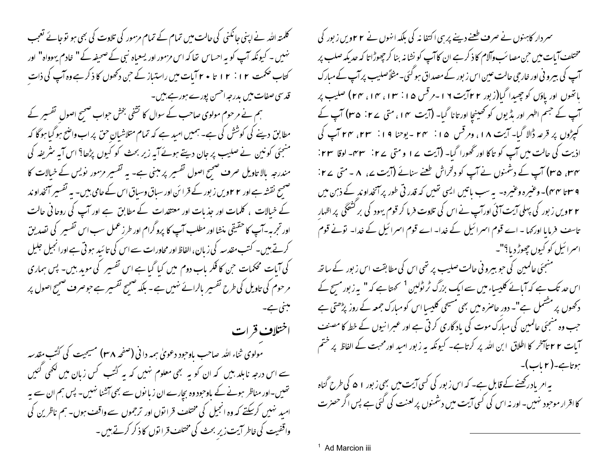کلمتہ اللہ نے اپنی جانکنی کی حالت میں تمام کے تمام مزمور کی تلاوت کی بھی ہو توجائے تعجب نہیں ۔ کیونکہ آپ کو یہ احساس تھا کہ اس مزمور اور یسعیاہ نبی کے صحیفہ کے " خادم یہوواہ" اور کتاب حکمت ۱۲ : ۱۲ تا ۲۰ آبات میں راستیاز کے حن دکھوں کا ذکر ہے وہ آپ کی ذات قدسی صفات میں بدرجہ احسن پورے ہورہے، بیں۔ ہم نے مرحوم مولوی صاحب کے سوال کا تشفی بخش حبواب صحیح اصول تفسیر کے مطابق دینے کی کوشش کی ہے۔ ہمیں امید ہے کہ تمام متلاشیان حق پر اب واضح ہو گیا ہو گا کہ منجئی کونین نے صلیب پر جان دیتے ہوئے آبہ زیر بحث کو کیوں پڑھا؟ اس آبہ سٹریفہ کی مندرجہ پالا تاویل صرف صحیح اصول تفسیر پر مبنی ہے۔ یہ تفسیر مزمور نویس کے خیالات کا صحیح نقشہ ہے اور ۲۲ویں زبور کے قرائن اور سیاق وسیاق اس کے جامی بیں۔ یہ تفسیر آنخداوند کے خیالات ، کلمات اور جذبات اور معتقدات کے مطابق ہے اور آپ کی روحا فی حالت اور تجربہ۔آپ کا حقیقی منشا اور مطلب آپ کا پروگرام اور طرز عمل سب اس تفسیر کی نصدیق کرتے ہیں۔ کتب مقدسہ کی زبان، الفاظ اور محاورات سے اس کی تائبید ہو تی ہے اورانجیل جلیل کی آیات محکمات حبن کا فکر پاب دوم میں کیا گیا ہے اس تفسیر کی موبد بین۔ پس ہماری مرحوم کی تاویل کی طرح تفسیر بالرائے نہیں ہے ۔ بلکہ صحیح تفسیر ہے حوصرف صحیح اصول پر مېنى يىمە اختلاف قرات

مولوی ثناء الله صاحب باوجود دعویٰ ہمہ دا نی (صفحہ ۳۸) مسیحیت کی کُتُب مقدسہ سے اس درجہ نابلد بیں کہ ان کو یہ بھی معلوم نہیں کہ یہ کٹتب کس زبان میں لکھی گئیں تھیں۔اور مناظر ہونے کے باوجود وہ بچارے ان زبا نوں سے بھی آشنا نہیں۔ پس ہم ان سے یہ امید نہیں کرسکتے کہ وہ انجیل کی مختلف قرائوں اور ترجموں سے واقف ہوں۔ ہم ناظرین کی واقفیت کی خاطر آیت زیر بحث کی مختلف قرانوں کا ذکر کرتے ہیں ۔

سمر دار کاہنوں نے صرف طعنے دینے پر ہی اکتفا نہ کی بلکہ انہوں نے ۲۲ویں زبور کی مختلف آیات میں حن مصائب وآلام کا ذکر ہے ان کاآپ کو نشا نہ بنا کر چھوڑاتا کہ حدیکہ صلب پر آپ کی بیرو نی اور خارجی حالت عین اس ز بور کے مصداق ہو گئی۔مثلاًصلیب پر آپ کے مبارک یانخوں اور یاؤں کو چھیدا گیا(زبور ۲۲مآیت ۱۹-مرقس ۱۵: ۱۳، ۱۴، ۲۴) صلیب پر آپ کے جسم اطہر اور بڈیوں کو تھینیا اور تا نا گبا- (آیت ہم ا ، متی × ۲ : F ) آپ کے کیپڑوں پر قرعہ ڈالا گیا۔ آیت ۱۸، ومرقس ۱۵: ۲۴ - یوحنا ۱۹: ۲۳، ۴۳، آپ کی اذیت کی حالت میں آپ کو تاکا اور تھورا گیا۔ (آیت ۲۷ و متی ۲۷٪ سومہ اوقا ۲۳٪ rv، ۴۵) آپ کے دشمنوں نے آپ کو دلخراش طعنے سنائے (آیت <sub>م</sub>ے، ۸ - متی ے ۲ : ۹ سہ تا ۴۴ س)۔ وعنیرہ وعنیرہ۔ بہ سب پاتیں ایسی تھیں کہ قدر تی طور پر آنخداوندِ کے ذہن میں ۲ ۲ ویں زبور کی پہلی آیت آئی اورآپ نے اس کی تلاوت فرما کر قوم یہود کی بر کشتگی پر اظہار تاسف فرمایا اور کھا - اے قوم اسمرائیل کے خدا- اے قوم اسمرائیل کے خدا- تونے قوم اسرائیل کو کیوں چھوڑ دیا؟"۔

منسجَی عالمین کی حو بیرو فی حالت صلیب پر تھی اس کی مطابقت اس زبور کے ساتھ اس حدیک ہے کہ آیائے کلیساء میں سے ایک بزرگ ٹر ٹولین <sup>1</sup> کھتا ہے کہ " یہ زبور مسح کے دکھوں پر مشتمل ہے"۔ دور حاصرہ میں بھی مسیحی کلیسا اس کو مبارک جمعہ کے روز پڑھتی ہے جب وہ منجئی عالمین کی مبارک موت کی باد گاری کرتی ہے اور عبرانیوں کے خط کا مصنف آبات ۲۲ تاآمخر کا اطلاق ۱ بن الله پر کرتاہے۔ کیونکہ یہ زبور امید اور محبت کے الفاظ پر ختم ہوتاہے۔(۲ باب)۔ یہ امر یاد رکھنے کے قابل ہے۔ کہ اس زبور کی کسی آیت میں بھی زبور ۱ ۵ کی طرح گناہ کااقرار موحود نہیں۔اور نہ اس کی کسی آیت میں دشمنوں پر لعنت کی گئی ہے پس اگر حصرت

<sup>1</sup> Ad Marcion iii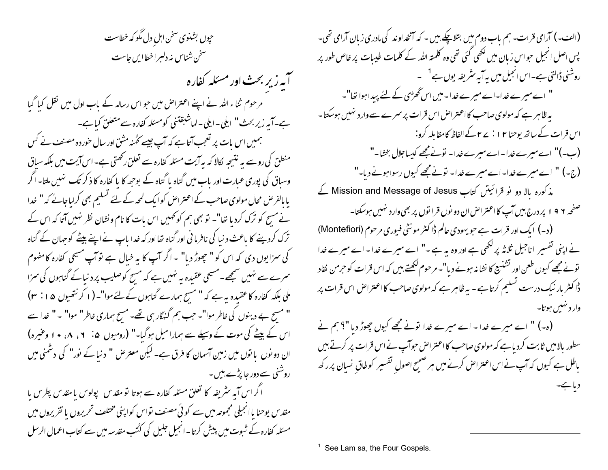حپوں بشنوی سخن اہل دل مگو کہ خطاست سخن شناس نه دلبراخطاایں جاست آپه زیر بحث اور مسئله کفاره مرحوم ثناء اللہ نے اپنے اعتراض میں حو اس رسالہ کے باب اول میں نقل کیا گیا ہے۔آپہ زیر بحث" ایلی۔ایلی۔لماشبقتنی کومسئلہ کفارہ سےمتعلق کیاہے۔ ہمیں اس بات پر تعجب آتا ہے کہ آپ جیسے کُھنہ مشق اور سال خوردہ مصنف نے کس منطق کی روسے یہ نتیجہ کالا کہ یہ آیت مسئلہ کفارہ سے تعلق رکھتی ہے۔اس آیت میں بلکہ سیاق وسیاق کی پوری عبارت اور پاپ میں گناہ یا گناہ کے بوجھہ کا یا کفارہ کا ذکر تک تہیں ملتا۔اگر با بالفرص محال مولوی صاحب کے اعتراض کو ایک لمحہ کے لئے تسلیم بھی کرلیاجائے کہ " خدا نے مسح کو ترک کردیا تھا"۔ تو بھی ہم کو تھیں اس بات کا نام ونشان نظر نہیں آتا کہ اس کے ترک کردینے کا باعث د نیا کی نافرما ٹی اور گناہ تھااور کہ خدا پاپ نے اپنے بیٹے کوحہان کے گناہ کی سزا یوں دی کہ اس کو " حچھوڑ دیا" ۔اگر آپ کا یہ خیال ہے توآپ مسیحی کفارہ کا مفهوم سمرے سے نہیں سمجھے۔مسیحی عقیدہ بہ نہیں ہے کہ مسح کوصلیب پر د نیا کے گناہوں کی سمرا ملی بلکہ کفارہ کاعقیدہ یہ ہے کہ " مسح ہمارے گناہوں کے لئےموا"۔ ( ا کرنتھیوں ۵ ا : ۳ ) " مسح بے دینوں کی خاطر موا"۔ حب ہم گنہگار ہی تھے۔ مسح ہماری خاطر" موا" ۔ " خدا سے اس کے پیٹے کی موت کے وسیلے سے ہمارا میل ہوگیا۔" (رومیوں ۵: ۱، ۸، ۱۰ وعیرہ) ان دو نوں پا توں میں زمین آسمان کا فرق ہے۔ لیکن معترض " د نبا کے نور" کی دشمنی میں روشنی سے دور جا پڑے بیں ۔ ا گر اس آبہ سٹریفہ کا تعلق مسئلہ کفارہ سے ہوتا تو مقدس پولوس یا مقدس پطرس یا مقدس یوحنا یاانجیلی مجموعه میں سے کوئی مصنف تواس کواپنی مختلف تحریروں یا تقریروں میں مسئلہ کفارہ کے شبوت میں پیش کرتا۔انجیل جلیل کی کٹتب مقدسہ میں سے کتاب اعمال الرسل

(الف۔) آرامی قرات۔ ہم باب دوم میں بتلاپچے ہیں ۔ کہ آنخداوند کی مادری زبان آرامی تھی۔ پس اصل انجیل حبو اس زیان میں لکھی گئی تھی وہ کلمتہ اللہ کے کلمات طیبات پر خاص طور پر روشنی ڈالتی ہے۔اس انجیل میں یہ آیہ سٹریفہ یوں ہے<sup>1</sup> ۔ " اے میرے خدا-اے میرے خدا- میں اس گھڑی کے لئے پیدا ہوا تھا"۔ پہ ظاہر ہے کہ مولوی صاحب کااعتراض اس قرات پر سمرے سے وارد نہیں ہوسکتا۔ اس قرات کے ساتھ یوحنا ۱۲ : ۲۷ کے الفاظ کامقابلہ کرو: (ب-)" اے میرے خدا۔اے میرے خدا۔ تونے مجھے کیساجلال بخشا۔" (ج-) " اسے میرے خدا۔اے میرے خدا۔ نونے مجھے کیوں رسواہونے دیا۔" مذکورہ بالا دو نو قرائیتں کتاب Mission and Message of Jesus کے صفحه ۱۹۶ پردرج بیں آپ کااعتراض ان دو نوں قرا نوں پر بھی وارد نہیں ہوسکتا۔ (د۔) ایک اور قرات ہے حبو یہودی عالم ڈاکٹر مونٹی فیوری مرحوم (Montefiori) نے اپنی تفسیر اناجیل ثلاثہ پر لکھی ہے اور وہ یہ ہے ۔" اے میرے خدا - اے میرے خدا تونے مجھے کیوں طعن اور تشنیع کا نشانہ ہونے دیا"۔ مرحوم لکھتے ہیں کہ اس قرات کو حرمن نقاد ڈاکٹر بار نیک درست تسلیم کرتا ہے - یہ ظاہر ہے کہ مولوی صاحب کا اعتراض اس قرات پر وار د نهبس ہوتا۔ (ہ-) " اے میرے خدا - اے میرے خدا قونے مجھے کیوں چھوڑ دیا "؟ ہم نے سطور بالامیں ثابت کردیا ہے کہ مولوی صاحب کا اعتراض حوآپ نے اس قرات پر کرتے ہیں باطل ہے کیوں کہ آپ نے اس اعتراض کرنے میں ہر صحیح اصولِ تفسیر کوطاقِ نسیان پرر کھ دیا ہے۔

See Lam sa, the Four Gospels.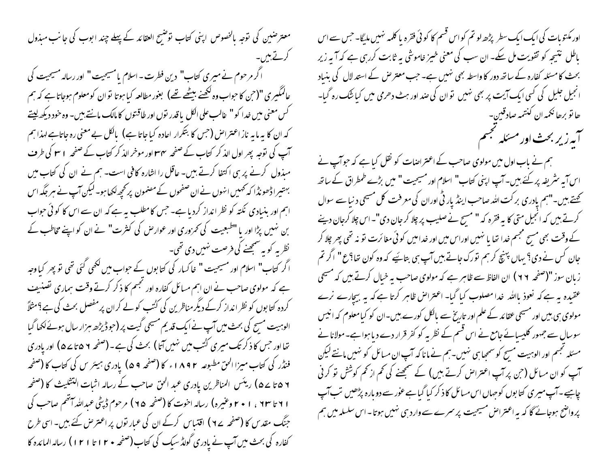معترضین کی توجہ بالخصوص اپنی کتاب توضیح العقائد کے پہلے چند ابوب کی جانب میذول کرتے ہیں۔ اکر مرحوم نے میری کتاب" دین فطرت - اسلام یامسیحیت" اور رسالہ مسیحیت کی عالمگیری "(حن کا حواب وہ لکھنے بیٹھے تھے) بعور مطالعہ کیا ہوتا نوان کومعلوم ہوجاتا ہے کہ ہم گس معنی میں خدا کو " عالب علی الکل با قدر نوں اور طاقتوں کا مالک مانتے بیں۔ وہ خود دیکھ <u>لی</u>تے کہ ان کا یہ مایہ ناز اعتراض (حس کا بتکرار اعادہ کیا جاتا ہے) بالکل بے معنی رہ جاتاہے لہذا ہم آپ کی نوجہ پھر اول الذ کر کتاب کے صفحہ ۳۴ اور موخر الذ کر کتاب کے صفحہ ۱ سا کی طرف مبذول کرنے پر ہی اکتفا کرتے ہیں۔ عاقل را اشارہ کافی است۔ ہم نے ان کی کتاب میں بہتیراڈھونڈا کہ کھمیں انہوں نے ان صفحوں کے مضمون پر کچھ لکھا ہو۔ لیکن آپ نے ہر جگہ اس اہم اور بنیادی نکتہ کو نظر انداز کردیا ہے۔ جس کامطلب یہ ہے کہ ان سے اس کا کوئی حواب بن نہیں پڑا اور یا "طبعیت کی تھروری اور عوارض کی کثرت" نے ان کو اپنے مخاطب کے ۔ نظر یہ کو یہ سمجھنے کی فرصت نہیں دی تھی۔ ا کر کتاب" اسلام اور مسیحیت " خاکسار کی کتابوں کے حبواب میں لکھی گئی تھی تو پھر کیاوجہ ہے کہ مولوی صاحب نے ان اہم میائل کفارہ اور نجسم کا ذکر کرتے وقت ہماری تصنیف کردہ کتا بوں کو نظر انداز کرکے دیگر مناظرین کی کٹتب کولے کران پرمفصل بحث کی ہے؟مثلاً الوہیت مسج کی بحث میں آپ نے ایک قدیم مسیحی گیت پر (حوڈیڑھ ہزار سال ہوئے لکھا گیا تھااور جس کا ذکر تک میری کُٹب میں نہیں آتا ) بحث کی ہے۔(صفحہ ٧ ۵ تا ۷ ۵) اور یادری فنڈر کی کتاب میزا الحق مطبوعہ ۸۹۲ء کا (صفحہ ۵۹) یادری ہیئر س کی کتاب کا (صفحہ ۷ ۵ تا ۵ ۵ ) ریئس المناظرین یادری عبد الحق صاحب کے رسالہ اثبات التثلیث کا (صفحہ ا ۲ تا ۲۰ ، ۱ + ۲ وعنیره) رساله اخوت کا (صفحه ۹۵) مرحوم ڈپٹی عبداللہ آتھم صاحب کی جنگ مقدس کا (صفحہ ے ۷ ) اقتیاس کرکے ان کی عبار نوں پر اعتر حن کئے بیں۔ اسی طرح کفارہ کی بحث میں آپ نے یادری گولڈ سیک کی کتاب(صفحہ • ۲ ا تا ۱۲ ) رسالہ المائدہ کا

اور مکتوبات کی ایک ایک سطر پڑھ لو تم کو اس قسم کا کو ئی فقرہ پا کلمہ نہیں ملیگا۔ جس سے اس ماطل نتیجہ کو تقویت مل سکے۔ ان سب کی معنی خیبز خاموشی پہ ثابت کررہی ہے کہ آپہ زیر بحث کا مسئلہ کفارہ کے ساتھ دور کا واسطہ بھی نہیں ہے۔ جب معتر ص کے استد لال کی بنیاد انجیل جلیل کی گسی ایک آیت پر بھی نہیں توان کی صد اور ہٹ دھرمی میں کیا شُک رہ گیا-ھا تو برھا ن<sup>ی</sup>مہ ان کنتمہ صادقین-آیه زیر بحث اور مسئله نجسم ہم نے باب اول میں مولوی صاحب کے اعتراضات کو نقل کیا ہے کہ حوآپ نے اس آیہ سٹریفہ پر کئے ہیں۔آپ اپنی کتاب" اسلام اور مسیحیت" میں بڑے طمطراق کے ساتھ کھتے ہیں۔"ہم پادری بر کت اللہ صاحب اینڈ پار ٹی اوران کی معرفت کل مسیحی د نیا سے سوال کرتے ہیں کہ انجیل متی کا بہ فقرہ کہ " مسح نے صلیب پر چلا کر جان دی"۔اس چلا کرجان دینے کے وقت بھی مسیح مجسم خدا تھا یا نہیں اوراس میں اور خدامیں کو ئی مغائرت تو نہ تھی پھر چلا کر جان کس نے دی؟ یہاں پہنچ کرہم تورک جاتے بیں آپ ہی بتائیے کہ وہ کون تھا؟ع" اگر تم زبان سوز "(صفحہ ۲۹) ان الفاظ سے ظاہر ہے کہ مولوی صاحب ہہ خیال کرتے ہیں کہ مسیحی عقیدہ یہ ہے کہ نعوذِ باﷲ خدا مصلوب کیا گیا۔ اعتراض ظاہر کرتا ہے کہ یہ بیچارے نرے مولوی ہی بیں اور مسیحی عقائد کے علم اور تاریخ سے پالکل کورے بیں۔ان کو کیامعلوم کہ انیس سوسال سے جہور کلیسائے جامع نے اس قسم کے نظر یہ کو کفر قرار دے دیا ہوا ہے۔مولانا نے مسئلہ تجسم اور الوہیت مسیح کوسمجیا ہی نہیں۔ہم نے مانا کہ آپ ان مسائل کو نہیں مانتے لیکن ۔<br>اپ کو ان مسائل (<sup>ح</sup>ن بر آپ اعتراض کرتے ہیں) کے سمجھنے کی <sup>ک</sup>م از کم کوشش نو کرنی چاہیے۔آپ میری کتابوں کوجہاں اس میائل کا ذکر کیا گیاہے عور سے دوبارہ پڑھیں تب آپ پرواضح ہوجائے گا کہ یہ اعتراض مسیحیت پرسمرے سے وارد ہی نہیں ہوتا۔اس سلسلہ میں ہم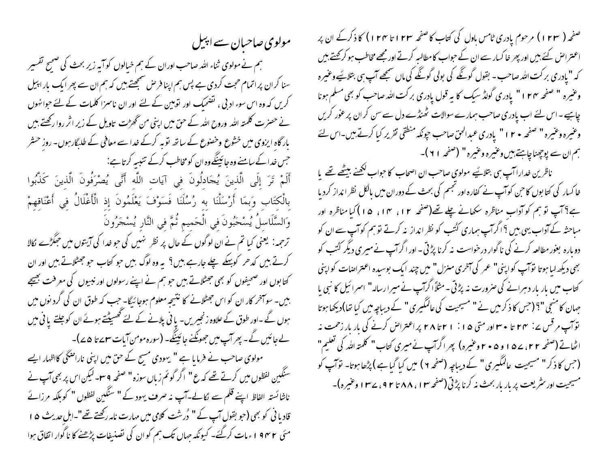صفحہ ( ۱۲۳ ) مرحوم یادری ٹامس باول کی کتاب کا صفحہ ۱۲۳ تا ۱۲۴ ) کا ذکرکے ان پر اعتتراض کئے بیں اور پھر خا کسار سے ان کے حبواب کامطالبہ کرتے اور مجھے مخاطب ہو کرکھتے ہیں کہ "یادری برکت اللہ صاحب - بقول گونگے کی بولی گونگے کی ماں سمجھے آپ ہی بتلائیے وعیمرہ وعنیرہ " صفحہ ۱۲۴" یادری گولڈ سیک کا یہ قول یادری برکت اللہ صاحب کو بھی مسلم ہونا چاہیے۔اس لئے اب یادری صاحب ہمارے سوالات ٹھنڈے دل سے سن کر ان پر عور کریں وعنيره وعنيره " صفحه • ٢ ا " يادري عبدالحقّ صاحب حونكه منطقي تقرير كيا كرتے بين-اس لئے ہم ان سے پوچھناچاہتے ہیں وغیرہ وعنیرہ" (صفحہ ٢١)۔

ناظرین خدارا آپ ہی بتلائیے مولوی صاحب ان اصحاب کا حواب لکھنے بیٹھے تھے یا خا کسار کی کتا بوں کا حن کوآپ نے کفارہ اور نجسم کی بحث کے دوران میں بالکل نظر انداز کردیا ہے؟ آپ تو ہم کو آداب مناظرہ سکھانے چلے تھے(صفحہ ۱۲، ۱۴، ۱۵) کیا مناظرہ اور مباحثہ کے آداب یہی بیں ؟ اگرآپ ہماری کُتُب کو نظر انداز نہ کرتے تو ہم کوآپ سے ان کو دو مارہ بغور مطالعہ کرنے کی ناگوار درخواست نہ کرنا پڑتی ۔اور اگرآپ نے میرِ ی دیگر کُٹَب کو بھی دیکھ لیا ہوتا توآپ کواپنی" عمر کی آ*خر*ی منزل" میں چند ایک بوسیدہ اعتراضات کواپنی کتاب میں بار بار دہرانے کی صرورت نہ پڑتی ۔مثلاًا گرآپ نے میرا رسالہ" اسرائیل کا نبی با جہان کا منجی "؟ (جس کا ذکر میں نے " مسیحیت کی عالمگیری " کے دیباچہ میں کیا تھا)دیکھا ہوتا توآپ مرقس پے : ۲۴ تا • سواور متی ۱۵ : ۱ ۲ تا ۲۸ پراعتراض کرنے کی بار بار زحمت نہ اٹھاتے (صفحہ ۲۲، ۷۵ و ۵ + ۲ وعنیرہ) پھر اگرآپ نے میری کتاب" کلمتہ اللّٰہ کی تعلیم" (جس کا ذکر " مسیحیت عالمگیری " کے دیباجہ (صفحہ ۲ ) میں کیا گیاہے ) پڑھا ہوتا۔ توآپ کو مسیحیت اور نثر یعت پر بار بار بحث نه کرنا پڑتی (صفحه ۱۳، ۸۸ تا ۹۲، ۲۳ وعنیره)-

ہم نے مولوی ثناء اللہ صاحب اوران کے ہم خیالوں کو آبہ زیر بحث کی صحیح تفسیر سنا کران پراتمام حجت کردی ہے پس ہم اپنا فرص سمجھتے ہیں کہ ہم ان سے پھر ایک بار اپیل کریں کہ وہ اس سوء ادبی ، تضحیک اور توہین کے لئے اور ان ناسمزا کلمات کے لئے حوامنوں بار گاہ ایزوی میں خشوع وخصوع کے ساتھ توبہ کرکے خدا سے معافی کے طلبگار ہوں۔ روز حسٹر حس خدا کے سامنے وہ جائینگےوہ ان کو مخاطب کرکے تنبیہ کرتا ہے: أَلَمْ تَرَ إِلَى الَّذِينَ يُحَادِلُونَ فِي آيَاتِ اللَّهِ أَنَّى يُصْرَفُونَ الَّذِينَ كَذَّبُوا بِالْكِتَابِ وَبِمَا أَرْسَلْنَا بِهِ رُسُلَنَا فَسَوْفَ يَعْلَمُونَ إِذِ الْأَغْلَالُ فِي أَعْنَاقِهِمْ وَالسَّلَاسلُ يُسْحَبُونَ فِي الْحَمِيمِ ثُمَّ فِي النَّارِ يُسْحَرُونَ ترحمہ: یعنی کیا تم نے ان لوگوں کے حال پر نظر نہیں کی حو خدا کی آیتوں میں حِمَکڑے کالا کرتے ہیں کدھر کو پہلے چلے جارہے ہیں؟ بہ وہ لوگ بیں حو کتاب حو جھٹلاتے ہیں اور ان کتابوں اور صحیفوں کو بھی جھٹلاتے ہیں حو ہم نے اپنے رسولوں اور نبیوں کی معرفت بھیجے

مولوی صاحبان سے اپیل

ہیں۔ سوآخر کار ان کو اس جھٹلانے کا نتیجہ معلوم ہوجا ئیگا- جب کہ طوق ان کی گرد نوں میں ہوں گے۔اور طوق کے علاوہ زنجیریں- یا نی پلانے کے لئے تھسیٹتے ہوئے ان کو جلتے یا نی میں لے جائیں گے۔ پھر آپ میں جھونکنے جائینگے۔ (سورہ مومن آبات س<sup>م</sup>ے تا ۵ <sub>ک</sub>ے)۔ مولوی صاحب نے فرمایا ہے " یہودی مسح کے حق میں اپنی ناراضٹی کااظہار ایسے سنگین لفظوں میں کرتے تھے کہ ع" اگر گوئم زباں سوزہ" صفحہ ۹ س<sup>ے</sup> لیکن اس پر بھی آپ نے ناشائستہ الفاظ اپنے قلم سے لکالے۔آپ نہ صرف یہود کے " سنگین لفظوں " کوبلکہ مرزائے قادیا فی کو بھی (جو بقول آپ کے " دُرسْت کلامی میں مہارت نامہ رکھتے تھے"۔اہل حدیث ھ ا مئی ۱۹۴۲ء مات کرگئے۔ کیونکہ جہاں تک ہم کو ان کی نصنیفات پڑھنے کا ناگوار اتفاق ہوا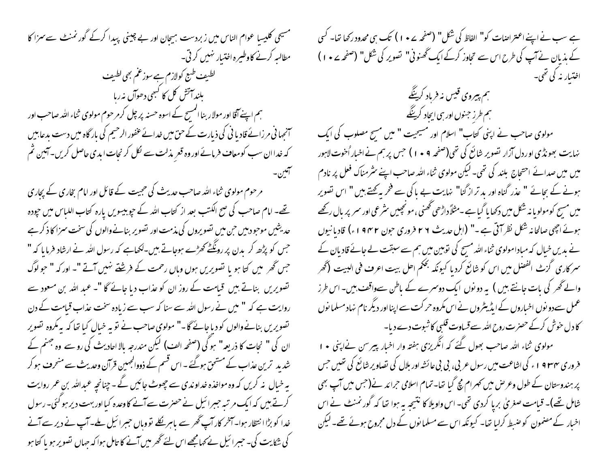مسیحی کلیسا عوام الناس میں زبردست ہیجان اور بے چینی پیدا کرکے گورنمنٹ سے سزا کا مطالبہ کرنے کاوطیرہ اختیار نہیں کرتی۔ لطبیف طبع کولازم ہے سوزعم بھی لطبیف بلند آتش کل کا کسجی دھوآں نہ رہا ہم اپنے آقا اور مولار بنا المسح کے اسوہ حسنہ پر چل کرمرحوم مولوی ثناء اللہ صاحب اور ۔<br>سنجہا نی مر زائے قادیا نی کی ذیارت کے حق میں خدائے عفور الرحیم کی بار گاہ میں دست بدعابیں کہ خدا ان سب کومعاف فرمائے اور وہ قعر مذلت سے لکل کر نجات ایدی حاصل کریں۔آئین ثم آفين-مرحوم مولوی ثناء اللہ صاحب حدیث کی حجیت کے قائل اور امام بخاری کے پجاری تھے۔ امام صاحب کی صح الکتب بعد از کتاب اللہ کے حیوبیسویں پارہ کتاب اللیاس میں حیودہ حدیشیں موجود پیں حن میں تصویروں کی مذمت اور تصویر بنانے والوں کی سخت سمزا کا ذکر ہے جس کو پڑھ کر بدن پر رو<u>نگٹے</u> تھڑے ہوجاتے بیں۔لکھاہے کہ رسول اللہ نے ارشاد فرما یا کہ " جس گھر میں کتا ہو یا تصویریں ہوں وہاں رحمت کے فرشتے نہیں آتے "۔ اور کہ " حوالوگ تصویریں بناتے ہیں قیامت کے روز ان کو عذاب دیا جائے گا "۔ عبد اللہ بن مسعود سے روایت ہے کہ " میں نے رسول اللہ سے سنا کہ سب سے زیادہ سخت عذاب قیامت کے دن تصویریں بنانےوالوں کو دیاجائے گا۔" مولوی صاحب نے نویہ خیال کیا تھا کہ پہ مکروہ تصویر ان کی " نحات کا ذریعہ" ہو گی (صفحہ الف) لیکن مندرجہ بالا احادیث کی رو سے وہ جہنم کے شدید ترین عذاب کے مستحق ہوگئے ۔ اس قسم کے ذووالجہین قرآن وحدیث سے منحرف ہو کر یہ خیال پنہ کریں کہ وہ مواخذہ خداوندی سے چھوٹ جائیں گے ۔ چنانچہ عبداللہ بن عمر روایت کرتے ہیں کہ ایک مرتبہ حبیرائیل نے حصرت سے آنے کاوعدہ کیااور بہت دیر ہو گئی۔رسول خدا کو بڑا انتظار ہوا۔ آمخر کار آپ گھر سے پاہر لکلے نووباں حبیرا ئیل ملے۔ آپ نے دیر سے آنے کی شکایت کی۔ حبیرا ئیل نے کہامجھے اس لئے گھر میں آنے کا تامل ہوا کہ جہاں تصویر ہو یا کتا ہو

ہے سب نے اپنے اعتراضات کو" الفاظ کی شکل" (صفحہ ۲۰۷ ) تک ہی محدود رکھا تھا۔ کسی کے ہذیان نے آپ کی طرح اس سے تحاوز کرکے ایک گھنونی" تصویر کی شکل" (صفحہ ۷۰ ) اختیار نه کې تھي۔ ہم ہیروی قیس نہ فرباد کرینگے ہم طرز جنوں اور ہی ایجاد کرینگے مولوی صاحب نے اپنی کتاب" اسلام اور مسیحیت " میں مسح مصلوب کی ایک نہایت بھونڈی اوردل آزار نصویر شائع کی تھی(صفحہ ۹ • ۱ ) حس پر ہم نے اخبار اُخوت لاہور میں میں صدائے احتحاج بلند کی تھی۔ لیکن مولوی ثناء اللہ صاحب اپنے سٹرمناک فعل پر نادم ہونے کے بجائے " عذر گناہ اور بد تر از گنا" نہایت بے پا کی سے فخر پہ کچتے ہیں " اس نصویر میں مسح کومولو یا نہ شکل میں دکھا یا گیا ہے -مثلاًداڑھی کھنی ، مونچییں سٹرعی اور سمر پر بال رکھے ہوئے اچھی صالحا نہ شکل نظر آتی ہے ۔" (اہل حدیث ۲ ۲ فروری حبون ۱۹۴۲ء) قادیا نیوں نے بدیں خبال کہ مبادامولوی ثناء اللہ مسح کی توہین میں ہم سے سبقت لے جائے قادیان کے سمر کاری گزٹ الفصل میں اس کو شائع کردیا کیونکہ بحکم احل بیت اعرف فی البیت (گھر والے ٹھر کی بات جانتے ہیں ) یہ دو نوں ایک دوسمرے کے باطن سےواقف بین۔ اس طرز عمل سےدو نوں اخباروں کے ایڈیٹروں نے اس مکروہ حرکت سے اپنااور دیگر نام نہاد مسلما نوں کا دل خوش کرکے حصرت روح اللہ سے قساوت قلبی کا ثبوت دے دیا۔ مولوی ثناء اللہ صاحب بھول گئے کہ انگریزی ہفتہ وار اخبار پیرسن نےاپنی • ا خروری ۴۳۴ ا ء کی اشاعت میں رسول عربی، پی پی عائشہ اور بلال کی نصاویر شائع کی تھیں جس پر ہندوستان کے طول وعرص میں کہرام میچ گیا تھا۔تمام اسلامی حرائد نے(جس میں آپ بھی شامل تھے)۔ قیامت صغریٰ برپا کردی تھی۔ اس واویلا کا نتیجہ بہ ہوا تھا کہ گورنمنٹ نے اس اخیار کے مصنمون کو ضبط کرلیا تھا۔ کیونکہ اس سے مسلمانوں کے دل مجروح ہوئے تھے۔ لیکن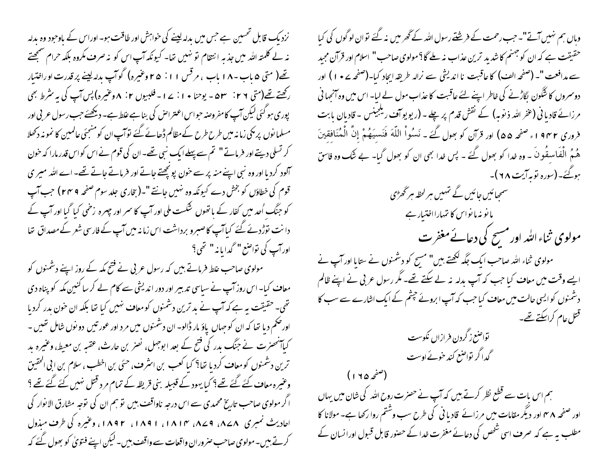نزدیک قابل تحسین ہے جس میں بدلہ لینے کی خواہش اور طاقت ہو۔ اوراس کے باوحود وہ بدلہ نہ لے کلمتہ اللہ میں جذبہ انتقام نو نہیں تھا۔ کیونکہ آپ اس کو نہ صرف مکروہ بلکہ حرام صمجھتے یتھ( متی ۵ باب -۱۸ باب ، مرقس ۱۱: ۲۵ وغیرہ) گوآپ بدلہ لینے پر قدرت اوراختیار رکھتے تھے(متی ٢٦: ٥٣ - يوحنا • ١ : ٢ - فلبيوں ٢: ٨ وعنيره) پس آپ کی به مثر ط بھی پوری ہو گئی لیکن آپ کامفروصنہ حبواس اعتراص کی بناہے علط ہے۔ دیکھئے جب رسول عربی اور مسلما نوں پر بکی زمانہ میں طرح طرح کےمظالم ڈھانے گئے توآپ ان کومنجئی عالمین کا نمونہ دکھلا کر تسلی دیتے اور فرماتے" تم سے پہلے ایک نبی تھے۔ ان کی قوم نے اس کواس قدر مارا کہ خون آلود کردیا اور وہ نبی اپنے منہ پر سے خون پو پھتے جاتے اور فرماتے جاتے تھے۔ اے اللہ میر ی قوم کی خطاؤں کو بخش دے کیونکہ وہ نہیں جانتے "۔(بخاری جلد سوم صفحہ ٢٠٣٩) جب آپ کو جنگ اُحد میں کفار کے باتھوں شکست ملی اور آپ کا سمر اور جہرہ زخمی کیا گیا اور آپ کے دانت توڑدئے گئے کیاآپ کاصبرو برداشت اس زمانہ میں آپ کے فارسی شعر کے مصداق تھا اور آپ کی تواصع " گدایا نہ " تھی؟

مولوی صاحب علط فرماتے بیں کہ رسول عربی نے فتح مکہ کے روز اپنے دشمنوں کو معاف کیا۔ اس روز آپ نے سیاسی تدبیر اور دور اندیشی سے کام لے کر سا کنین مکہ کو پناہ دی تھی۔ حقیقت بہ ہے کہ آپ نے بد ترین دشمنوں کومعاف نہیں کیا تھا بلکہ ان خون بدر کردیا اورضم دیا تھا کہ ان کوجہاں یاؤ مار ڈالو۔ ان دشمنوں میں مرد اور عور تیں دو نوں شامل تھیں ۔ کیاآنھنرت نے جنگ بدر کی فتح کے بعد ابوجہل، نصر بن حارث، عقبہ بن معیط، وعنیرہ بد ترین دشمنوں کومعا**ت** کردیا تھا؟ کیا کعب بن استُرف، حسَی بن اخطب ، سلام بن ابی الحقیق وعبرہ معاف کئے گئے تھے؟ کیا یہود کے قبیلہ بنی قریظہ کے تمام مرد قتل نہیں کئے گئے تھے؟ اگر مولوی صاحب تاریخ محمدی سے اس درجہ ناواقف بیں تو ہم ان کی توجہ مشارق الانوار کی احادیث نمبری ۸۷۸، ۱۸۷۹، ۱۸۱۴، ۱۸۹۱، ۱۸۹۲، وعنیره کی طرف میذول کرتے ہیں۔ مولوی صاحب صروران واقعات سے واقف بیں۔ لیکن اپنے فتویٰ کو بھول گئے کہ

وہاں ہم نہیں آتے"۔ حب رحمت کے فریشتے رسول اللہ کے گھر میں نہ گئے توان لوگوں کی کبا حقیقت ہے کہ ان کو جہنم کا شدید ترین عذاب نہ بلے گا؟مولوی صاحب " اسلام اور قرآن مجید سے مدافعت "۔ (صفحہ الف) کا عاقبت نا اندیشی سے نرالہ طریقہ ایجاد کیا۔(صفحہ ۷ • ۱ ) اور دوسروں کا شگون بگاڑنے کی خاطر اپنے لئے عاقبت کا عذاب مول لے لبا- اس میں وہ آنجہا نی مرزائے قادیا فی (عفر اللہ ذیوبہ) کے نقش قدم پر چلے۔ (ریویو آف ریلجینس - قادیان بابت فروري ١٩٣٢، صفحه ٥٥) اور قرآن كو بِحول كَيْح - نَسُواْ اللَّهَ فَنَسيَهُمْ إِنَّ الْمُنَافِقِينَ هُمُ الْفَاسقُونَ ۔ وہ غدا کو بھول گئے ۔ پس غدا بھی ان کو بھول گیا۔ بے شک وہ فاسق ہوگئے۔(سورہ توبہ آیت ۲۸)۔ سسمجھائیں جائیں گے تہیں ہر لحظہ ہر گھڑی ما نو نہ ما نواس کا تہمارااختیار ہے مولوی ثناء اللہ اور مسح کی دعائے مغفرت مولوی ثناء اللہ صاحب ایک جگہ لکھتے بیں" مسح کو دشمنوں نے ستایا اور آپ نے ایے وقت میں معاف کیا جب کہ آپ بدلہ نہ لے سکتے تھے۔ مگر رسول عربی نے اپنے ظالم دشمنوں کوایسی حالت میں معاف کیا جب کہ آپ ابروئے جشم کے ایک اشارے سے سب کا قتل عام کراسکتے تھے۔



(صفحه ۱۲۵) ہم اس بات سے قطع نظر کرتے ہیں کہ آپ نے حصرت روح اللہ کی شان میں یہاں اور صفحہ ۴۸ اور دیگر مقامات میں مرزائے قادیا فی کی طرح سب وشتم روا رکھا ہے۔ مولانا کا مطلب ہے ہے کہ صرف اسی شخص کی دعائے مغفرت خدا کے حصنور قابل قسول اورانسان کے